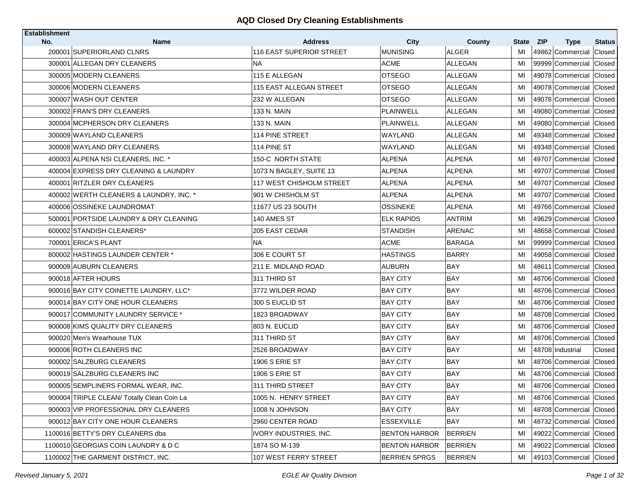| <b>Establishment</b><br>No. | <b>Name</b>                                | <b>Address</b>                 | <b>City</b>          | County         | <b>State</b> | <b>ZIP</b><br><b>Type</b> | <b>Status</b> |
|-----------------------------|--------------------------------------------|--------------------------------|----------------------|----------------|--------------|---------------------------|---------------|
|                             | 200001 SUPERIORLAND CLNRS                  | 116 EAST SUPERIOR STREET       | <b>MUNISING</b>      | <b>ALGER</b>   | MI           | 49862 Commercial          | Closed        |
|                             | 300001 ALLEGAN DRY CLEANERS                | <b>NA</b>                      | <b>ACME</b>          | <b>ALLEGAN</b> | MI           | 99999 Commercial Closed   |               |
|                             | 300005 MODERN CLEANERS                     | 115 E ALLEGAN                  | <b>OTSEGO</b>        | ALLEGAN        | MI           | 49078 Commercial Closed   |               |
|                             | 300006 MODERN CLEANERS                     | <b>115 EAST ALLEGAN STREET</b> | <b>OTSEGO</b>        | <b>ALLEGAN</b> | MI           | 49078 Commercial Closed   |               |
|                             | 300007 WASH OUT CENTER                     | 232 W ALLEGAN                  | <b>OTSEGO</b>        | ALLEGAN        | MI           | 49078 Commercial Closed   |               |
|                             | 300002 FRAN'S DRY CLEANERS                 | 133 N. MAIN                    | <b>PLAINWELL</b>     | ALLEGAN        | MI           | 49080 Commercial Closed   |               |
|                             | 300004 MCPHERSON DRY CLEANERS              | 133 N. MAIN                    | PLAINWELL            | ALLEGAN        | МI           | 49080 Commercial Closed   |               |
|                             | 300009 WAYLAND CLEANERS                    | 114 PINE STREET                | WAYLAND              | ALLEGAN        | MI           | 49348 Commercial Closed   |               |
|                             | 300008 WAYLAND DRY CLEANERS                | 114 PINE ST                    | WAYLAND              | ALLEGAN        | MI           | 49348 Commercial Closed   |               |
|                             | 400003 ALPENA NSI CLEANERS, INC. *         | 150-C NORTH STATE              | ALPENA               | <b>ALPENA</b>  | MI           | 49707 Commercial          | Closed        |
|                             | 400004 EXPRESS DRY CLEANING & LAUNDRY      | 1073 N BAGLEY, SUITE 13        | <b>ALPENA</b>        | <b>ALPENA</b>  | MI           | 49707 Commercial Closed   |               |
|                             | 400001 RITZLER DRY CLEANERS                | 117 WEST CHISHOLM STREET       | <b>ALPENA</b>        | <b>ALPENA</b>  | MI           | 49707 Commercial Closed   |               |
|                             | 400002 WERTH CLEANERS & LAUNDRY, INC. *    | 901 W CHISHOLM ST              | ALPENA               | <b>ALPENA</b>  | MI           | 49707 Commercial Closed   |               |
|                             | 400006 OSSINEKE LAUNDROMAT                 | 11677 US 23 SOUTH              | <b>OSSINEKE</b>      | <b>ALPENA</b>  | MI           | 49766 Commercial Closed   |               |
|                             | 500001 PORTSIDE LAUNDRY & DRY CLEANING     | 140 AMES ST                    | <b>ELK RAPIDS</b>    | <b>ANTRIM</b>  | MI           | 49629 Commercial Closed   |               |
|                             | 600002 STANDISH CLEANERS*                  | 205 EAST CEDAR                 | <b>STANDISH</b>      | ARENAC         | MI           | 48658 Commercial Closed   |               |
|                             | 700001 ERICA'S PLANT                       | <b>NA</b>                      | <b>ACME</b>          | <b>BARAGA</b>  | MI           | 99999 Commercial Closed   |               |
|                             | 800002 HASTINGS LAUNDER CENTER *           | 306 E COURT ST                 | <b>HASTINGS</b>      | <b>BARRY</b>   | MI           | 49058 Commercial Closed   |               |
|                             | 900009 AUBURN CLEANERS                     | 211 E. MIDLAND ROAD            | <b>AUBURN</b>        | BAY            | MI           | 48611 Commercial          | Closed        |
|                             | 900018 AFTER HOURS                         | 311 THIRD ST                   | <b>BAY CITY</b>      | <b>BAY</b>     | МI           | 48706 Commercial Closed   |               |
|                             | 900016 BAY CITY COINETTE LAUNDRY, LLC*     | 3772 WILDER ROAD               | BAY CITY             | BAY            | MI           | 48706 Commercial Closed   |               |
|                             | 900014 BAY CITY ONE HOUR CLEANERS          | 300 S EUCLID ST                | BAY CITY             | <b>BAY</b>     | MI           | 48706 Commercial Closed   |               |
|                             | 900017 COMMUNITY LAUNDRY SERVICE *         | 1823 BROADWAY                  | <b>BAY CITY</b>      | BAY            | MI           | 48708 Commercial Closed   |               |
|                             | 900008 KIMS QUALITY DRY CLEANERS           | 803 N. EUCLID                  | <b>BAY CITY</b>      | <b>BAY</b>     | MI           | 48706 Commercial Closed   |               |
|                             | 900020 Men's Wearhouse TUX                 | 311 THIRD ST                   | <b>BAY CITY</b>      | <b>BAY</b>     | MI           | 48706 Commercial Closed   |               |
|                             | 900006 ROTH CLEANERS INC                   | 2526 BROADWAY                  | <b>BAY CITY</b>      | <b>BAY</b>     | MI           | 48708 Industrial          | Closed        |
|                             | 900002 SALZBURG CLEANERS                   | 1906 S ERIE ST                 | <b>BAY CITY</b>      | <b>BAY</b>     | MI           | 48706 Commercial Closed   |               |
|                             | 900019 SALZBURG CLEANERS INC               | 1906 S ERIE ST                 | <b>BAY CITY</b>      | <b>BAY</b>     | MI           | 48706 Commercial Closed   |               |
|                             | 900005 SEMPLINERS FORMAL WEAR, INC.        | 311 THIRD STREET               | <b>BAY CITY</b>      | <b>BAY</b>     | MI           | 48706 Commercial Closed   |               |
|                             | 900004 TRIPLE CLEAN/ Totally Clean Coin La | 1005 N. HENRY STREET           | <b>BAY CITY</b>      | BAY            | MI           | 48706 Commercial Closed   |               |
|                             | 900003 VIP PROFESSIONAL DRY CLEANERS       | 1008 N JOHNSON                 | <b>BAY CITY</b>      | BAY            | MI           | 48708 Commercial Closed   |               |
|                             | 900012 BAY CITY ONE HOUR CLEANERS          | 2960 CENTER ROAD               | <b>ESSEXVILLE</b>    | BAY            | MI           | 48732 Commercial Closed   |               |
|                             | 1100016 BETTY'S DRY CLEANERS dba           | <b>IVORY INDUSTRIES, INC.</b>  | <b>BENTON HARBOR</b> | BERRIEN        | MI           | 49022 Commercial Closed   |               |
|                             | 1100010 GEORGIAS COIN LAUNDRY & D C        | 1874 SO M-139                  | <b>BENTON HARBOR</b> | <b>BERRIEN</b> | МI           | 49022 Commercial Closed   |               |
|                             | 1100002 THE GARMENT DISTRICT, INC.         | 107 WEST FERRY STREET          | <b>BERRIEN SPRGS</b> | BERRIEN        | MI           | 49103 Commercial Closed   |               |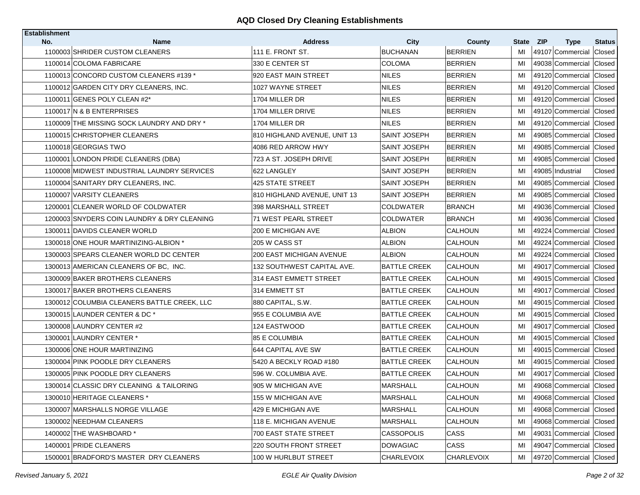| <b>Establishment</b> |                                             |                              |                     |                |              |                         |               |
|----------------------|---------------------------------------------|------------------------------|---------------------|----------------|--------------|-------------------------|---------------|
| No.                  | <b>Name</b>                                 | <b>Address</b>               | City                | County         | <b>State</b> | – ZIP<br><b>Type</b>    | <b>Status</b> |
|                      | 1100003 SHRIDER CUSTOM CLEANERS             | 111 E. FRONT ST.             | <b>BUCHANAN</b>     | <b>BERRIEN</b> | MI           | 49107 Commercial        | Closed        |
|                      | 1100014 COLOMA FABRICARE                    | 330 E CENTER ST              | <b>COLOMA</b>       | <b>BERRIEN</b> | MI           | 49038 Commercial        | Closed        |
|                      | 1100013 CONCORD CUSTOM CLEANERS #139 *      | 920 EAST MAIN STREET         | <b>NILES</b>        | <b>BERRIEN</b> | MI           | 49120 Commercial        | Closed        |
|                      | 1100012 GARDEN CITY DRY CLEANERS. INC.      | 1027 WAYNE STREET            | <b>NILES</b>        | <b>BERRIEN</b> | MI           | 49120 Commercial        | Closed        |
|                      | 1100011 GENES POLY CLEAN #2*                | 1704 MILLER DR               | <b>NILES</b>        | <b>BERRIEN</b> | MI           | 49120 Commercial        | Closed        |
|                      | 1100017 N & B ENTERPRISES                   | 1704 MILLER DRIVE            | <b>NILES</b>        | <b>BERRIEN</b> | MI           | 49120 Commercial        | Closed        |
|                      | 1100009 THE MISSING SOCK LAUNDRY AND DRY *  | 1704 MILLER DR               | <b>NILES</b>        | <b>BERRIEN</b> | MI           | 49120 Commercial        | Closed        |
|                      | 1100015 CHRISTOPHER CLEANERS                | 810 HIGHLAND AVENUE, UNIT 13 | <b>SAINT JOSEPH</b> | <b>BERRIEN</b> | MI           | 49085 Commercial        | Closed        |
|                      | 1100018 GEORGIAS TWO                        | 4086 RED ARROW HWY           | <b>SAINT JOSEPH</b> | <b>BERRIEN</b> | MI           | 49085 Commercial        | Closed        |
|                      | 1100001 LONDON PRIDE CLEANERS (DBA)         | 723 A ST. JOSEPH DRIVE       | SAINT JOSEPH        | <b>BERRIEN</b> | MI           | 49085 Commercial        | Closed        |
|                      | 1100008 MIDWEST INDUSTRIAL LAUNDRY SERVICES | 622 LANGLEY                  | <b>SAINT JOSEPH</b> | <b>BERRIEN</b> | MI           | 49085 Industrial        | Closed        |
|                      | 1100004 SANITARY DRY CLEANERS, INC.         | 425 STATE STREET             | SAINT JOSEPH        | <b>BERRIEN</b> | MI           | 49085 Commercial        | Closed        |
|                      | 1100007 VARSITY CLEANERS                    | 810 HIGHLAND AVENUE, UNIT 13 | <b>SAINT JOSEPH</b> | <b>BERRIEN</b> | MI           | 49085 Commercial        | Closed        |
|                      | 1200001 CLEANER WORLD OF COLDWATER          | 398 MARSHALL STREET          | <b>COLDWATER</b>    | <b>BRANCH</b>  | MI           | 49036 Commercial        | Closed        |
|                      | 1200003 SNYDERS COIN LAUNDRY & DRY CLEANING | 71 WEST PEARL STREET         | <b>COLDWATER</b>    | <b>BRANCH</b>  | MI           | 49036 Commercial        | Closed        |
|                      | 1300011 DAVIDS CLEANER WORLD                | 200 E MICHIGAN AVE           | <b>ALBION</b>       | CALHOUN        | MI           | 49224 Commercial        | Closed        |
|                      | 1300018 ONE HOUR MARTINIZING-ALBION *       | 205 W CASS ST                | <b>ALBION</b>       | <b>CALHOUN</b> | MI           | 49224 Commercial        | Closed        |
|                      | 1300003 SPEARS CLEANER WORLD DC CENTER      | 200 EAST MICHIGAN AVENUE     | <b>ALBION</b>       | CALHOUN        | MI           | 49224 Commercial        | Closed        |
|                      | 1300013 AMERICAN CLEANERS OF BC, INC.       | 132 SOUTHWEST CAPITAL AVE.   | <b>BATTLE CREEK</b> | <b>CALHOUN</b> | MI           | 49017 Commercial        | Closed        |
|                      | 1300009 BAKER BROTHERS CLEANERS             | 314 EAST EMMETT STREET       | <b>BATTLE CREEK</b> | CALHOUN        | MI           | 49015 Commercial        | Closed        |
|                      | 1300017 BAKER BROTHERS CLEANERS             | 314 EMMETT ST                | <b>BATTLE CREEK</b> | CALHOUN        | MI           | 49017 Commercial        | Closed        |
|                      | 1300012 COLUMBIA CLEANERS BATTLE CREEK, LLC | 880 CAPITAL, S.W.            | <b>BATTLE CREEK</b> | CALHOUN        | MI           | 49015 Commercial        | Closed        |
|                      | 1300015 LAUNDER CENTER & DC*                | 955 E COLUMBIA AVE           | <b>BATTLE CREEK</b> | CALHOUN        | MI           | 49015 Commercial        | Closed        |
|                      | 1300008 LAUNDRY CENTER #2                   | 124 EASTWOOD                 | <b>BATTLE CREEK</b> | <b>CALHOUN</b> | MI           | 49017 Commercial        | Closed        |
|                      | 1300001 LAUNDRY CENTER *                    | <b>85 E COLUMBIA</b>         | <b>BATTLE CREEK</b> | CALHOUN        | MI           | 49015 Commercial        | Closed        |
|                      | 1300006 ONE HOUR MARTINIZING                | 644 CAPITAL AVE SW           | <b>BATTLE CREEK</b> | <b>CALHOUN</b> | MI           | 49015 Commercial        | Closed        |
|                      | 1300004 PINK POODLE DRY CLEANERS            | 5420 A BECKLY ROAD #180      | <b>BATTLE CREEK</b> | CALHOUN        | MI           | 49015 Commercial        | Closed        |
|                      | 1300005 PINK POODLE DRY CLEANERS            | 596 W. COLUMBIA AVE.         | <b>BATTLE CREEK</b> | <b>CALHOUN</b> | MI           | 49017 Commercial        | Closed        |
|                      | 1300014 CLASSIC DRY CLEANING & TAILORING    | 905 W MICHIGAN AVE           | <b>MARSHALL</b>     | CALHOUN        | MI           | 49068 Commercial Closed |               |
|                      | 1300010 HERITAGE CLEANERS *                 | 155 W MICHIGAN AVE           | <b>MARSHALL</b>     | <b>CALHOUN</b> | MI           | 49068 Commercial Closed |               |
|                      | 1300007 MARSHALLS NORGE VILLAGE             | 429 E MICHIGAN AVE           | <b>MARSHALL</b>     | CALHOUN        | MI           | 49068 Commercial Closed |               |
|                      | 1300002 NEEDHAM CLEANERS                    | 118 E. MICHIGAN AVENUE       | <b>MARSHALL</b>     | CALHOUN        | MI           | 49068 Commercial        | Closed        |
|                      | 1400002 THE WASHBOARD *                     | 700 EAST STATE STREET        | <b>CASSOPOLIS</b>   | CASS           | MI           | 49031 Commercial        | <b>Closed</b> |
|                      | 1400001 PRIDE CLEANERS                      | 220 SOUTH FRONT STREET       | <b>DOWAGIAC</b>     | CASS           | MI           | 49047 Commercial        | Closed        |
|                      | 1500001 BRADFORD'S MASTER DRY CLEANERS      | 100 W HURLBUT STREET         | <b>CHARLEVOIX</b>   | CHARLEVOIX     | MI           | 49720 Commercial Closed |               |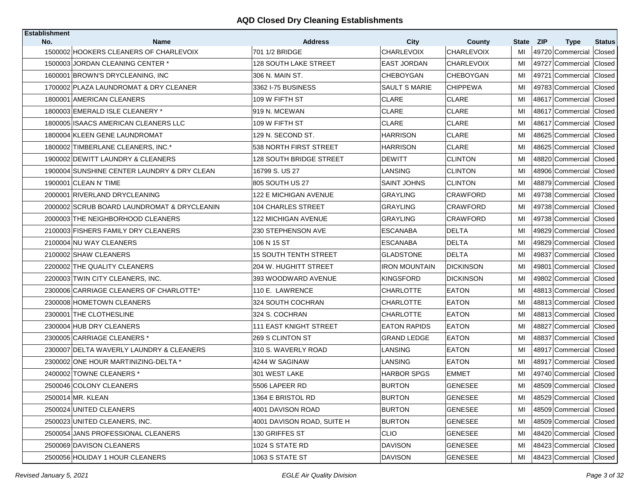| <b>Establishment</b> |                                                       |                                  |                                  |                             |             |                                               |                         |
|----------------------|-------------------------------------------------------|----------------------------------|----------------------------------|-----------------------------|-------------|-----------------------------------------------|-------------------------|
| No.                  | <b>Name</b><br>1500002 HOOKERS CLEANERS OF CHARLEVOIX | <b>Address</b><br>701 1/2 BRIDGE | <b>City</b><br><b>CHARLEVOIX</b> | County<br><b>CHARLEVOIX</b> | State<br>MI | <b>ZIP</b><br><b>Type</b><br>49720 Commercial | <b>Status</b><br>Closed |
|                      | 1500003 JORDAN CLEANING CENTER *                      | <b>128 SOUTH LAKE STREET</b>     | EAST JORDAN                      | <b>CHARLEVOIX</b>           | MI          | 49727 Commercial                              | Closed                  |
|                      | 1600001 BROWN'S DRYCLEANING, INC.                     | 306 N. MAIN ST.                  | CHEBOYGAN                        | <b>CHEBOYGAN</b>            | MI          | 49721 Commercial                              | Closed                  |
|                      |                                                       |                                  |                                  |                             |             |                                               |                         |
|                      | 1700002 PLAZA LAUNDROMAT & DRY CLEANER                | 3362 I-75 BUSINESS               | <b>SAULT S MARIE</b>             | <b>CHIPPEWA</b>             | MI          | 49783 Commercial                              | Closed                  |
|                      | 1800001 AMERICAN CLEANERS                             | 109 W FIFTH ST                   | CLARE                            | <b>CLARE</b>                | MI          | 48617 Commercial                              | Closed                  |
|                      | 1800003 EMERALD ISLE CLEANERY *                       | 919 N. MCEWAN                    | <b>CLARE</b>                     | <b>CLARE</b>                | MI          | 48617 Commercial                              | Closed                  |
|                      | 1800005 ISAACS AMERICAN CLEANERS LLC                  | 109 W FIFTH ST                   | <b>CLARE</b>                     | <b>CLARE</b>                | MI          | 48617 Commercial Closed                       |                         |
|                      | 1800004 KLEEN GENE LAUNDROMAT                         | 129 N. SECOND ST.                | HARRISON                         | <b>CLARE</b>                | MI          | 48625 Commercial                              | Closed                  |
|                      | 1800002 TIMBERLANE CLEANERS, INC.*                    | 1538 NORTH FIRST STREET          | HARRISON                         | <b>CLARE</b>                | MI          | 48625 Commercial                              | Closed                  |
|                      | 1900002 DEWITT LAUNDRY & CLEANERS                     | 128 SOUTH BRIDGE STREET          | DEWITT                           | <b>CLINTON</b>              | MI          | 48820 Commercial                              | Closed                  |
|                      | 1900004 SUNSHINE CENTER LAUNDRY & DRY CLEAN           | 16799 S. US 27                   | LANSING                          | <b>CLINTON</b>              | MI          | 48906 Commercial Closed                       |                         |
|                      | 1900001 CLEAN N' TIME                                 | 805 SOUTH US 27                  | SAINT JOHNS                      | <b>CLINTON</b>              | MI          | 48879 Commercial                              | Closed                  |
|                      | 2000001 RIVERLAND DRYCLEANING                         | <b>122 E MICHIGAN AVENUE</b>     | <b>GRAYLING</b>                  | <b>CRAWFORD</b>             | MI          | 49738 Commercial                              | Closed                  |
|                      | 2000002 SCRUB BOARD LAUNDROMAT & DRYCLEANIN           | <b>104 CHARLES STREET</b>        | <b>GRAYLING</b>                  | <b>CRAWFORD</b>             | MI          | 49738 Commercial                              | Closed                  |
|                      | 2000003 THE NEIGHBORHOOD CLEANERS                     | <b>122 MICHIGAN AVENUE</b>       | <b>GRAYLING</b>                  | <b>CRAWFORD</b>             | MI          | 49738 Commercial                              | Closed                  |
|                      | 2100003 FISHERS FAMILY DRY CLEANERS                   | 230 STEPHENSON AVE               | ESCANABA                         | <b>DELTA</b>                | MI          | 49829 Commercial                              | Closed                  |
|                      | 2100004 NU WAY CLEANERS                               | 106 N 15 ST                      | ESCANABA                         | <b>DELTA</b>                | MI          | 49829 Commercial                              | Closed                  |
|                      | 2100002 SHAW CLEANERS                                 | <b>15 SOUTH TENTH STREET</b>     | GLADSTONE                        | <b>DELTA</b>                | MI          | 49837 Commercial                              | Closed                  |
|                      | 2200002 THE QUALITY CLEANERS                          | 204 W. HUGHITT STREET            | IRON MOUNTAIN                    | <b>DICKINSON</b>            | MI          | 49801<br>Commercial                           | Closed                  |
|                      | 2200003 TWIN CITY CLEANERS, INC.                      | 393 WOODWARD AVENUE              | KINGSFORD                        | <b>DICKINSON</b>            | MI          | 49802 Commercial                              | Closed                  |
|                      | 2300006 CARRIAGE CLEANERS OF CHARLOTTE*               | 110 E. LAWRENCE                  | CHARLOTTE                        | <b>EATON</b>                | MI          | 48813 Commercial                              | Closed                  |
|                      | 2300008 HOMETOWN CLEANERS                             | 324 SOUTH COCHRAN                | CHARLOTTE                        | <b>EATON</b>                | MI          | 48813 Commercial                              | <b>Closed</b>           |
|                      | 2300001 THE CLOTHESLINE                               | 324 S. COCHRAN                   | CHARLOTTE                        | <b>EATON</b>                | MI          | 48813 Commercial                              | Closed                  |
|                      | 2300004 HUB DRY CLEANERS                              | 111 EAST KNIGHT STREET           | <b>EATON RAPIDS</b>              | <b>EATON</b>                | MI          | 48827 Commercial Closed                       |                         |
|                      | 2300005 CARRIAGE CLEANERS *                           | 269 S CLINTON ST                 | GRAND LEDGE                      | <b>EATON</b>                | MI          | 48837 Commercial                              | Closed                  |
|                      | 2300007 DELTA WAVERLY LAUNDRY & CLEANERS              | 310 S. WAVERLY ROAD              | LANSING                          | <b>EATON</b>                | MI          | 48917 Commercial                              | Closed                  |
|                      | 2300002 ONE HOUR MARTINIZING-DELTA *                  | 4244 W SAGINAW                   | LANSING                          | EATON                       | MI          | 48917 Commercial                              | Closed                  |
|                      | 2400002 TOWNE CLEANERS *                              | 301 WEST LAKE                    | HARBOR SPGS                      | <b>EMMET</b>                | MI          | 49740 Commercial                              | Closed                  |
|                      | 2500046 COLONY CLEANERS                               | 5506 LAPEER RD                   | <b>BURTON</b>                    | <b>GENESEE</b>              | MI          | 48509 Commercial                              | Closed                  |
|                      | 2500014 MR. KLEAN                                     | 1364 E BRISTOL RD                | <b>BURTON</b>                    | <b>GENESEE</b>              | MI          | 48529 Commercial Closed                       |                         |
|                      | 2500024 UNITED CLEANERS                               | 4001 DAVISON ROAD                | <b>BURTON</b>                    | <b>GENESEE</b>              | MI          | 48509 Commercial Closed                       |                         |
|                      | 2500023 UNITED CLEANERS, INC.                         | 4001 DAVISON ROAD, SUITE H       | <b>BURTON</b>                    | <b>GENESEE</b>              | MI          | 48509 Commercial Closed                       |                         |
|                      | 2500054 JANS PROFESSIONAL CLEANERS                    | 130 GRIFFES ST                   | <b>CLIO</b>                      | <b>GENESEE</b>              | MI          | 48420 Commercial Closed                       |                         |
|                      | 2500069 DAVISON CLEANERS                              | 1024 S STATE RD                  | DAVISON                          | <b>GENESEE</b>              | MI          | 48423 Commercial Closed                       |                         |
|                      | 2500056 HOLIDAY 1 HOUR CLEANERS                       | 1063 S STATE ST                  | <b>DAVISON</b>                   | <b>GENESEE</b>              | MI          | 48423 Commercial Closed                       |                         |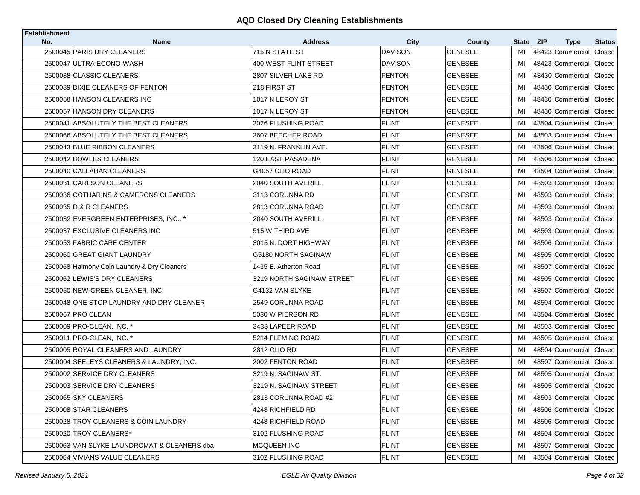| <b>Establishment</b> |                                             |                                  |                               |                          |          |                                      |                  |
|----------------------|---------------------------------------------|----------------------------------|-------------------------------|--------------------------|----------|--------------------------------------|------------------|
| No.                  | <b>Name</b><br>2500045 PARIS DRY CLEANERS   | <b>Address</b><br>715 N STATE ST | <b>City</b><br><b>DAVISON</b> | County<br><b>GENESEE</b> | State    | <b>ZIP</b><br><b>Type</b>            | <b>Status</b>    |
|                      | 2500047 ULTRA ECONO-WASH                    | 400 WEST FLINT STREET            | <b>DAVISON</b>                | <b>GENESEE</b>           | MI<br>МI | 48423 Commercial<br>48423 Commercial | Closed<br>Closed |
|                      | 2500038 CLASSIC CLEANERS                    |                                  |                               |                          | MI       |                                      |                  |
|                      |                                             | 2807 SILVER LAKE RD              | <b>FENTON</b>                 | <b>GENESEE</b>           |          | 48430 Commercial                     | Closed           |
|                      | 2500039 DIXIE CLEANERS OF FENTON            | 218 FIRST ST                     | <b>FENTON</b>                 | <b>GENESEE</b>           | MI       | 48430 Commercial                     | Closed           |
|                      | 2500058 HANSON CLEANERS INC                 | 1017 N LEROY ST                  | <b>FENTON</b>                 | <b>GENESEE</b>           | MI       | 48430 Commercial                     | Closed           |
|                      | 2500057 HANSON DRY CLEANERS                 | 1017 N LEROY ST                  | <b>FENTON</b>                 | <b>GENESEE</b>           | MI       | 48430 Commercial                     | Closed           |
|                      | 2500041 ABSOLUTELY THE BEST CLEANERS        | 3026 FLUSHING ROAD               | FLINT                         | <b>GENESEE</b>           | MI       | 48504 Commercial                     | Closed           |
|                      | 2500066 ABSOLUTELY THE BEST CLEANERS        | 3607 BEECHER ROAD                | <b>FLINT</b>                  | <b>GENESEE</b>           | MI       | 48503 Commercial                     | Closed           |
|                      | 2500043 BLUE RIBBON CLEANERS                | 3119 N. FRANKLIN AVE.            | FLINT                         | <b>GENESEE</b>           | MI       | 48506 Commercial                     | Closed           |
|                      | 2500042 BOWLES CLEANERS                     | 120 EAST PASADENA                | <b>FLINT</b>                  | <b>GENESEE</b>           | MI       | 48506 Commercial                     | Closed           |
|                      | 2500040 CALLAHAN CLEANERS                   | G4057 CLIO ROAD                  | <b>FLINT</b>                  | <b>GENESEE</b>           | MI       | 48504 Commercial Closed              |                  |
|                      | 2500031 CARLSON CLEANERS                    | 2040 SOUTH AVERILL               | FLINT                         | <b>GENESEE</b>           | MI       | 48503 Commercial                     | Closed           |
|                      | 2500036 COTHARINS & CAMERONS CLEANERS       | 3113 CORUNNA RD                  | <b>FLINT</b>                  | <b>GENESEE</b>           | MI       | 48503 Commercial                     | Closed           |
|                      | 2500035 D & R CLEANERS                      | 2813 CORUNNA ROAD                | <b>FLINT</b>                  | <b>GENESEE</b>           | MI       | 48503 Commercial                     | Closed           |
|                      | 2500032 EVERGREEN ENTERPRISES. INC *        | 2040 SOUTH AVERILL               | <b>FLINT</b>                  | <b>GENESEE</b>           | MI       | 48503 Commercial                     | Closed           |
|                      | 2500037 EXCLUSIVE CLEANERS INC              | 1515 W THIRD AVE                 | FLINT                         | <b>GENESEE</b>           | MI       | 48503 Commercial                     | Closed           |
|                      | 2500053 FABRIC CARE CENTER                  | 3015 N. DORT HIGHWAY             | <b>FLINT</b>                  | <b>GENESEE</b>           | MI       | 48506 Commercial                     | Closed           |
|                      | 2500060 GREAT GIANT LAUNDRY                 | G5180 NORTH SAGINAW              | FLINT                         | <b>GENESEE</b>           | MI       | 48505 Commercial                     | Closed           |
|                      | 2500068 Halmony Coin Laundry & Dry Cleaners | 1435 E. Atherton Road            | <b>FLINT</b>                  | <b>GENESEE</b>           | MI       | 48507 Commercial                     | Closed           |
|                      | 2500062 LEWIS'S DRY CLEANERS                | 3219 NORTH SAGINAW STREET        | <b>FLINT</b>                  | <b>GENESEE</b>           | MI       | 48505 Commercial                     | Closed           |
|                      | 2500050 NEW GREEN CLEANER, INC.             | G4132 VAN SLYKE                  | <b>FLINT</b>                  | <b>GENESEE</b>           | MI       | 48507 Commercial                     | Closed           |
|                      | 2500048 ONE STOP LAUNDRY AND DRY CLEANER    | 2549 CORUNNA ROAD                | FLINT                         | <b>GENESEE</b>           | MI       | 48504 Commercial Closed              |                  |
|                      | 2500067 PRO CLEAN                           | 5030 W PIERSON RD                | FLINT                         | <b>GENESEE</b>           | MI       | 48504 Commercial                     | Closed           |
|                      | 2500009 PRO-CLEAN, INC. *                   | 3433 LAPEER ROAD                 | <b>FLINT</b>                  | <b>GENESEE</b>           | MI       | 48503 Commercial Closed              |                  |
|                      | 2500011 PRO-CLEAN, INC. *                   | 5214 FLEMING ROAD                | <b>FLINT</b>                  | <b>GENESEE</b>           | MI       | 48505 Commercial                     | Closed           |
|                      | 2500005 ROYAL CLEANERS AND LAUNDRY          | 2812 CLIO RD                     | <b>FLINT</b>                  | <b>GENESEE</b>           | MI       | 48504 Commercial                     | Closed           |
|                      | 2500004 SEELEYS CLEANERS & LAUNDRY, INC.    | 2002 FENTON ROAD                 | <b>FLINT</b>                  | <b>GENESEE</b>           | MI       | 48507 Commercial                     | Closed           |
|                      | 2500002 SERVICE DRY CLEANERS                | 3219 N. SAGINAW ST.              | <b>FLINT</b>                  | <b>GENESEE</b>           | MI       | 48505 Commercial                     | Closed           |
|                      | 2500003 SERVICE DRY CLEANERS                | 3219 N. SAGINAW STREET           | <b>FLINT</b>                  | <b>GENESEE</b>           | MI       | 48505 Commercial Closed              |                  |
|                      | 2500065 SKY CLEANERS                        | 2813 CORUNNA ROAD #2             | <b>FLINT</b>                  | <b>GENESEE</b>           | MI       | 48503 Commercial Closed              |                  |
|                      | 2500008 STAR CLEANERS                       | 4248 RICHFIELD RD                | <b>FLINT</b>                  | <b>GENESEE</b>           | MI       | 48506 Commercial Closed              |                  |
|                      | 2500028 TROY CLEANERS & COIN LAUNDRY        | 4248 RICHFIELD ROAD              | <b>FLINT</b>                  | <b>GENESEE</b>           | MI       | 48506 Commercial                     | Closed           |
|                      | 2500020 TROY CLEANERS*                      | 3102 FLUSHING ROAD               | <b>FLINT</b>                  | <b>GENESEE</b>           | MI       | 48504 Commercial Closed              |                  |
|                      | 2500063 VAN SLYKE LAUNDROMAT & CLEANERS dba | <b>MCQUEEN INC</b>               | <b>FLINT</b>                  | <b>GENESEE</b>           | MI       | 48507 Commercial                     | Closed           |
|                      | 2500064 VIVIANS VALUE CLEANERS              | 3102 FLUSHING ROAD               | <b>FLINT</b>                  | <b>GENESEE</b>           | MI       | 48504 Commercial Closed              |                  |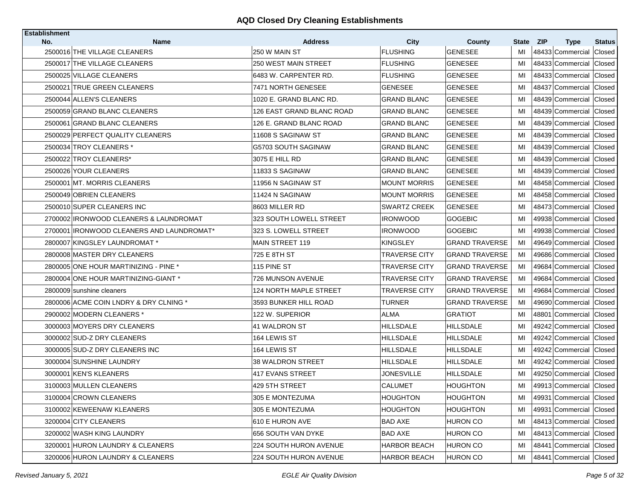| <b>Establishment</b> |                                             |                                 |                         |                          |                    |            |                                             |               |
|----------------------|---------------------------------------------|---------------------------------|-------------------------|--------------------------|--------------------|------------|---------------------------------------------|---------------|
| No.                  | <b>Name</b><br>2500016 THE VILLAGE CLEANERS | <b>Address</b><br>250 W MAIN ST | City<br><b>FLUSHING</b> | County<br><b>GENESEE</b> | <b>State</b><br>MI | <b>ZIP</b> | <b>Type</b>                                 | <b>Status</b> |
|                      | 2500017 THE VILLAGE CLEANERS                | 250 WEST MAIN STREET            | <b>FLUSHING</b>         | <b>GENESEE</b>           | MI                 |            | 48433 Commercial<br>48433 Commercial Closed | Closed        |
|                      |                                             | 6483 W. CARPENTER RD.           |                         | <b>GENESEE</b>           |                    |            |                                             |               |
|                      | 2500025 VILLAGE CLEANERS                    |                                 | <b>FLUSHING</b>         |                          | MI                 |            | 48433 Commercial                            | Closed        |
|                      | 2500021 TRUE GREEN CLEANERS                 | 7471 NORTH GENESEE              | <b>GENESEE</b>          | GENESEE                  | MI                 |            | 48437 Commercial                            | Closed        |
|                      | 2500044 ALLEN'S CLEANERS                    | 1020 E. GRAND BLANC RD.         | <b>GRAND BLANC</b>      | <b>GENESEE</b>           | MI                 |            | 48439 Commercial                            | Closed        |
|                      | 2500059 GRAND BLANC CLEANERS                | 126 EAST GRAND BLANC ROAD       | <b>GRAND BLANC</b>      | <b>GENESEE</b>           | MI                 |            | 48439 Commercial                            | Closed        |
|                      | 2500061 GRAND BLANC CLEANERS                | 126 E. GRAND BLANC ROAD         | <b>GRAND BLANC</b>      | <b>GENESEE</b>           | MI                 |            | 48439 Commercial Closed                     |               |
|                      | 2500029 PERFECT QUALITY CLEANERS            | 11608 S SAGINAW ST              | <b>GRAND BLANC</b>      | <b>GENESEE</b>           | MI                 |            | 48439 Commercial                            | Closed        |
|                      | 2500034 TROY CLEANERS *                     | G5703 SOUTH SAGINAW             | <b>GRAND BLANC</b>      | <b>GENESEE</b>           | MI                 |            | 48439 Commercial Closed                     |               |
|                      | 2500022 TROY CLEANERS*                      | 3075 E HILL RD                  | <b>GRAND BLANC</b>      | <b>GENESEE</b>           | MI                 |            | 48439 Commercial                            | Closed        |
|                      | 2500026 YOUR CLEANERS                       | 11833 S SAGINAW                 | <b>GRAND BLANC</b>      | <b>GENESEE</b>           | MI                 |            | 48439 Commercial Closed                     |               |
|                      | 2500001 MT. MORRIS CLEANERS                 | 11956 N SAGINAW ST              | <b>MOUNT MORRIS</b>     | <b>GENESEE</b>           | MI                 |            | 48458 Commercial                            | Closed        |
|                      | 2500049 OBRIEN CLEANERS                     | 11424 N SAGINAW                 | <b>MOUNT MORRIS</b>     | <b>GENESEE</b>           | MI                 |            | 48458 Commercial Closed                     |               |
|                      | 2500010 SUPER CLEANERS INC                  | 8603 MILLER RD                  | <b>SWARTZ CREEK</b>     | <b>GENESEE</b>           | MI                 |            | 48473 Commercial                            | Closed        |
|                      | 2700002 IRONWOOD CLEANERS & LAUNDROMAT      | 323 SOUTH LOWELL STREET         | <b>IRONWOOD</b>         | <b>GOGEBIC</b>           | MI                 |            | 49938 Commercial Closed                     |               |
|                      | 2700001 IRONWOOD CLEANERS AND LAUNDROMAT*   | 323 S. LOWELL STREET            | <b>IRONWOOD</b>         | <b>GOGEBIC</b>           | MI                 |            | 49938 Commercial                            | Closed        |
|                      | 2800007 KINGSLEY LAUNDROMAT *               | <b>MAIN STREET 119</b>          | <b>KINGSLEY</b>         | <b>GRAND TRAVERSE</b>    | MI                 |            | 49649 Commercial                            | Closed        |
|                      | 2800008 MASTER DRY CLEANERS                 | 725 E 8TH ST                    | <b>TRAVERSE CITY</b>    | <b>GRAND TRAVERSE</b>    | MI                 |            | 49686 Commercial                            | Closed        |
|                      | 2800005 ONE HOUR MARTINIZING - PINE *       | 115 PINE ST                     | <b>TRAVERSE CITY</b>    | <b>GRAND TRAVERSE</b>    | MI                 |            | 49684 Commercial                            | Closed        |
|                      | 2800004 ONE HOUR MARTINIZING-GIANT *        | 726 MUNSON AVENUE               | <b>TRAVERSE CITY</b>    | <b>GRAND TRAVERSE</b>    | МI                 |            | 49684 Commercial Closed                     |               |
|                      | 2800009 sunshine cleaners                   | 124 NORTH MAPLE STREET          | <b>TRAVERSE CITY</b>    | <b>GRAND TRAVERSE</b>    | MI                 |            | 49684 Commercial                            | Closed        |
|                      | 2800006 ACME COIN LNDRY & DRY CLNING *      | 3593 BUNKER HILL ROAD           | TURNER                  | <b>GRAND TRAVERSE</b>    | МI                 |            | 49690 Commercial Closed                     |               |
|                      | 2900002 MODERN CLEANERS *                   | 122 W. SUPERIOR                 | ALMA                    | <b>GRATIOT</b>           | MI                 |            | 48801 Commercial                            | Closed        |
|                      | 3000003 MOYERS DRY CLEANERS                 | 41 WALDRON ST                   | HILLSDALE               | HILLSDALE                | MI                 |            | 49242 Commercial Closed                     |               |
|                      | 3000002 SUD-Z DRY CLEANERS                  | 164 LEWIS ST                    | HILLSDALE               | HILLSDALE                | MI                 |            | 49242 Commercial                            | Closed        |
|                      | 3000005 SUD-Z DRY CLEANERS INC              | 164 LEWIS ST                    | <b>HILLSDALE</b>        | <b>HILLSDALE</b>         | MI                 |            | 49242 Commercial Closed                     |               |
|                      | 3000004 SUNSHINE LAUNDRY                    | 38 WALDRON STREET               | HILLSDALE               | HILLSDALE                | MI                 |            | 49242 Commercial                            | Closed        |
|                      | 3000001 KEN'S KLEANERS                      | 1417 EVANS STREET               | JONESVILLE              | <b>HILLSDALE</b>         | MI                 |            | 49250 Commercial Closed                     |               |
|                      | 3100003 MULLEN CLEANERS                     | 429 5TH STREET                  | CALUMET                 | <b>HOUGHTON</b>          | MI                 |            | 49913 Commercial Closed                     |               |
|                      | 3100004 CROWN CLEANERS                      | 305 E MONTEZUMA                 | HOUGHTON                | HOUGHTON                 | MI                 |            | 49931 Commercial Closed                     |               |
|                      | 3100002 KEWEENAW KLEANERS                   | 305 E MONTEZUMA                 | <b>HOUGHTON</b>         | <b>HOUGHTON</b>          | MI                 |            | 49931 Commercial Closed                     |               |
|                      | 3200004 CITY CLEANERS                       | 610 E HURON AVE                 | <b>BAD AXE</b>          | <b>HURON CO</b>          | MI                 |            | 48413 Commercial Closed                     |               |
|                      | 3200002 WASH KING LAUNDRY                   | 656 SOUTH VAN DYKE              | <b>BAD AXE</b>          | <b>HURON CO</b>          | MI                 |            | 48413 Commercial Closed                     |               |
|                      | 3200001 HURON LAUNDRY & CLEANERS            | 224 SOUTH HURON AVENUE          | <b>HARBOR BEACH</b>     | <b>HURON CO</b>          | MI                 |            | 48441 Commercial Closed                     |               |
|                      | 3200006 HURON LAUNDRY & CLEANERS            | 224 SOUTH HURON AVENUE          | <b>HARBOR BEACH</b>     | <b>HURON CO</b>          | MI                 |            | 48441 Commercial Closed                     |               |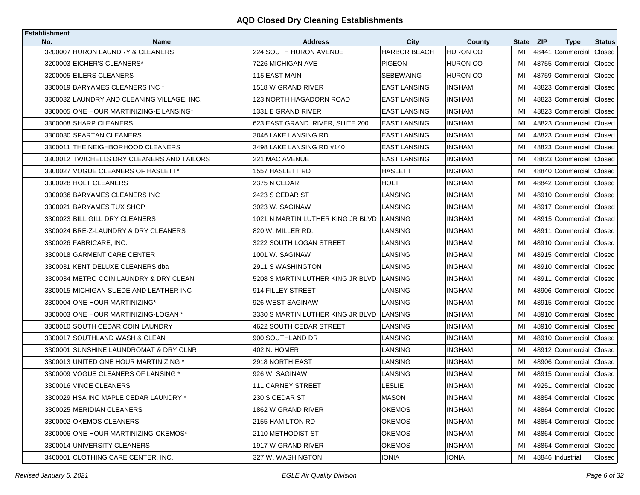| <b>Establishment</b> |                                            |                                   |                     |                 |       |            |                         |               |
|----------------------|--------------------------------------------|-----------------------------------|---------------------|-----------------|-------|------------|-------------------------|---------------|
| No.                  | <b>Name</b>                                | <b>Address</b>                    | <b>City</b>         | County          | State | <b>ZIP</b> | <b>Type</b>             | <b>Status</b> |
|                      | 3200007 HURON LAUNDRY & CLEANERS           | <b>224 SOUTH HURON AVENUE</b>     | <b>HARBOR BEACH</b> | <b>HURON CO</b> | MI    |            | 48441 Commercial        | Closed        |
|                      | 3200003 EICHER'S CLEANERS*                 | 7226 MICHIGAN AVE                 | <b>PIGEON</b>       | <b>HURON CO</b> | MI    |            | 48755 Commercial        | Closed        |
|                      | 3200005 EILERS CLEANERS                    | 115 EAST MAIN                     | <b>SEBEWAING</b>    | HURON CO        | MI    |            | 48759 Commercial        | Closed        |
|                      | 3300019 BARYAMES CLEANERS INC *            | 1518 W GRAND RIVER                | <b>EAST LANSING</b> | <b>INGHAM</b>   | MI    |            | 48823 Commercial        | Closed        |
|                      | 3300032 LAUNDRY AND CLEANING VILLAGE, INC. | 123 NORTH HAGADORN ROAD           | <b>EAST LANSING</b> | <b>INGHAM</b>   | MI    |            | 48823 Commercial        | Closed        |
|                      | 3300005 ONE HOUR MARTINIZING-E LANSING*    | 1331 E GRAND RIVER                | <b>EAST LANSING</b> | <b>INGHAM</b>   | MI    |            | 48823 Commercial        | Closed        |
|                      | 3300008 SHARP CLEANERS                     | 623 EAST GRAND RIVER, SUITE 200   | <b>EAST LANSING</b> | <b>INGHAM</b>   | MI    |            | 48823 Commercial        | Closed        |
|                      | 3300030 SPARTAN CLEANERS                   | 3046 LAKE LANSING RD              | <b>EAST LANSING</b> | <b>INGHAM</b>   | MI    |            | 48823 Commercial        | Closed        |
|                      | 3300011 THE NEIGHBORHOOD CLEANERS          | 3498 LAKE LANSING RD #140         | <b>EAST LANSING</b> | <b>INGHAM</b>   | MI    |            | 48823 Commercial        | Closed        |
|                      | 3300012 TWICHELLS DRY CLEANERS AND TAILORS | 221 MAC AVENUE                    | <b>EAST LANSING</b> | <b>INGHAM</b>   | MI    |            | 48823 Commercial        | Closed        |
|                      | 3300027 VOGUE CLEANERS OF HASLETT*         | 1557 HASLETT RD                   | <b>HASLETT</b>      | <b>INGHAM</b>   | MI    |            | 48840 Commercial Closed |               |
|                      | 3300028 HOLT CLEANERS                      | 2375 N CEDAR                      | HOLT                | <b>INGHAM</b>   | MI    |            | 48842 Commercial        | Closed        |
|                      | 3300036 BARYAMES CLEANERS INC              | 2423 S CEDAR ST                   | LANSING             | <b>INGHAM</b>   | MI    |            | 48910 Commercial        | Closed        |
|                      | 3300021 BARYAMES TUX SHOP                  | 3023 W. SAGINAW                   | LANSING             | <b>INGHAM</b>   | MI    |            | 48917 Commercial        | Closed        |
|                      | 3300023 BILL GILL DRY CLEANERS             | 1021 N MARTIN LUTHER KING JR BLVD | <b>LANSING</b>      | <b>INGHAM</b>   | MI    |            | 48915 Commercial        | Closed        |
|                      | 3300024 BRE-Z-LAUNDRY & DRY CLEANERS       | 820 W. MILLER RD.                 | LANSING             | <b>INGHAM</b>   | MI    |            | 48911 Commercial        | Closed        |
|                      | 3300026 FABRICARE, INC.                    | 3222 SOUTH LOGAN STREET           | LANSING             | <b>INGHAM</b>   | MI    |            | 48910 Commercial        | Closed        |
|                      | 3300018 GARMENT CARE CENTER                | 1001 W. SAGINAW                   | LANSING             | <b>INGHAM</b>   | MI    |            | 48915 Commercial        | Closed        |
|                      | 3300031 KENT DELUXE CLEANERS dba           | 2911 S WASHINGTON                 | LANSING             | <b>INGHAM</b>   | MI    |            | 48910 Commercial        | Closed        |
|                      | 3300034 METRO COIN LAUNDRY & DRY CLEAN     | 5208 S MARTIN LUTHER KING JR BLVD | LANSING             | <b>INGHAM</b>   | MI    |            | 48911 Commercial        | Closed        |
|                      | 3300015 MICHIGAN SUEDE AND LEATHER INC     | 914 FILLEY STREET                 | LANSING             | <b>INGHAM</b>   | MI    |            | 48906 Commercial        | Closed        |
|                      | 3300004 ONE HOUR MARTINIZING*              | 1926 WEST SAGINAW                 | LANSING             | <b>INGHAM</b>   | MI    |            | 48915 Commercial Closed |               |
|                      | 3300003 ONE HOUR MARTINIZING-LOGAN *       | 3330 S MARTIN LUTHER KING JR BLVD | LANSING             | <b>INGHAM</b>   | MI    |            | 48910 Commercial        | Closed        |
|                      | 3300010 SOUTH CEDAR COIN LAUNDRY           | 4622 SOUTH CEDAR STREET           | LANSING             | <b>INGHAM</b>   | MI    |            | 48910 Commercial Closed |               |
|                      | 3300017 SOUTHLAND WASH & CLEAN             | 900 SOUTHLAND DR                  | LANSING             | <b>INGHAM</b>   | MI    |            | 48910 Commercial        | Closed        |
|                      | 3300001 SUNSHINE LAUNDROMAT & DRY CLNR     | 402 N. HOMER                      | <b>LANSING</b>      | <b>INGHAM</b>   | MI    |            | 48912 Commercial Closed |               |
|                      | 3300013 UNITED ONE HOUR MARTINIZING *      | 2918 NORTH EAST                   | LANSING             | <b>INGHAM</b>   | MI    |            | 48906 Commercial        | Closed        |
|                      | 3300009 VOGUE CLEANERS OF LANSING *        | 926 W. SAGINAW                    | <b>LANSING</b>      | <b>INGHAM</b>   | MI    |            | 48915 Commercial        | Closed        |
|                      | 3300016 VINCE CLEANERS                     | 111 CARNEY STREET                 | LESLIE              | <b>INGHAM</b>   | MI    |            | 49251 Commercial Closed |               |
|                      | 3300029 HSA INC MAPLE CEDAR LAUNDRY *      | 230 S CEDAR ST                    | <b>MASON</b>        | <b>INGHAM</b>   | MI    |            | 48854 Commercial Closed |               |
|                      | 3300025 MERIDIAN CLEANERS                  | 1862 W GRAND RIVER                | <b>OKEMOS</b>       | <b>INGHAM</b>   | MI    |            | 48864 Commercial Closed |               |
|                      | 3300002 OKEMOS CLEANERS                    | 2155 HAMILTON RD                  | <b>OKEMOS</b>       | <b>INGHAM</b>   | MI    |            | 48864 Commercial        | Closed        |
|                      | 3300006 ONE HOUR MARTINIZING-OKEMOS*       | 2110 METHODIST ST                 | <b>OKEMOS</b>       | <b>INGHAM</b>   | MI    |            | 48864 Commercial Closed |               |
|                      | 3300014 UNIVERSITY CLEANERS                | 1917 W GRAND RIVER                | <b>OKEMOS</b>       | <b>INGHAM</b>   | MI    |            | 48864 Commercial        | Closed        |
|                      | 3400001 CLOTHING CARE CENTER, INC.         | 327 W. WASHINGTON                 | <b>IONIA</b>        | IONIA           | MI    |            | 48846 Industrial        | Closed        |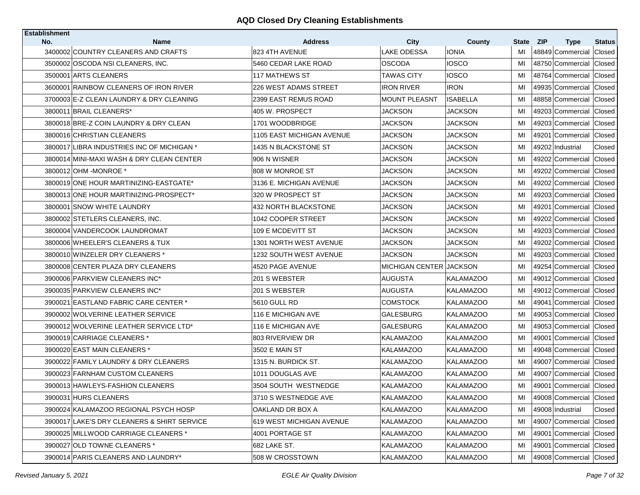| <b>Establishment</b>                        |                                  |                                |                  |       |            |                         |               |
|---------------------------------------------|----------------------------------|--------------------------------|------------------|-------|------------|-------------------------|---------------|
| No.<br><b>Name</b>                          | <b>Address</b>                   | <b>City</b>                    | County           | State | <b>ZIP</b> | <b>Type</b>             | <b>Status</b> |
| 3400002 COUNTRY CLEANERS AND CRAFTS         | 823 4TH AVENUE                   | <b>LAKE ODESSA</b>             | IONIA            | MI    |            | 48849 Commercial        | Closed        |
| 3500002 OSCODA NSI CLEANERS, INC.           | 5460 CEDAR LAKE ROAD             | <b>OSCODA</b>                  | <b>IOSCO</b>     | MI    |            | 48750 Commercial Closed |               |
| 3500001 ARTS CLEANERS                       | <b>117 MATHEWS ST</b>            | TAWAS CITY                     | IOSCO            | MI    |            | 48764 Commercial        | Closed        |
| 3600001 RAINBOW CLEANERS OF IRON RIVER      | 226 WEST ADAMS STREET            | <b>IRON RIVER</b>              | <b>IRON</b>      | MI    |            | 49935 Commercial        | Closed        |
| 3700003 E-Z CLEAN LAUNDRY & DRY CLEANING    | 2399 EAST REMUS ROAD             | MOUNT PLEASNT                  | <b>ISABELLA</b>  | MI    |            | 48858 Commercial        | Closed        |
| 3800011 BRAIL CLEANERS*                     | 405 W. PROSPECT                  | <b>JACKSON</b>                 | <b>JACKSON</b>   | MI    |            | 49203 Commercial        | Closed        |
| 3800018 BRE-Z COIN LAUNDRY & DRY CLEAN      | 1701 WOODBRIDGE                  | JACKSON                        | JACKSON          | MI    |            | 49203 Commercial        | Closed        |
| 3800016 CHRISTIAN CLEANERS                  | <b>1105 EAST MICHIGAN AVENUE</b> | JACKSON                        | JACKSON          | MI    |            | 49201 Commercial        | Closed        |
| 3800017 LIBRA INDUSTRIES INC OF MICHIGAN *  | 1435 N BLACKSTONE ST             | JACKSON                        | JACKSON          | MI    |            | 49202 Industrial        | Closed        |
| 3800014 MINI-MAXI WASH & DRY CLEAN CENTER   | 906 N WISNER                     | JACKSON                        | JACKSON          | MI    |            | 49202 Commercial        | Closed        |
| 3800012 OHM - MONROE *                      | 808 W MONROE ST                  | JACKSON                        | JACKSON          | MI    |            | 49202 Commercial Closed |               |
| 3800019 ONE HOUR MARTINIZING-EASTGATE*      | 3136 E. MICHIGAN AVENUE          | JACKSON                        | JACKSON          | MI    |            | 49202 Commercial        | Closed        |
| 3800013 ONE HOUR MARTINIZING-PROSPECT*      | 320 W PROSPECT ST                | JACKSON                        | JACKSON          | MI    |            | 49203 Commercial        | Closed        |
| 3800001 SNOW WHITE LAUNDRY                  | 432 NORTH BLACKSTONE             | JACKSON                        | JACKSON          | MI    |            | 49201 Commercial        | Closed        |
| 3800002 STETLERS CLEANERS, INC.             | 1042 COOPER STREET               | JACKSON                        | JACKSON          | MI    |            | 49202 Commercial        | Closed        |
| 3800004 VANDERCOOK LAUNDROMAT               | 109 E MCDEVITT ST                | JACKSON                        | JACKSON          | MI    |            | 49203 Commercial        | Closed        |
| 3800006 WHEELER'S CLEANERS & TUX            | <b>1301 NORTH WEST AVENUE</b>    | JACKSON                        | JACKSON          | MI    |            | 49202 Commercial        | Closed        |
| 3800010 WINZELER DRY CLEANERS *             | 1232 SOUTH WEST AVENUE           | JACKSON                        | JACKSON          | MI    |            | 49203 Commercial        | Closed        |
| 3800008 CENTER PLAZA DRY CLEANERS           | 4520 PAGE AVENUE                 | <b>MICHIGAN CENTER JACKSON</b> |                  | MI    |            | 49254 Commercial        | Closed        |
| 3900006 PARKVIEW CLEANERS INC*              | 201 S WEBSTER                    | AUGUSTA                        | <b>KALAMAZOO</b> | MI    |            | 49012 Commercial        | Closed        |
| 3900035 PARKVIEW CLEANERS INC*              | 201 S WEBSTER                    | AUGUSTA                        | <b>KALAMAZOO</b> | MI    |            | 49012 Commercial        | Closed        |
| 3900021 EASTLAND FABRIC CARE CENTER *       | 5610 GULL RD                     | COMSTOCK                       | <b>KALAMAZOO</b> | MI    |            | 49041 Commercial Closed |               |
| 3900002 WOLVERINE LEATHER SERVICE           | 116 E MICHIGAN AVE               | GALESBURG                      | <b>KALAMAZOO</b> | MI    |            | 49053 Commercial        | Closed        |
| 3900012 WOLVERINE LEATHER SERVICE LTD*      | 116 E MICHIGAN AVE               | GALESBURG                      | KALAMAZOO        | MI    |            | 49053 Commercial Closed |               |
| 3900019 CARRIAGE CLEANERS *                 | 803 RIVERVIEW DR                 | <b>KALAMAZOO</b>               | <b>KALAMAZOO</b> | MI    |            | 49001 Commercial        | Closed        |
| 3900020 EAST MAIN CLEANERS *                | 3502 E MAIN ST                   | KALAMAZOO                      | <b>KALAMAZOO</b> | MI    |            | 49048 Commercial        | Closed        |
| 3900022 FAMILY LAUNDRY & DRY CLEANERS       | 1315 N. BURDICK ST.              | <b>KALAMAZOO</b>               | <b>KALAMAZOO</b> | MI    |            | 49007 Commercial        | Closed        |
| 3900023 FARNHAM CUSTOM CLEANERS             | 1011 DOUGLAS AVE                 | <b>KALAMAZOO</b>               | <b>KALAMAZOO</b> | MI    |            | 49007 Commercial        | Closed        |
| 3900013 HAWLEYS-FASHION CLEANERS            | 3504 SOUTH WESTNEDGE             | <b>KALAMAZOO</b>               | <b>KALAMAZOO</b> | MI    |            | 49001 Commercial Closed |               |
| 3900031 HURS CLEANERS                       | 3710 S WESTNEDGE AVE             | <b>KALAMAZOO</b>               | <b>KALAMAZOO</b> | MI    |            | 49008 Commercial Closed |               |
| 3900024 KALAMAZOO REGIONAL PSYCH HOSP       | OAKLAND DR BOX A                 | KALAMAZOO                      | <b>KALAMAZOO</b> | MI    |            | 49008 Industrial        | Closed        |
| 3900017 LAKE'S DRY CLEANERS & SHIRT SERVICE | 619 WEST MICHIGAN AVENUE         | <b>KALAMAZOO</b>               | <b>KALAMAZOO</b> | MI    |            | 49007 Commercial        | Closed        |
| 3900025 MILLWOOD CARRIAGE CLEANERS *        | 4001 PORTAGE ST                  | <b>KALAMAZOO</b>               | <b>KALAMAZOO</b> | MI    |            | 49001 Commercial Closed |               |
| 3900027 OLD TOWNE CLEANERS *                | 682 LAKE ST.                     | <b>KALAMAZOO</b>               | <b>KALAMAZOO</b> | MI    |            | 49001 Commercial        | Closed        |
| 3900014 PARIS CLEANERS AND LAUNDRY*         | 508 W CROSSTOWN                  | <b>KALAMAZOO</b>               | <b>KALAMAZOO</b> | MI    |            | 49008 Commercial Closed |               |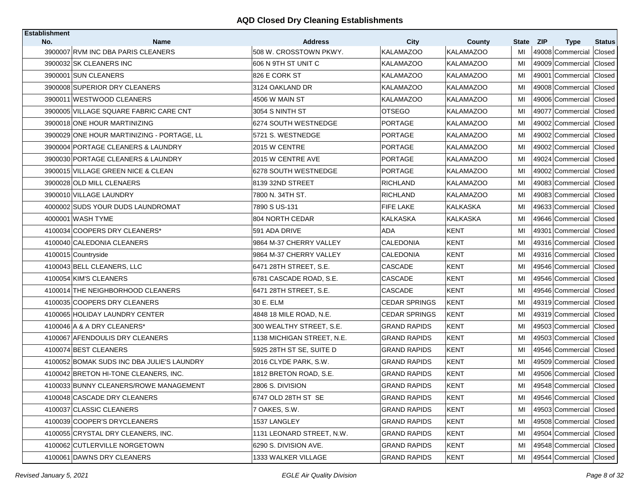| <b>Establishment</b> |                                            |                            |                      |                  |              |                           |               |
|----------------------|--------------------------------------------|----------------------------|----------------------|------------------|--------------|---------------------------|---------------|
| No.                  | <b>Name</b>                                | <b>Address</b>             | City                 | County           | <b>State</b> | <b>ZIP</b><br><b>Type</b> | <b>Status</b> |
|                      | 3900007 RVM INC DBA PARIS CLEANERS         | 508 W. CROSSTOWN PKWY.     | <b>KALAMAZOO</b>     | <b>KALAMAZOO</b> | MI           | 49008 Commercial          | Closed        |
|                      | 3900032 SK CLEANERS INC                    | 1606 N 9TH ST UNIT C       | <b>KALAMAZOO</b>     | <b>KALAMAZOO</b> | MI           | 49009 Commercial          | Closed        |
|                      | 3900001 SUN CLEANERS                       | 826 E CORK ST              | KALAMAZOO            | <b>KALAMAZOO</b> | MI           | 49001 Commercial          | Closed        |
|                      | 3900008 SUPERIOR DRY CLEANERS              | 3124 OAKLAND DR            | KALAMAZOO            | <b>KALAMAZOO</b> | MI           | 49008 Commercial          | Closed        |
|                      | 3900011 WESTWOOD CLEANERS                  | 4506 W MAIN ST             | KALAMAZOO            | <b>KALAMAZOO</b> | MI           | 49006 Commercial          | Closed        |
|                      | 3900005 VILLAGE SQUARE FABRIC CARE CNT     | 3054 S NINTH ST            | <b>OTSEGO</b>        | <b>KALAMAZOO</b> | MI           | 49077 Commercial          | Closed        |
|                      | 3900018 ONE HOUR MARTINIZING               | 6274 SOUTH WESTNEDGE       | <b>PORTAGE</b>       | <b>KALAMAZOO</b> | MI           | 49002 Commercial          | Closed        |
|                      | 3900029 ONE HOUR MARTINIZING - PORTAGE, LL | 5721 S. WESTNEDGE          | <b>PORTAGE</b>       | <b>KALAMAZOO</b> | MI           | 49002 Commercial          | Closed        |
|                      | 3900004 PORTAGE CLEANERS & LAUNDRY         | 2015 W CENTRE              | <b>PORTAGE</b>       | <b>KALAMAZOO</b> | MI           | 49002 Commercial          | Closed        |
|                      | 3900030 PORTAGE CLEANERS & LAUNDRY         | 2015 W CENTRE AVE          | PORTAGE              | <b>KALAMAZOO</b> | MI           | 49024 Commercial          | Closed        |
|                      | 3900015 VILLAGE GREEN NICE & CLEAN         | 6278 SOUTH WESTNEDGE       | PORTAGE              | <b>KALAMAZOO</b> | MI           | 49002 Commercial Closed   |               |
|                      | 3900028 OLD MILL CLENAERS                  | 8139 32ND STREET           | RICHLAND             | <b>KALAMAZOO</b> | MI           | 49083 Commercial          | Closed        |
|                      | 3900010 VILLAGE LAUNDRY                    | 7800 N. 34TH ST.           | <b>RICHLAND</b>      | <b>KALAMAZOO</b> | MI           | 49083 Commercial          | <b>Closed</b> |
|                      | 4000002 SUDS YOUR DUDS LAUNDROMAT          | 7890 S US-131              | FIFE LAKE            | KALKASKA         | MI           | 49633 Commercial          | Closed        |
|                      | 4000001 WASH TYME                          | 804 NORTH CEDAR            | KALKASKA             | KALKASKA         | MI           | 49646 Commercial Closed   |               |
|                      | 4100034 COOPERS DRY CLEANERS*              | 591 ADA DRIVE              | ADA                  | KENT             | MI           | 49301 Commercial          | Closed        |
|                      | 4100040 CALEDONIA CLEANERS                 | 9864 M-37 CHERRY VALLEY    | CALEDONIA            | KENT             | MI           | 49316 Commercial          | Closed        |
|                      | 4100015 Countryside                        | 9864 M-37 CHERRY VALLEY    | CALEDONIA            | KENT             | MI           | 49316 Commercial          | Closed        |
|                      | 4100043 BELL CLEANERS, LLC                 | 6471 28TH STREET, S.E.     | CASCADE              | <b>KENT</b>      | MI           | 49546 Commercial          | Closed        |
|                      | 4100054 KIM'S CLEANERS                     | 6781 CASCADE ROAD, S.E.    | CASCADE              | KENT             | MI           | 49546 Commercial          | Closed        |
|                      | 4100014 THE NEIGHBORHOOD CLEANERS          | 6471 28TH STREET, S.E.     | CASCADE              | <b>KENT</b>      | MI           | 49546 Commercial          | Closed        |
|                      | 4100035 COOPERS DRY CLEANERS               | 30 E. ELM                  | <b>CEDAR SPRINGS</b> | <b>KENT</b>      | MI           | 49319 Commercial Closed   |               |
|                      | 4100065 HOLIDAY LAUNDRY CENTER             | 4848 18 MILE ROAD, N.E.    | <b>CEDAR SPRINGS</b> | <b>KENT</b>      | MI           | 49319 Commercial          | Closed        |
|                      | 4100046 A & A DRY CLEANERS*                | 300 WEALTHY STREET, S.E.   | GRAND RAPIDS         | KENT             | MI           | 49503 Commercial          | Closed        |
|                      | 4100067 AFENDOULIS DRY CLEANERS            | 1138 MICHIGAN STREET, N.E. | <b>GRAND RAPIDS</b>  | KENT             | МI           | 49503 Commercial          | Closed        |
|                      | 4100074 BEST CLEANERS                      | 5925 28TH ST SE, SUITE D   | <b>GRAND RAPIDS</b>  | <b>KENT</b>      | MI           | 49546 Commercial          | <b>Closed</b> |
|                      | 4100052 BOMAK SUDS INC DBA JULIE'S LAUNDRY | 2016 CLYDE PARK, S.W.      | <b>GRAND RAPIDS</b>  | KENT             | MI           | 49509 Commercial          | Closed        |
|                      | 4100042 BRETON HI-TONE CLEANERS, INC.      | 1812 BRETON ROAD, S.E.     | <b>GRAND RAPIDS</b>  | <b>KENT</b>      | MI           | 49506 Commercial          | Closed        |
|                      | 4100033 BUNNY CLEANERS/ROWE MANAGEMENT     | 2806 S. DIVISION           | <b>GRAND RAPIDS</b>  | KENT             | MI           | 49548 Commercial Closed   |               |
|                      | 4100048 CASCADE DRY CLEANERS               | 6747 OLD 28TH ST SE        | <b>GRAND RAPIDS</b>  | <b>KENT</b>      | MI           | 49546 Commercial Closed   |               |
|                      | 4100037 CLASSIC CLEANERS                   | 7 OAKES, S.W.              | <b>GRAND RAPIDS</b>  | KENT             | MI           | 49503 Commercial Closed   |               |
|                      | 4100039 COOPER'S DRYCLEANERS               | 1537 LANGLEY               | <b>GRAND RAPIDS</b>  | KENT             | MI           | 49508 Commercial Closed   |               |
|                      | 4100055 CRYSTAL DRY CLEANERS, INC.         | 1131 LEONARD STREET, N.W.  | <b>GRAND RAPIDS</b>  | KENT             | MI           | 49504 Commercial Closed   |               |
|                      | 4100062 CUTLERVILLE NORGETOWN              | 6290 S. DIVISION AVE.      | <b>GRAND RAPIDS</b>  | KENT             | MI           | 49548 Commercial          | Closed        |
|                      | 4100061 DAWNS DRY CLEANERS                 | 1333 WALKER VILLAGE        | <b>GRAND RAPIDS</b>  | KENT             | MI           | 49544 Commercial Closed   |               |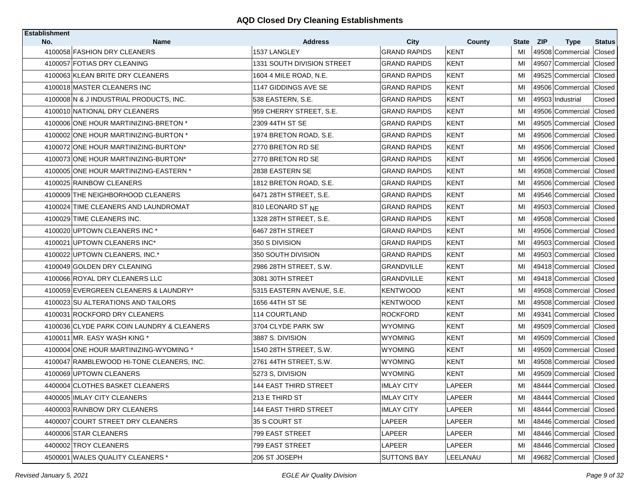| <b>Establishment</b> |                                                             |                                            |                                            |                            |              |            |                                             |               |
|----------------------|-------------------------------------------------------------|--------------------------------------------|--------------------------------------------|----------------------------|--------------|------------|---------------------------------------------|---------------|
| No.                  | <b>Name</b>                                                 | <b>Address</b>                             | <b>City</b>                                | County                     | <b>State</b> | <b>ZIP</b> | <b>Type</b>                                 | <b>Status</b> |
|                      | 4100058 FASHION DRY CLEANERS<br>4100057 FOTIAS DRY CLEANING | 1537 LANGLEY<br>1331 SOUTH DIVISION STREET | <b>GRAND RAPIDS</b><br><b>GRAND RAPIDS</b> | <b>KENT</b><br><b>KENT</b> | MI<br>MI     |            | 49508 Commercial<br>49507 Commercial Closed | Closed        |
|                      | 4100063 KLEAN BRITE DRY CLEANERS                            | 1604 4 MILE ROAD, N.E.                     | <b>GRAND RAPIDS</b>                        | KENT                       | MI           |            | 49525 Commercial                            | Closed        |
|                      |                                                             |                                            |                                            |                            |              |            |                                             |               |
|                      | 4100018 MASTER CLEANERS INC                                 | 1147 GIDDINGS AVE SE                       | <b>GRAND RAPIDS</b>                        | <b>KENT</b>                | MI           |            | 49506 Commercial                            | Closed        |
|                      | 4100008 N & J INDUSTRIAL PRODUCTS, INC.                     | 538 EASTERN, S.E.                          | <b>GRAND RAPIDS</b>                        | KENT                       | MI           |            | 49503 Industrial                            | Closed        |
|                      | 4100010 NATIONAL DRY CLEANERS                               | 959 CHERRY STREET, S.E.                    | <b>GRAND RAPIDS</b>                        | <b>KENT</b>                | MI           |            | 49506 Commercial                            | Closed        |
|                      | 4100006 ONE HOUR MARTINIZING-BRETON *                       | 2309 44TH ST SE                            | GRAND RAPIDS                               | KENT                       | MI           |            | 49505 Commercial                            | Closed        |
|                      | 4100002 ONE HOUR MARTINIZING-BURTON *                       | 1974 BRETON ROAD, S.E.                     | <b>GRAND RAPIDS</b>                        | KENT                       | MI           |            | 49506 Commercial                            | Closed        |
|                      | 4100072 ONE HOUR MARTINIZING-BURTON*                        | 2770 BRETON RD SE                          | <b>GRAND RAPIDS</b>                        | <b>KENT</b>                | MI           |            | 49506 Commercial Closed                     |               |
|                      | 4100073 ONE HOUR MARTINIZING-BURTON*                        | 2770 BRETON RD SE                          | <b>GRAND RAPIDS</b>                        | KENT                       | MI           |            | 49506 Commercial                            | Closed        |
|                      | 4100005 ONE HOUR MARTINIZING-EASTERN *                      | 2838 EASTERN SE                            | <b>GRAND RAPIDS</b>                        | KENT                       | MI           |            | 49508 Commercial Closed                     |               |
|                      | 4100025 RAINBOW CLEANERS                                    | 1812 BRETON ROAD, S.E.                     | <b>GRAND RAPIDS</b>                        | KENT                       | MI           |            | 49506 Commercial                            | Closed        |
|                      | 4100009 THE NEIGHBORHOOD CLEANERS                           | 6471 28TH STREET, S.E.                     | <b>GRAND RAPIDS</b>                        | <b>KENT</b>                | MI           |            | 49546 Commercial Closed                     |               |
|                      | 4100024 TIME CLEANERS AND LAUNDROMAT                        | 810 LEONARD ST NE                          | <b>GRAND RAPIDS</b>                        | KENT                       | MI           |            | 49503 Commercial                            | Closed        |
|                      | 4100029 TIME CLEANERS INC.                                  | 1328 28TH STREET, S.E.                     | <b>GRAND RAPIDS</b>                        | <b>KENT</b>                | MI           |            | 49508 Commercial Closed                     |               |
|                      | 4100020 UPTOWN CLEANERS INC *                               | 6467 28TH STREET                           | <b>GRAND RAPIDS</b>                        | KENT                       | MI           |            | 49506 Commercial                            | Closed        |
|                      | 4100021 UPTOWN CLEANERS INC*                                | 350 S DIVISION                             | <b>GRAND RAPIDS</b>                        | <b>KENT</b>                | MI           |            | 49503 Commercial                            | Closed        |
|                      | 4100022 UPTOWN CLEANERS, INC.*                              | 350 SOUTH DIVISION                         | <b>GRAND RAPIDS</b>                        | KENT                       | MI           |            | 49503 Commercial                            | Closed        |
|                      | 4100049 GOLDEN DRY CLEANING                                 | 2986 28TH STREET, S.W.                     | <b>GRANDVILLE</b>                          | <b>KENT</b>                | MI           |            | 49418 Commercial                            | Closed        |
|                      | 4100066 ROYAL DRY CLEANERS LLC                              | 3081 30TH STREET                           | <b>GRANDVILLE</b>                          | KENT                       | MI           |            | 49418 Commercial                            | Closed        |
|                      | 4100059 EVERGREEN CLEANERS & LAUNDRY*                       | 5315 EASTERN AVENUE, S.E.                  | <b>KENTWOOD</b>                            | <b>KENT</b>                | MI           |            | 49508 Commercial                            | Closed        |
|                      | 4100023 SU ALTERATIONS AND TAILORS                          | 1656 44TH ST SE                            | <b>KENTWOOD</b>                            | KENT                       | MI           |            | 49508 Commercial Closed                     |               |
|                      | 4100031 ROCKFORD DRY CLEANERS                               | 114 COURTLAND                              | <b>ROCKFORD</b>                            | <b>KENT</b>                | MI           |            | 49341 Commercial                            | Closed        |
|                      | 4100036 CLYDE PARK COIN LAUNDRY & CLEANERS                  | 3704 CLYDE PARK SW                         | WYOMING                                    | KENT                       | MI           |            | 49509 Commercial Closed                     |               |
|                      | 4100011 MR. EASY WASH KING *                                | 3887 S. DIVISION                           | WYOMING                                    | KENT                       | MI           |            | 49509 Commercial                            | Closed        |
|                      | 4100004 ONE HOUR MARTINIZING-WYOMING *                      | 1540 28TH STREET, S.W.                     | <b>WYOMING</b>                             | <b>KENT</b>                | MI           |            | 49509 Commercial Closed                     |               |
|                      | 4100047 RAMBLEWOOD HI-TONE CLEANERS, INC.                   | 2761 44TH STREET, S.W.                     | <b>WYOMING</b>                             | <b>KENT</b>                | MI           |            | 49508 Commercial                            | <b>Closed</b> |
|                      | 4100069 UPTOWN CLEANERS                                     | 5273 S, DIVISION                           | <b>WYOMING</b>                             | KENT                       | MI           |            | 49509 Commercial Closed                     |               |
|                      | 4400004 CLOTHES BASKET CLEANERS                             | <b>144 EAST THIRD STREET</b>               | <b>IMLAY CITY</b>                          | LAPEER                     | MI           |            | 48444 Commercial Closed                     |               |
|                      | 4400005 IMLAY CITY CLEANERS                                 | 213 E THIRD ST                             | <b>IMLAY CITY</b>                          | LAPEER                     | MI           |            | 48444 Commercial Closed                     |               |
|                      | 4400003 RAINBOW DRY CLEANERS                                | <b>144 EAST THIRD STREET</b>               | <b>IMLAY CITY</b>                          | LAPEER                     | MI           |            | 48444 Commercial Closed                     |               |
|                      | 4400007 COURT STREET DRY CLEANERS                           | 35 S COURT ST                              | LAPEER                                     | LAPEER                     | MI           |            | 48446 Commercial Closed                     |               |
|                      | 4400006 STAR CLEANERS                                       | 799 EAST STREET                            | LAPEER                                     | LAPEER                     | МI           |            | 48446 Commercial Closed                     |               |
|                      | 4400002 TROY CLEANERS                                       | 799 EAST STREET                            | <b>LAPEER</b>                              | LAPEER                     | MI           |            | 48446 Commercial Closed                     |               |
|                      | 4500001 WALES QUALITY CLEANERS *                            | 206 ST JOSEPH                              | <b>SUTTONS BAY</b>                         | LEELANAU                   | MI           |            | 49682 Commercial Closed                     |               |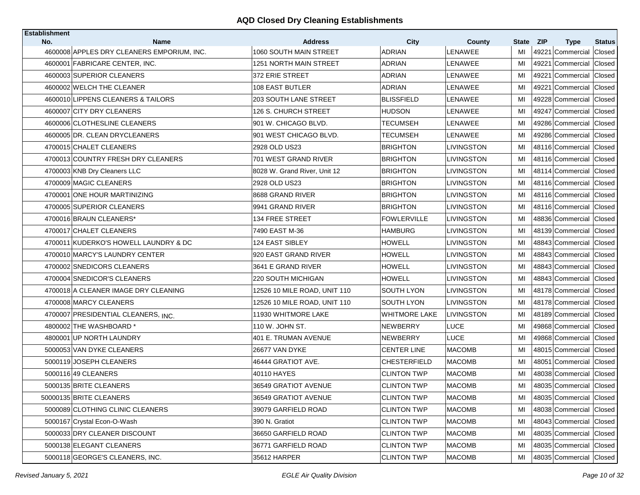| <b>Establishment</b><br>No. | <b>Name</b>                                | <b>Address</b>               | <b>City</b>          |                          | State | <b>ZIP</b> |                                 | <b>Status</b> |
|-----------------------------|--------------------------------------------|------------------------------|----------------------|--------------------------|-------|------------|---------------------------------|---------------|
|                             | 4600008 APPLES DRY CLEANERS EMPORIUM, INC. | 1060 SOUTH MAIN STREET       | <b>ADRIAN</b>        | County<br><b>LENAWEE</b> | MI    |            | <b>Type</b><br>49221 Commercial | Closed        |
|                             | 4600001 FABRICARE CENTER, INC.             | 1251 NORTH MAIN STREET       | <b>ADRIAN</b>        | LENAWEE                  | MI    |            | 49221 Commercial Closed         |               |
|                             | 4600003 SUPERIOR CLEANERS                  | 372 ERIE STREET              | ADRIAN               | LENAWEE                  | MI    |            | 49221 Commercial                | Closed        |
|                             | 4600002 WELCH THE CLEANER                  | <b>108 EAST BUTLER</b>       | <b>ADRIAN</b>        | LENAWEE                  | MI    | 49221      | Commercial                      | Closed        |
|                             | 4600010 LIPPENS CLEANERS & TAILORS         | <b>203 SOUTH LANE STREET</b> | <b>BLISSFIELD</b>    | LENAWEE                  | MI    |            | 49228 Commercial                | Closed        |
|                             | 4600007 CITY DRY CLEANERS                  | 126 S. CHURCH STREET         | <b>HUDSON</b>        | LENAWEE                  | MI    |            | 49247 Commercial                | Closed        |
|                             | 4600006 CLOTHESLINE CLEANERS               | 901 W. CHICAGO BLVD.         | TECUMSEH             | LENAWEE                  | MI    |            | 49286 Commercial Closed         |               |
|                             | 4600005 DR. CLEAN DRYCLEANERS              | 901 WEST CHICAGO BLVD.       | TECUMSEH             | LENAWEE                  | MI    |            | 49286 Commercial                | Closed        |
|                             | 4700015 CHALET CLEANERS                    | 2928 OLD US23                | <b>BRIGHTON</b>      | LIVINGSTON               | MI    |            | 48116 Commercial Closed         |               |
|                             | 4700013 COUNTRY FRESH DRY CLEANERS         | 701 WEST GRAND RIVER         | <b>BRIGHTON</b>      | LIVINGSTON               | MI    |            | 48116 Commercial                | Closed        |
|                             | 4700003 KNB Dry Cleaners LLC               | 8028 W. Grand River, Unit 12 | <b>BRIGHTON</b>      | LIVINGSTON               | MI    |            | 48114 Commercial Closed         |               |
|                             | 4700009 MAGIC CLEANERS                     | 2928 OLD US23                | <b>BRIGHTON</b>      | LIVINGSTON               | MI    |            | 48116 Commercial                | <b>Closed</b> |
|                             | 4700001 ONE HOUR MARTINIZING               | 8688 GRAND RIVER             | <b>BRIGHTON</b>      | LIVINGSTON               | MI    |            | 48116 Commercial Closed         |               |
|                             | 4700005 SUPERIOR CLEANERS                  | 9941 GRAND RIVER             | <b>BRIGHTON</b>      | LIVINGSTON               | MI    |            | 48116 Commercial                | Closed        |
|                             | 4700016 BRAUN CLEANERS*                    | 134 FREE STREET              | <b>FOWLERVILLE</b>   | <b>LIVINGSTON</b>        | MI    |            | 48836 Commercial                | Closed        |
|                             | 4700017 CHALET CLEANERS                    | 7490 EAST M-36               | <b>HAMBURG</b>       | LIVINGSTON               | MI    |            | 48139 Commercial                | Closed        |
|                             | 4700011 KUDERKO'S HOWELL LAUNDRY & DC      | 124 EAST SIBLEY              | <b>HOWELL</b>        | LIVINGSTON               | MI    |            | 48843 Commercial                | Closed        |
|                             | 4700010 MARCY'S LAUNDRY CENTER             | 920 EAST GRAND RIVER         | <b>HOWELL</b>        | LIVINGSTON               | MI    |            | 48843 Commercial                | Closed        |
|                             | 4700002 SNEDICORS CLEANERS                 | 3641 E GRAND RIVER           | <b>HOWELL</b>        | LIVINGSTON               | MI    |            | 48843 Commercial                | Closed        |
|                             | 4700004 SNEDICOR'S CLEANERS                | 220 SOUTH MICHIGAN           | <b>HOWELL</b>        | LIVINGSTON               | MI    |            | 48843 Commercial Closed         |               |
|                             | 4700018 A CLEANER IMAGE DRY CLEANING       | 12526 10 MILE ROAD, UNIT 110 | SOUTH LYON           | LIVINGSTON               | MI    |            | 48178 Commercial                | Closed        |
|                             | 4700008 MARCY CLEANERS                     | 12526 10 MILE ROAD, UNIT 110 | SOUTH LYON           | LIVINGSTON               | MI    |            | 48178 Commercial Closed         |               |
|                             | 4700007 PRESIDENTIAL CLEANERS, INC.        | 11930 WHITMORE LAKE          | <b>WHITMORE LAKE</b> | LIVINGSTON               | MI    |            | 48189 Commercial                | Closed        |
|                             | 4800002 THE WASHBOARD *                    | 110 W. JOHN ST.              | <b>NEWBERRY</b>      | LUCE                     | MI    |            | 49868 Commercial Closed         |               |
|                             | 4800001 UP NORTH LAUNDRY                   | 401 E. TRUMAN AVENUE         | NEWBERRY             | <b>LUCE</b>              | MI    |            | 49868 Commercial                | Closed        |
|                             | 5000053 VAN DYKE CLEANERS                  | 26677 VAN DYKE               | <b>CENTER LINE</b>   | <b>MACOMB</b>            | MI    |            | 48015 Commercial                | Closed        |
|                             | 5000119 JOSEPH CLEANERS                    | 46444 GRATIOT AVE.           | <b>CHESTERFIELD</b>  | <b>MACOMB</b>            | MI    |            | 48051 Commercial                | Closed        |
|                             | 5000116 49 CLEANERS                        | 40110 HAYES                  | <b>CLINTON TWP</b>   | <b>MACOMB</b>            | MI    |            | 48038 Commercial                | Closed        |
|                             | 5000135 BRITE CLEANERS                     | 36549 GRATIOT AVENUE         | <b>CLINTON TWP</b>   | <b>MACOMB</b>            | MI    |            | 48035 Commercial                | Closed        |
|                             | 50000135 BRITE CLEANERS                    | 36549 GRATIOT AVENUE         | <b>CLINTON TWP</b>   | <b>MACOMB</b>            | MI    |            | 48035 Commercial Closed         |               |
|                             | 5000089 CLOTHING CLINIC CLEANERS           | 39079 GARFIELD ROAD          | <b>CLINTON TWP</b>   | <b>MACOMB</b>            | MI    |            | 48038 Commercial Closed         |               |
|                             | 5000167 Crystal Econ-O-Wash                | 390 N. Gratiot               | <b>CLINTON TWP</b>   | <b>MACOMB</b>            | MI    |            | 48043 Commercial Closed         |               |
|                             | 5000033 DRY CLEANER DISCOUNT               | 36650 GARFIELD ROAD          | <b>CLINTON TWP</b>   | <b>MACOMB</b>            | MI    |            | 48035 Commercial Closed         |               |
|                             | 5000138 ELEGANT CLEANERS                   | 36771 GARFIELD ROAD          | <b>CLINTON TWP</b>   | <b>MACOMB</b>            | MI    |            | 48035 Commercial Closed         |               |
|                             | 5000118 GEORGE'S CLEANERS, INC.            | 35612 HARPER                 | <b>CLINTON TWP</b>   | <b>MACOMB</b>            | MI    |            | 48035 Commercial Closed         |               |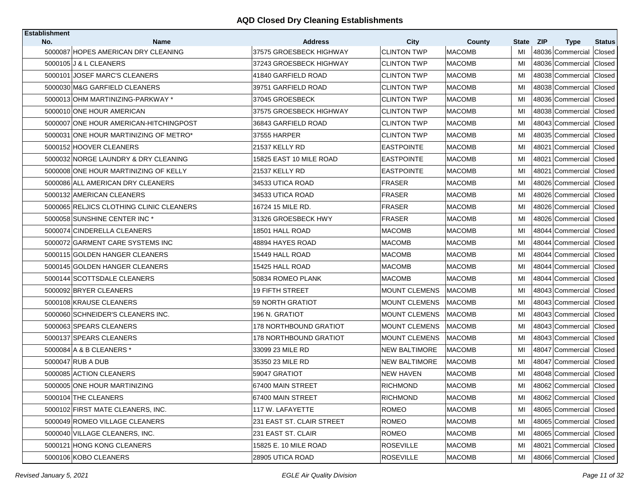| <b>Establishment</b> |                                                    |                                           |                                   |                         |             |            |                                 |               |
|----------------------|----------------------------------------------------|-------------------------------------------|-----------------------------------|-------------------------|-------------|------------|---------------------------------|---------------|
| No.                  | <b>Name</b><br>5000087 HOPES AMERICAN DRY CLEANING | <b>Address</b><br>37575 GROESBECK HIGHWAY | <b>City</b><br><b>CLINTON TWP</b> | County<br><b>MACOMB</b> | State<br>MI | <b>ZIP</b> | <b>Type</b><br>48036 Commercial | <b>Status</b> |
|                      | 5000105 J & L CLEANERS                             | 37243 GROESBECK HIGHWAY                   | <b>CLINTON TWP</b>                | <b>MACOMB</b>           | MI          |            | 48036 Commercial Closed         | Closed        |
|                      | 5000101 JOSEF MARC'S CLEANERS                      | 41840 GARFIELD ROAD                       | <b>CLINTON TWP</b>                | <b>MACOMB</b>           | MI          |            | 48038 Commercial                | Closed        |
|                      | 5000030 M&G GARFIELD CLEANERS                      | 39751 GARFIELD ROAD                       | <b>CLINTON TWP</b>                | <b>MACOMB</b>           | MI          |            | 48038 Commercial                | Closed        |
|                      | 5000013 OHM MARTINIZING-PARKWAY *                  | 37045 GROESBECK                           | <b>CLINTON TWP</b>                | <b>MACOMB</b>           | MI          |            | 48036 Commercial                | Closed        |
|                      | 5000010 ONE HOUR AMERICAN                          | 37575 GROESBECK HIGHWAY                   | <b>CLINTON TWP</b>                | <b>MACOMB</b>           | MI          |            | 48038 Commercial                | Closed        |
|                      | 5000007 ONE HOUR AMERICAN-HITCHINGPOST             | 36843 GARFIELD ROAD                       | <b>CLINTON TWP</b>                | <b>MACOMB</b>           | MI          |            | 48043 Commercial                | Closed        |
|                      | 5000031 ONE HOUR MARTINIZING OF METRO*             | 37555 HARPER                              | <b>CLINTON TWP</b>                | <b>MACOMB</b>           | MI          |            | 48035 Commercial                | Closed        |
|                      | 5000152 HOOVER CLEANERS                            | 21537 KELLY RD                            | <b>EASTPOINTE</b>                 | <b>MACOMB</b>           | MI          |            | 48021 Commercial                | Closed        |
|                      | 5000032 NORGE LAUNDRY & DRY CLEANING               | 15825 EAST 10 MILE ROAD                   | <b>EASTPOINTE</b>                 | <b>MACOMB</b>           | MI          |            | 48021 Commercial                | Closed        |
|                      | 5000008 ONE HOUR MARTINIZING OF KELLY              | 21537 KELLY RD                            | <b>EASTPOINTE</b>                 | <b>MACOMB</b>           | MI          |            | 48021 Commercial Closed         |               |
|                      | 5000086 ALL AMERICAN DRY CLEANERS                  | 34533 UTICA ROAD                          | <b>FRASER</b>                     | <b>MACOMB</b>           | MI          |            | 48026 Commercial                | Closed        |
|                      | 5000132 AMERICAN CLEANERS                          | 34533 UTICA ROAD                          | <b>FRASER</b>                     | <b>MACOMB</b>           | MI          |            | 48026 Commercial                | Closed        |
|                      | 5000065 RELJICS CLOTHING CLINIC CLEANERS           | 16724 15 MILE RD.                         | <b>FRASER</b>                     | <b>MACOMB</b>           | MI          |            | 48026 Commercial                | Closed        |
|                      | 5000058 SUNSHINE CENTER INC *                      | 31326 GROESBECK HWY                       | <b>FRASER</b>                     | <b>MACOMB</b>           | MI          |            | 48026 Commercial                | Closed        |
|                      | 5000074 CINDERELLA CLEANERS                        | 18501 HALL ROAD                           | <b>MACOMB</b>                     | <b>MACOMB</b>           | MI          |            | 48044 Commercial                | Closed        |
|                      | 5000072 GARMENT CARE SYSTEMS INC                   | 48894 HAYES ROAD                          | <b>MACOMB</b>                     | <b>MACOMB</b>           | MI          |            | 48044 Commercial                | Closed        |
|                      | 5000115 GOLDEN HANGER CLEANERS                     | 15449 HALL ROAD                           | <b>MACOMB</b>                     | <b>MACOMB</b>           | MI          |            | 48044 Commercial                | Closed        |
|                      | 5000145 GOLDEN HANGER CLEANERS                     | 15425 HALL ROAD                           | <b>MACOMB</b>                     | <b>MACOMB</b>           | MI          |            | 48044 Commercial                | Closed        |
|                      | 5000144 SCOTTSDALE CLEANERS                        | 50834 ROMEO PLANK                         | <b>MACOMB</b>                     | <b>MACOMB</b>           | MI          |            | 48044 Commercial                | Closed        |
|                      | 5000092 BRYER CLEANERS                             | <b>19 FIFTH STREET</b>                    | <b>MOUNT CLEMENS</b>              | <b>MACOMB</b>           | MI          |            | 48043 Commercial                | Closed        |
|                      | 5000108 KRAUSE CLEANERS                            | 59 NORTH GRATIOT                          | <b>MOUNT CLEMENS</b>              | <b>MACOMB</b>           | MI          |            | 48043 Commercial Closed         |               |
|                      | 5000060 SCHNEIDER'S CLEANERS INC.                  | 196 N. GRATIOT                            | <b>MOUNT CLEMENS</b>              | <b>MACOMB</b>           | MI          |            | 48043 Commercial                | Closed        |
|                      | 5000063 SPEARS CLEANERS                            | <b>178 NORTHBOUND GRATIOT</b>             | <b>MOUNT CLEMENS</b>              | <b>MACOMB</b>           | MI          |            | 48043 Commercial Closed         |               |
|                      | 5000137 SPEARS CLEANERS                            | <b>178 NORTHBOUND GRATIOT</b>             | MOUNT CLEMENS                     | <b>MACOMB</b>           | MI          |            | 48043 Commercial                | Closed        |
|                      | 5000084 A & B CLEANERS *                           | 33099 23 MILE RD                          | <b>NEW BALTIMORE</b>              | <b>MACOMB</b>           | MI          |            | 48047 Commercial                | Closed        |
|                      | 5000047 RUB A DUB                                  | 35350 23 MILE RD                          | <b>NEW BALTIMORE</b>              | <b>MACOMB</b>           | MI          |            | 48047 Commercial                | Closed        |
|                      | 5000085 ACTION CLEANERS                            | 59047 GRATIOT                             | <b>NEW HAVEN</b>                  | <b>MACOMB</b>           | MI          |            | 48048 Commercial                | Closed        |
|                      | 5000005 ONE HOUR MARTINIZING                       | 67400 MAIN STREET                         | <b>RICHMOND</b>                   | <b>MACOMB</b>           | MI          |            | 48062 Commercial Closed         |               |
|                      | 5000104 THE CLEANERS                               | 67400 MAIN STREET                         | <b>RICHMOND</b>                   | <b>MACOMB</b>           | MI          |            | 48062 Commercial Closed         |               |
|                      | 5000102 FIRST MATE CLEANERS, INC.                  | 117 W. LAFAYETTE                          | <b>ROMEO</b>                      | <b>MACOMB</b>           | MI          |            | 48065 Commercial Closed         |               |
|                      | 5000049 ROMEO VILLAGE CLEANERS                     | 231 EAST ST. CLAIR STREET                 | <b>ROMEO</b>                      | <b>MACOMB</b>           | MI          |            | 48065 Commercial Closed         |               |
|                      | 5000040 VILLAGE CLEANERS, INC.                     | 231 EAST ST. CLAIR                        | ROMEO                             | <b>MACOMB</b>           | MI          |            | 48065 Commercial Closed         |               |
|                      | 5000121 HONG KONG CLEANERS                         | 15825 E. 10 MILE ROAD                     | <b>ROSEVILLE</b>                  | <b>MACOMB</b>           | MI          |            | 48021 Commercial                | Closed        |
|                      | 5000106 KOBO CLEANERS                              | 28905 UTICA ROAD                          | <b>ROSEVILLE</b>                  | <b>MACOMB</b>           | MI          |            | 48066 Commercial Closed         |               |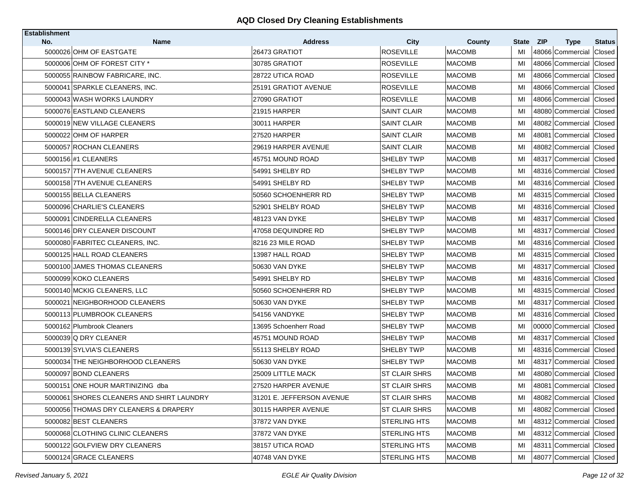| <b>Establishment</b> |                                           |                                 |                                 |                         |             |                                               |                         |
|----------------------|-------------------------------------------|---------------------------------|---------------------------------|-------------------------|-------------|-----------------------------------------------|-------------------------|
| No.                  | <b>Name</b><br>5000026 OHM OF EASTGATE    | <b>Address</b><br>26473 GRATIOT | <b>City</b><br><b>ROSEVILLE</b> | County<br><b>MACOMB</b> | State<br>MI | <b>ZIP</b><br><b>Type</b><br>48066 Commercial | <b>Status</b><br>Closed |
|                      | 5000006 OHM OF FOREST CITY *              | 30785 GRATIOT                   | <b>ROSEVILLE</b>                | <b>MACOMB</b>           | МI          | 48066 Commercial Closed                       |                         |
|                      | 5000055 RAINBOW FABRICARE, INC.           | 28722 UTICA ROAD                | <b>ROSEVILLE</b>                | <b>MACOMB</b>           | MI          | 48066 Commercial Closed                       |                         |
|                      |                                           |                                 |                                 |                         |             |                                               |                         |
|                      | 5000041 SPARKLE CLEANERS. INC.            | 25191 GRATIOT AVENUE            | <b>ROSEVILLE</b>                | <b>MACOMB</b>           | MI          | 48066 Commercial                              | Closed                  |
|                      | 5000043 WASH WORKS LAUNDRY                | 27090 GRATIOT                   | ROSEVILLE                       | <b>MACOMB</b>           | MI          | 48066 Commercial                              | Closed                  |
|                      | 5000076 EASTLAND CLEANERS                 | 21915 HARPER                    | <b>SAINT CLAIR</b>              | <b>MACOMB</b>           | MI          | 48080 Commercial                              | Closed                  |
|                      | 5000019 NEW VILLAGE CLEANERS              | 30011 HARPER                    | SAINT CLAIR                     | <b>MACOMB</b>           | MI          | 48082 Commercial Closed                       |                         |
|                      | 5000022 OHM OF HARPER                     | 27520 HARPER                    | SAINT CLAIR                     | <b>MACOMB</b>           | MI          | 48081 Commercial                              | Closed                  |
|                      | 5000057 ROCHAN CLEANERS                   | 29619 HARPER AVENUE             | <b>SAINT CLAIR</b>              | <b>MACOMB</b>           | MI          | 48082 Commercial Closed                       |                         |
|                      | 5000156 #1 CLEANERS                       | 45751 MOUND ROAD                | SHELBY TWP                      | <b>MACOMB</b>           | MI          | 48317 Commercial                              | Closed                  |
|                      | 5000157 7TH AVENUE CLEANERS               | 54991 SHELBY RD                 | SHELBY TWP                      | <b>MACOMB</b>           | MI          | 48316 Commercial Closed                       |                         |
|                      | 5000158 7TH AVENUE CLEANERS               | 54991 SHELBY RD                 | SHELBY TWP                      | <b>MACOMB</b>           | MI          | 48316 Commercial                              | <b>Closed</b>           |
|                      | 5000155 BELLA CLEANERS                    | 50560 SCHOENHERR RD             | SHELBY TWP                      | <b>MACOMB</b>           | MI          | 48315 Commercial                              | <b>Closed</b>           |
|                      | 5000096 CHARLIE'S CLEANERS                | 52901 SHELBY ROAD               | SHELBY TWP                      | <b>MACOMB</b>           | MI          | 48316 Commercial                              | Closed                  |
|                      | 5000091 CINDERELLA CLEANERS               | 48123 VAN DYKE                  | SHELBY TWP                      | <b>MACOMB</b>           | MI          | 48317 Commercial Closed                       |                         |
|                      | 5000146 DRY CLEANER DISCOUNT              | 47058 DEQUINDRE RD              | SHELBY TWP                      | <b>MACOMB</b>           | MI          | 48317 Commercial                              | Closed                  |
|                      | 5000080 FABRITEC CLEANERS. INC.           | 8216 23 MILE ROAD               | SHELBY TWP                      | <b>MACOMB</b>           | MI          | 48316 Commercial                              | Closed                  |
|                      | 5000125 HALL ROAD CLEANERS                | 13987 HALL ROAD                 | SHELBY TWP                      | <b>MACOMB</b>           | MI          | 48315 Commercial                              | Closed                  |
|                      | 5000100 JAMES THOMAS CLEANERS             | 50630 VAN DYKE                  | SHELBY TWP                      | <b>MACOMB</b>           | MI          | 48317 Commercial                              | Closed                  |
|                      | 5000099 KOKO CLEANERS                     | 54991 SHELBY RD                 | SHELBY TWP                      | <b>MACOMB</b>           | MI          | 48316 Commercial Closed                       |                         |
|                      | 5000140 MCKIG CLEANERS, LLC               | 50560 SCHOENHERR RD             | SHELBY TWP                      | <b>MACOMB</b>           | MI          | 48315 Commercial                              | Closed                  |
|                      | 5000021 NEIGHBORHOOD CLEANERS             | 50630 VAN DYKE                  | SHELBY TWP                      | <b>MACOMB</b>           | MI          | 48317 Commercial Closed                       |                         |
|                      | 5000113 PLUMBROOK CLEANERS                | 54156 VANDYKE                   | SHELBY TWP                      | <b>MACOMB</b>           | MI          | 48316 Commercial                              | Closed                  |
|                      | 5000162 Plumbrook Cleaners                | 13695 Schoenherr Road           | SHELBY TWP                      | <b>MACOMB</b>           | MI          | 00000 Commercial Closed                       |                         |
|                      | 5000039 Q DRY CLEANER                     | 45751 MOUND ROAD                | SHELBY TWP                      | <b>MACOMB</b>           | MI          | 48317 Commercial                              | Closed                  |
|                      | 5000139 SYLVIA'S CLEANERS                 | 55113 SHELBY ROAD               | SHELBY TWP                      | <b>MACOMB</b>           | MI          | 48316 Commercial Closed                       |                         |
|                      | 5000034 THE NEIGHBORHOOD CLEANERS         | 50630 VAN DYKE                  | SHELBY TWP                      | <b>MACOMB</b>           | MI          | 48317 Commercial                              | Closed                  |
|                      | 5000097 BOND CLEANERS                     | 25009 LITTLE MACK               | ST CLAIR SHRS                   | <b>MACOMB</b>           | MI          | 48080 Commercial Closed                       |                         |
|                      | 5000151 ONE HOUR MARTINIZING dba          | 27520 HARPER AVENUE             | <b>ST CLAIR SHRS</b>            | MACOMB                  | MI          | 48081 Commercial Closed                       |                         |
|                      | 5000061 SHORES CLEANERS AND SHIRT LAUNDRY | 31201 E. JEFFERSON AVENUE       | ST CLAIR SHRS                   | <b>MACOMB</b>           | MI          | 48082 Commercial Closed                       |                         |
|                      | 5000056 THOMAS DRY CLEANERS & DRAPERY     | 30115 HARPER AVENUE             | ST CLAIR SHRS                   | <b>MACOMB</b>           | MI          | 48082 Commercial Closed                       |                         |
|                      | 5000082 BEST CLEANERS                     | 37872 VAN DYKE                  | <b>STERLING HTS</b>             | <b>MACOMB</b>           | MI          | 48312 Commercial Closed                       |                         |
|                      | 5000068 CLOTHING CLINIC CLEANERS          | 37872 VAN DYKE                  | <b>STERLING HTS</b>             | <b>MACOMB</b>           | MI          | 48312 Commercial Closed                       |                         |
|                      | 5000122 GOLFVIEW DRY CLEANERS             | 38157 UTICA ROAD                | STERLING HTS                    | <b>MACOMB</b>           | MI          | 48311 Commercial Closed                       |                         |
|                      | 5000124 GRACE CLEANERS                    | 40748 VAN DYKE                  | <b>STERLING HTS</b>             | <b>MACOMB</b>           | MI          | 48077 Commercial Closed                       |                         |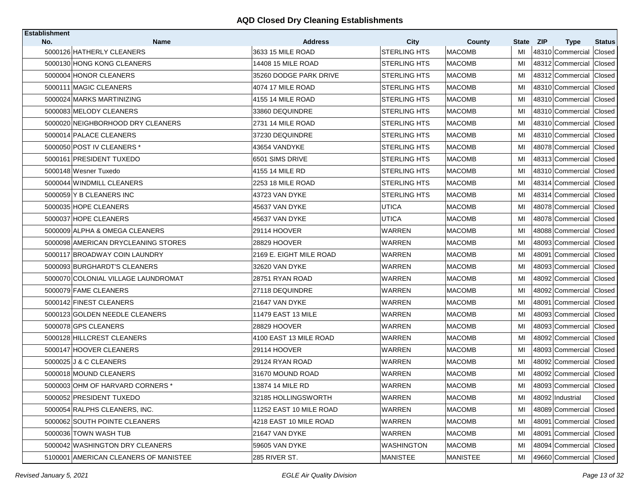| <b>Establishment</b> |                                       |                                     |                      |                         |             |                                               |                         |
|----------------------|---------------------------------------|-------------------------------------|----------------------|-------------------------|-------------|-----------------------------------------------|-------------------------|
| No.                  | Name<br>5000126 HATHERLY CLEANERS     | <b>Address</b><br>3633 15 MILE ROAD | City<br>STERLING HTS | County<br><b>MACOMB</b> | State<br>MI | <b>ZIP</b><br><b>Type</b><br>48310 Commercial | <b>Status</b><br>Closed |
|                      | 5000130 HONG KONG CLEANERS            | 14408 15 MILE ROAD                  | STERLING HTS         | <b>MACOMB</b>           | MI          | 48312 Commercial                              | Closed                  |
|                      | 5000004 HONOR CLEANERS                | 35260 DODGE PARK DRIVE              | STERLING HTS         | <b>MACOMB</b>           | MI          | 48312 Commercial                              | Closed                  |
|                      |                                       |                                     |                      |                         |             |                                               |                         |
|                      | 5000111 MAGIC CLEANERS                | 4074 17 MILE ROAD                   | <b>STERLING HTS</b>  | <b>MACOMB</b>           | MI          | 48310 Commercial                              | Closed                  |
|                      | 5000024 MARKS MARTINIZING             | 4155 14 MILE ROAD                   | STERLING HTS         | <b>MACOMB</b>           | MI          | 48310 Commercial Closed                       |                         |
|                      | 5000083 MELODY CLEANERS               | 33860 DEQUINDRE                     | <b>STERLING HTS</b>  | <b>MACOMB</b>           | MI          | 48310 Commercial                              | Closed                  |
|                      | 5000020 NEIGHBORHOOD DRY CLEANERS     | 2731 14 MILE ROAD                   | STERLING HTS         | <b>MACOMB</b>           | MI          | 48310 Commercial Closed                       |                         |
|                      | 5000014 PALACE CLEANERS               | 37230 DEQUINDRE                     | STERLING HTS         | <b>MACOMB</b>           | MI          | 48310 Commercial                              | Closed                  |
|                      | 5000050 POST IV CLEANERS *            | 43654 VANDYKE                       | STERLING HTS         | <b>MACOMB</b>           | MI          | 48078 Commercial Closed                       |                         |
|                      | 5000161 PRESIDENT TUXEDO              | 6501 SIMS DRIVE                     | STERLING HTS         | <b>MACOMB</b>           | MI          | 48313 Commercial                              | Closed                  |
|                      | 5000148 Wesner Tuxedo                 | 4155 14 MILE RD                     | <b>STERLING HTS</b>  | <b>MACOMB</b>           | MI          | 48310 Commercial Closed                       |                         |
|                      | 5000044 WINDMILL CLEANERS             | 2253 18 MILE ROAD                   | STERLING HTS         | <b>MACOMB</b>           | MI          | 48314 Commercial                              | Closed                  |
|                      | 5000059 Y B CLEANERS INC              | 43723 VAN DYKE                      | <b>STERLING HTS</b>  | <b>MACOMB</b>           | MI          | 48314 Commercial                              | Closed                  |
|                      | 5000035 HOPE CLEANERS                 | 45637 VAN DYKE                      | UTICA                | <b>MACOMB</b>           | MI          | 48078 Commercial                              | Closed                  |
|                      | 5000037 HOPE CLEANERS                 | 45637 VAN DYKE                      | <b>UTICA</b>         | <b>MACOMB</b>           | MI          | 48078 Commercial                              | Closed                  |
|                      | 5000009 ALPHA & OMEGA CLEANERS        | 29114 HOOVER                        | <b>WARREN</b>        | <b>MACOMB</b>           | MI          | 48088 Commercial                              | Closed                  |
|                      | 5000098 AMERICAN DRYCLEANING STORES   | 28829 HOOVER                        | <b>WARREN</b>        | <b>MACOMB</b>           | MI          | 48093 Commercial                              | Closed                  |
|                      | 5000117 BROADWAY COIN LAUNDRY         | 2169 E. EIGHT MILE ROAD             | WARREN               | <b>MACOMB</b>           | MI          | 48091 Commercial                              | Closed                  |
|                      | 5000093 BURGHARDT'S CLEANERS          | 32620 VAN DYKE                      | WARREN               | <b>MACOMB</b>           | MI          | 48093 Commercial                              | Closed                  |
|                      | 5000070 COLONIAL VILLAGE LAUNDROMAT   | 28751 RYAN ROAD                     | WARREN               | <b>MACOMB</b>           | MI          | 48092 Commercial Closed                       |                         |
|                      | 5000079 FAME CLEANERS                 | 27118 DEQUINDRE                     | WARREN               | <b>MACOMB</b>           | MI          | 48092 Commercial                              | Closed                  |
|                      | 5000142 FINEST CLEANERS               | 21647 VAN DYKE                      | WARREN               | <b>MACOMB</b>           | MI          | 48091 Commercial                              | Closed                  |
|                      | 5000123 GOLDEN NEEDLE CLEANERS        | 11479 EAST 13 MILE                  | WARREN               | <b>MACOMB</b>           | MI          | 48093 Commercial                              | Closed                  |
|                      | 5000078 GPS CLEANERS                  | 28829 HOOVER                        | WARREN               | <b>MACOMB</b>           | MI          | 48093 Commercial Closed                       |                         |
|                      | 5000128 HILLCREST CLEANERS            | 4100 EAST 13 MILE ROAD              | WARREN               | <b>MACOMB</b>           | MI          | 48092 Commercial                              | Closed                  |
|                      | 5000147 HOOVER CLEANERS               | 29114 HOOVER                        | <b>WARREN</b>        | <b>MACOMB</b>           | MI          | 48093 Commercial                              | Closed                  |
|                      | 5000025 J & C CLEANERS                | 29124 RYAN ROAD                     | WARREN               | <b>MACOMB</b>           | MI          | 48092 Commercial                              | Closed                  |
|                      | 5000018 MOUND CLEANERS                | 31670 MOUND ROAD                    | <b>WARREN</b>        | <b>MACOMB</b>           | MI          | 48092 Commercial                              | Closed                  |
|                      | 5000003 OHM OF HARVARD CORNERS *      | 13874 14 MILE RD                    | <b>WARREN</b>        | <b>MACOMB</b>           | MI          | 48093 Commercial Closed                       |                         |
|                      | 5000052 PRESIDENT TUXEDO              | 32185 HOLLINGSWORTH                 | <b>WARREN</b>        | <b>MACOMB</b>           | MI          | 48092 Industrial                              | Closed                  |
|                      | 5000054 RALPHS CLEANERS, INC.         | 11252 EAST 10 MILE ROAD             | WARREN               | <b>MACOMB</b>           | MI          | 48089 Commercial                              | Closed                  |
|                      | 5000062 SOUTH POINTE CLEANERS         | 4218 EAST 10 MILE ROAD              | WARREN               | <b>MACOMB</b>           | MI          | 48091 Commercial Closed                       |                         |
|                      | 5000036 TOWN WASH TUB                 | 21647 VAN DYKE                      | WARREN               | <b>MACOMB</b>           | MI          | 48091 Commercial Closed                       |                         |
|                      | 5000042 WASHINGTON DRY CLEANERS       | 59605 VAN DYKE                      | WASHINGTON           | <b>MACOMB</b>           | MI          | 48094 Commercial                              | Closed                  |
|                      | 5100001 AMERICAN CLEANERS OF MANISTEE | 285 RIVER ST.                       | <b>MANISTEE</b>      | <b>MANISTEE</b>         | MI          | 49660 Commercial Closed                       |                         |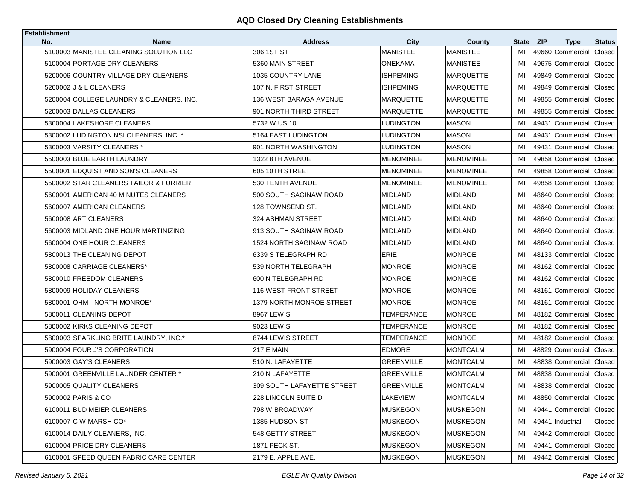| <b>Establishment</b> | <b>Name</b>                              |                              |                         |                           |                    |                                               |                         |
|----------------------|------------------------------------------|------------------------------|-------------------------|---------------------------|--------------------|-----------------------------------------------|-------------------------|
| No.                  | 5100003 MANISTEE CLEANING SOLUTION LLC   | <b>Address</b><br>306 1ST ST | City<br><b>MANISTEE</b> | County<br><b>MANISTEE</b> | <b>State</b><br>MI | <b>ZIP</b><br><b>Type</b><br>49660 Commercial | <b>Status</b><br>Closed |
|                      | 5100004 PORTAGE DRY CLEANERS             | 5360 MAIN STREET             | <b>ONEKAMA</b>          | <b>MANISTEE</b>           | МI                 | 49675 Commercial                              | Closed                  |
|                      | 5200006 COUNTRY VILLAGE DRY CLEANERS     | 1035 COUNTRY LANE            | <b>ISHPEMING</b>        | MARQUETTE                 | MI                 | 49849 Commercial                              | Closed                  |
|                      | 5200002 J & L CLEANERS                   | 107 N. FIRST STREET          | <b>ISHPEMING</b>        | <b>MARQUETTE</b>          | MI                 | 49849 Commercial                              | Closed                  |
|                      | 5200004 COLLEGE LAUNDRY & CLEANERS, INC. | 136 WEST BARAGA AVENUE       | <b>MARQUETTE</b>        | <b>MARQUETTE</b>          | MI                 | 49855 Commercial                              | Closed                  |
|                      | 5200003 DALLAS CLEANERS                  | 901 NORTH THIRD STREET       | <b>MARQUETTE</b>        | MARQUETTE                 | MI                 | 49855 Commercial                              | Closed                  |
|                      | 5300004 LAKESHORE CLEANERS               | 5732 W US 10                 | <b>LUDINGTON</b>        | <b>MASON</b>              | MI                 | 49431 Commercial                              | Closed                  |
|                      | 5300002 LUDINGTON NSI CLEANERS, INC. *   | 5164 EAST LUDINGTON          | <b>LUDINGTON</b>        | MASON                     | MI                 | 49431 Commercial                              | Closed                  |
|                      | 5300003 VARSITY CLEANERS *               | 901 NORTH WASHINGTON         | <b>LUDINGTON</b>        | <b>MASON</b>              | MI                 | 49431 Commercial                              | Closed                  |
|                      | 5500003 BLUE EARTH LAUNDRY               | 1322 8TH AVENUE              | <b>MENOMINEE</b>        | <b>MENOMINEE</b>          | MI                 | 49858 Commercial                              | Closed                  |
|                      | 5500001 EDQUIST AND SON'S CLEANERS       | 605 10TH STREET              | <b>MENOMINEE</b>        | <b>MENOMINEE</b>          | MI                 | 49858 Commercial                              | Closed                  |
|                      | 5500002 STAR CLEANERS TAILOR & FURRIER   | 530 TENTH AVENUE             | <b>MENOMINEE</b>        | <b>MENOMINEE</b>          | MI                 | 49858 Commercial                              | Closed                  |
|                      | 5600001 AMERICAN 40 MINUTES CLEANERS     | 500 SOUTH SAGINAW ROAD       | <b>MIDLAND</b>          | <b>MIDLAND</b>            | MI                 | 48640 Commercial                              | Closed                  |
|                      | 5600007 AMERICAN CLEANERS                | 128 TOWNSEND ST.             | <b>MIDLAND</b>          | <b>MIDLAND</b>            | MI                 | 48640 Commercial                              | Closed                  |
|                      | 5600008 ART CLEANERS                     | 324 ASHMAN STREET            | <b>MIDLAND</b>          | <b>MIDLAND</b>            | MI                 | 48640 Commercial                              | Closed                  |
|                      | 5600003 MIDLAND ONE HOUR MARTINIZING     | 913 SOUTH SAGINAW ROAD       | <b>MIDLAND</b>          | MIDLAND                   | MI                 | 48640 Commercial                              | Closed                  |
|                      | 5600004 ONE HOUR CLEANERS                | 1524 NORTH SAGINAW ROAD      | <b>MIDLAND</b>          | <b>MIDLAND</b>            | MI                 | 48640 Commercial                              | Closed                  |
|                      | 5800013 THE CLEANING DEPOT               | 6339 S TELEGRAPH RD          | <b>ERIE</b>             | MONROE                    | MI                 | 48133 Commercial                              | Closed                  |
|                      | 5800008 CARRIAGE CLEANERS*               | 539 NORTH TELEGRAPH          | <b>MONROE</b>           | MONROE                    | MI                 | 48162 Commercial                              | Closed                  |
|                      | 5800010 FREEDOM CLEANERS                 | 600 N TELEGRAPH RD           | <b>MONROE</b>           | MONROE                    | MI                 | 48162 Commercial                              | Closed                  |
|                      | 5800009 HOLIDAY CLEANERS                 | 116 WEST FRONT STREET        | <b>MONROE</b>           | MONROE                    | MI                 | 48161 Commercial                              | Closed                  |
|                      | 5800001 OHM - NORTH MONROE*              | 1379 NORTH MONROE STREET     | <b>MONROE</b>           | <b>MONROE</b>             | MI                 | 48161 Commercial                              | Closed                  |
|                      | 5800011 CLEANING DEPOT                   | 8967 LEWIS                   | TEMPERANCE              | <b>MONROE</b>             | MI                 | 48182 Commercial                              | Closed                  |
|                      | 5800002 KIRKS CLEANING DEPOT             | 9023 LEWIS                   | <b>TEMPERANCE</b>       | <b>MONROE</b>             | MI                 | 48182 Commercial                              | Closed                  |
|                      | 5800003 SPARKLING BRITE LAUNDRY, INC.*   | 8744 LEWIS STREET            | TEMPERANCE              | <b>MONROE</b>             | MI                 | 48182 Commercial                              | Closed                  |
|                      | 5900004 FOUR J'S CORPORATION             | 217 E MAIN                   | <b>EDMORE</b>           | <b>MONTCALM</b>           | MI                 | 48829 Commercial                              | Closed                  |
|                      | 5900003 GAY'S CLEANERS                   | 510 N. LAFAYETTE             | <b>GREENVILLE</b>       | <b>MONTCALM</b>           | MI                 | 48838 Commercial                              | Closed                  |
|                      | 5900001 GREENVILLE LAUNDER CENTER *      | 210 N LAFAYETTE              | <b>GREENVILLE</b>       | <b>MONTCALM</b>           | MI                 | 48838 Commercial                              | Closed                  |
|                      | 5900005 QUALITY CLEANERS                 | 309 SOUTH LAFAYETTE STREET   | <b>GREENVILLE</b>       | <b>MONTCALM</b>           | MI                 | 48838 Commercial                              | Closed                  |
|                      | 5900002 PARIS & CO                       | 228 LINCOLN SUITE D          | <b>LAKEVIEW</b>         | <b>MONTCALM</b>           | MI                 | 48850 Commercial Closed                       |                         |
|                      | 6100011 BUD MEIER CLEANERS               | 798 W BROADWAY               | <b>MUSKEGON</b>         | <b>MUSKEGON</b>           | MI                 | 49441 Commercial                              | Closed                  |
|                      | 6100007 C W MARSH CO*                    | 1385 HUDSON ST               | <b>MUSKEGON</b>         | MUSKEGON                  | МI                 | 49441 Industrial                              | Closed                  |
|                      | 6100014 DAILY CLEANERS, INC.             | 548 GETTY STREET             | <b>MUSKEGON</b>         | <b>MUSKEGON</b>           | MI                 | 49442 Commercial                              | Closed                  |
|                      | 6100004 PRICE DRY CLEANERS               | 1871 PECK ST.                | <b>MUSKEGON</b>         | MUSKEGON                  | MI                 | 49441 Commercial                              | Closed                  |
|                      | 6100001 SPEED QUEEN FABRIC CARE CENTER   | 2179 E. APPLE AVE.           | <b>MUSKEGON</b>         | <b>MUSKEGON</b>           | MI                 | 49442 Commercial Closed                       |                         |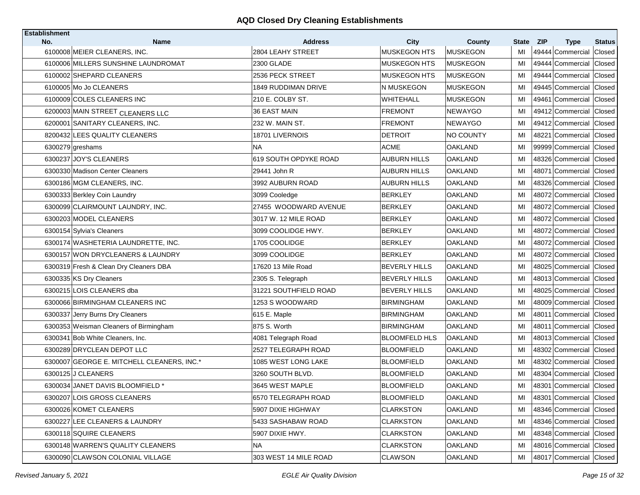| <b>Establishment</b><br>No. | <b>Name</b>                                | <b>Address</b>             | City                 | <b>County</b>   | State | <b>ZIP</b>                      | <b>Status</b> |
|-----------------------------|--------------------------------------------|----------------------------|----------------------|-----------------|-------|---------------------------------|---------------|
|                             | 6100008 MEIER CLEANERS, INC.               | 2804 LEAHY STREET          | <b>MUSKEGON HTS</b>  | <b>MUSKEGON</b> | MI    | <b>Type</b><br>49444 Commercial | Closed        |
|                             | 6100006 MILLERS SUNSHINE LAUNDROMAT        | 2300 GLADE                 | <b>MUSKEGON HTS</b>  | <b>MUSKEGON</b> | MI    | 49444 Commercial                | Closed        |
|                             | 6100002 SHEPARD CLEANERS                   | 2536 PECK STREET           | <b>MUSKEGON HTS</b>  | <b>MUSKEGON</b> | MI    | 49444 Commercial                | Closed        |
|                             | 6100005 Mo Jo CLEANERS                     | <b>1849 RUDDIMAN DRIVE</b> | N MUSKEGON           | <b>MUSKEGON</b> | MI    | 49445 Commercial                | Closed        |
|                             | 6100009 COLES CLEANERS INC                 | 210 E. COLBY ST.           | <b>WHITEHALL</b>     | <b>MUSKEGON</b> | MI    | Commercial<br>49461             | Closed        |
|                             | 6200003 MAIN STREET CLEANERS LLC           | 36 EAST MAIN               | <b>FREMONT</b>       | <b>NEWAYGO</b>  | MI    | 49412 Commercial                | Closed        |
|                             | 6200001 SANITARY CLEANERS, INC.            | 232 W. MAIN ST.            | <b>FREMONT</b>       | <b>NEWAYGO</b>  | MI    | 49412 Commercial                | Closed        |
|                             | 8200432 LEES QUALITY CLEANERS              | 18701 LIVERNOIS            | <b>DETROIT</b>       | NO COUNTY       | MI    | 48221 Commercial                | Closed        |
|                             | 6300279 greshams                           | <b>NA</b>                  | ACME                 | OAKLAND         | MI    | 99999 Commercial Closed         |               |
|                             | 6300237 JOY'S CLEANERS                     | 619 SOUTH OPDYKE ROAD      | <b>AUBURN HILLS</b>  | OAKLAND         | MI    | 48326 Commercial                | Closed        |
|                             | 6300330 Madison Center Cleaners            | 29441 John R               | <b>AUBURN HILLS</b>  | OAKLAND         | MI    | 48071 Commercial                | Closed        |
|                             | 6300186 MGM CLEANERS, INC.                 | 3992 AUBURN ROAD           | <b>AUBURN HILLS</b>  | OAKLAND         | MI    | 48326 Commercial                | Closed        |
|                             | 6300333 Berkley Coin Laundry               | 3099 Cooledge              | <b>BERKLEY</b>       | <b>OAKLAND</b>  | MI    | 48072 Commercial                | Closed        |
|                             | 6300099 CLAIRMOUNT LAUNDRY, INC.           | 27455 WOODWARD AVENUE      | BERKLEY              | <b>OAKLAND</b>  | MI    | 48072 Commercial                | Closed        |
|                             | 6300203 MODEL CLEANERS                     | 3017 W. 12 MILE ROAD       | <b>BERKLEY</b>       | <b>OAKLAND</b>  | MI    | 48072 Commercial                | Closed        |
|                             | 6300154 Sylvia's Cleaners                  | 3099 COOLIDGE HWY.         | <b>BERKLEY</b>       | OAKLAND         | MI    | 48072 Commercial                | Closed        |
|                             | 6300174 WASHETERIA LAUNDRETTE, INC.        | 1705 COOLIDGE              | <b>BERKLEY</b>       | <b>OAKLAND</b>  | MI    | 48072 Commercial                | Closed        |
|                             | 6300157 WON DRYCLEANERS & LAUNDRY          | 3099 COOLIDGE              | <b>BERKLEY</b>       | <b>OAKLAND</b>  | MI    | 48072 Commercial                | Closed        |
|                             | 6300319 Fresh & Clean Dry Cleaners DBA     | 17620 13 Mile Road         | <b>BEVERLY HILLS</b> | <b>OAKLAND</b>  | MI    | 48025 Commercial                | Closed        |
|                             | 6300335 KS Dry Cleaners                    | 2305 S. Telegraph          | <b>BEVERLY HILLS</b> | OAKLAND         | MI    | 48013 Commercial                | Closed        |
|                             | 6300215 LOIS CLEANERS dba                  | 31221 SOUTHFIELD ROAD      | <b>BEVERLY HILLS</b> | OAKLAND         | MI    | 48025 Commercial                | Closed        |
|                             | 6300066 BIRMINGHAM CLEANERS INC            | 1253 S WOODWARD            | BIRMINGHAM           | <b>OAKLAND</b>  | MI    | 48009 Commercial                | Closed        |
|                             | 6300337 Jerry Burns Dry Cleaners           | 615 E. Maple               | <b>BIRMINGHAM</b>    | OAKLAND         | MI    | 48011 Commercial                | Closed        |
|                             | 6300353 Weisman Cleaners of Birmingham     | 875 S. Worth               | <b>BIRMINGHAM</b>    | <b>OAKLAND</b>  | MI    | 48011 Commercial                | Closed        |
|                             | 6300341 Bob White Cleaners, Inc.           | 4081 Telegraph Road        | <b>BLOOMFELD HLS</b> | <b>OAKLAND</b>  | MI    | 48013 Commercial                | Closed        |
|                             | 6300289 DRYCLEAN DEPOT LLC                 | 2527 TELEGRAPH ROAD        | <b>BLOOMFIELD</b>    | <b>OAKLAND</b>  | MI    | 48302 Commercial                | Closed        |
|                             | 6300007 GEORGE E. MITCHELL CLEANERS, INC.* | 1085 WEST LONG LAKE        | BLOOMFIELD           | OAKLAND         | MI    | 48302 Commercial                | Closed        |
|                             | 6300125 J CLEANERS                         | 3260 SOUTH BLVD.           | <b>BLOOMFIELD</b>    | <b>OAKLAND</b>  | MI    | 48304 Commercial                | Closed        |
|                             | 6300034 JANET DAVIS BLOOMFIELD *           | 3645 WEST MAPLE            | BLOOMFIELD           | OAKLAND         | MI    | 48301 Commercial                | Closed        |
|                             | 6300207 LOIS GROSS CLEANERS                | 6570 TELEGRAPH ROAD        | <b>BLOOMFIELD</b>    | <b>OAKLAND</b>  | MI    | 48301 Commercial Closed         |               |
|                             | 6300026 KOMET CLEANERS                     | 5907 DIXIE HIGHWAY         | <b>CLARKSTON</b>     | <b>OAKLAND</b>  | MI    | 48346 Commercial Closed         |               |
|                             | 6300227 LEE CLEANERS & LAUNDRY             | 5433 SASHABAW ROAD         | <b>CLARKSTON</b>     | <b>OAKLAND</b>  | MI    | 48346 Commercial Closed         |               |
|                             | 6300118 SQUIRE CLEANERS                    | 5907 DIXIE HWY.            | <b>CLARKSTON</b>     | <b>OAKLAND</b>  | MI    | 48348 Commercial Closed         |               |
|                             | 6300148 WARREN'S QUALITY CLEANERS          | <b>NA</b>                  | <b>CLARKSTON</b>     | <b>OAKLAND</b>  | MI    | 48016 Commercial Closed         |               |
|                             | 6300090 CLAWSON COLONIAL VILLAGE           | 303 WEST 14 MILE ROAD      | <b>CLAWSON</b>       | <b>OAKLAND</b>  | MI    | 48017 Commercial Closed         |               |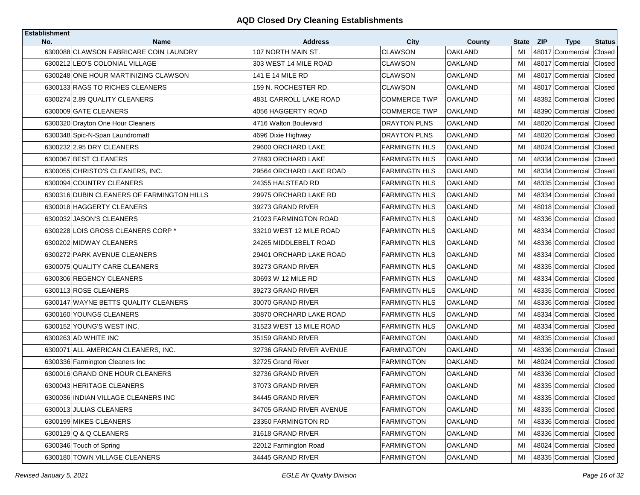| <b>Establishment</b> |                                                       |                                      |                               |                          |          |                                      |                  |
|----------------------|-------------------------------------------------------|--------------------------------------|-------------------------------|--------------------------|----------|--------------------------------------|------------------|
| No.                  | <b>Name</b><br>6300088 CLAWSON FABRICARE COIN LAUNDRY | <b>Address</b><br>107 NORTH MAIN ST. | <b>City</b><br><b>CLAWSON</b> | County<br><b>OAKLAND</b> | State    | <b>ZIP</b><br><b>Type</b>            | <b>Status</b>    |
|                      | 6300212 LEO'S COLONIAL VILLAGE                        | 303 WEST 14 MILE ROAD                | <b>CLAWSON</b>                | <b>OAKLAND</b>           | MI<br>MI | 48017 Commercial<br>48017 Commercial | Closed<br>Closed |
|                      | 6300248 ONE HOUR MARTINIZING CLAWSON                  | 141 E 14 MILE RD                     | CLAWSON                       | OAKLAND                  | MI       | 48017 Commercial                     | Closed           |
|                      |                                                       |                                      |                               |                          |          |                                      |                  |
|                      | 6300133 RAGS TO RICHES CLEANERS                       | 159 N. ROCHESTER RD.                 | <b>CLAWSON</b>                | <b>OAKLAND</b>           | MI       | 48017 Commercial                     | Closed           |
|                      | 6300274 2.89 QUALITY CLEANERS                         | 4831 CARROLL LAKE ROAD               | <b>COMMERCE TWP</b>           | <b>OAKLAND</b>           | MI       | 48382 Commercial                     | Closed           |
|                      | 6300009 GATE CLEANERS                                 | 4056 HAGGERTY ROAD                   | <b>COMMERCE TWP</b>           | <b>OAKLAND</b>           | MI       | 48390 Commercial                     | Closed           |
|                      | 6300320 Drayton One Hour Cleaners                     | 4716 Walton Boulevard                | <b>DRAYTON PLNS</b>           | OAKLAND                  | МI       | 48020 Commercial                     | Closed           |
|                      | 6300348 Spic-N-Span Laundromatt                       | 4696 Dixie Highway                   | <b>DRAYTON PLNS</b>           | <b>OAKLAND</b>           | MI       | 48020 Commercial                     | Closed           |
|                      | 6300232 2.95 DRY CLEANERS                             | 29600 ORCHARD LAKE                   | <b>FARMINGTN HLS</b>          | <b>OAKLAND</b>           | MI       | 48024 Commercial                     | Closed           |
|                      | 6300067 BEST CLEANERS                                 | 27893 ORCHARD LAKE                   | <b>FARMINGTN HLS</b>          | <b>OAKLAND</b>           | MI       | 48334 Commercial                     | Closed           |
|                      | 6300055 CHRISTO'S CLEANERS, INC.                      | 29564 ORCHARD LAKE ROAD              | <b>FARMINGTN HLS</b>          | <b>OAKLAND</b>           | MI       | 48334 Commercial Closed              |                  |
|                      | 6300094 COUNTRY CLEANERS                              | 24355 HALSTEAD RD                    | <b>FARMINGTN HLS</b>          | <b>OAKLAND</b>           | MI       | 48335 Commercial                     | Closed           |
|                      | 6300316 DUBIN CLEANERS OF FARMINGTON HILLS            | 29975 ORCHARD LAKE RD                | <b>FARMINGTN HLS</b>          | <b>OAKLAND</b>           | MI       | 48334 Commercial                     | Closed           |
|                      | 6300018 HAGGERTY CLEANERS                             | 39273 GRAND RIVER                    | <b>FARMINGTN HLS</b>          | <b>OAKLAND</b>           | MI       | 48018 Commercial                     | Closed           |
|                      | 6300032 JASON'S CLEANERS                              | 21023 FARMINGTON ROAD                | <b>FARMINGTN HLS</b>          | <b>OAKLAND</b>           | MI       | 48336 Commercial                     | Closed           |
|                      | 6300228 LOIS GROSS CLEANERS CORP *                    | 33210 WEST 12 MILE ROAD              | <b>FARMINGTN HLS</b>          | <b>OAKLAND</b>           | MI       | 48334 Commercial                     | Closed           |
|                      | 6300202 MIDWAY CLEANERS                               | 24265 MIDDLEBELT ROAD                | <b>FARMINGTN HLS</b>          | <b>OAKLAND</b>           | MI       | 48336 Commercial                     | Closed           |
|                      | 6300272 PARK AVENUE CLEANERS                          | 29401 ORCHARD LAKE ROAD              | <b>FARMINGTN HLS</b>          | <b>OAKLAND</b>           | MI       | 48334 Commercial                     | Closed           |
|                      | 6300075 QUALITY CARE CLEANERS                         | 39273 GRAND RIVER                    | <b>FARMINGTN HLS</b>          | <b>OAKLAND</b>           | MI       | 48335 Commercial                     | Closed           |
|                      | 6300306 REGENCY CLEANERS                              | 30693 W 12 MILE RD                   | <b>FARMINGTN HLS</b>          | <b>OAKLAND</b>           | MI       | 48334 Commercial                     | Closed           |
|                      | 6300113 ROSE CLEANERS                                 | 39273 GRAND RIVER                    | <b>FARMINGTN HLS</b>          | <b>OAKLAND</b>           | MI       | 48335 Commercial                     | Closed           |
|                      | 6300147 WAYNE BETTS QUALITY CLEANERS                  | 30070 GRAND RIVER                    | <b>FARMINGTN HLS</b>          | <b>OAKLAND</b>           | MI       | 48336 Commercial Closed              |                  |
|                      | 6300160 YOUNGS CLEANERS                               | 30870 ORCHARD LAKE ROAD              | <b>FARMINGTN HLS</b>          | <b>OAKLAND</b>           | MI       | 48334 Commercial                     | Closed           |
|                      | 6300152 YOUNG'S WEST INC.                             | 31523 WEST 13 MILE ROAD              | <b>FARMINGTN HLS</b>          | <b>OAKLAND</b>           | MI       | 48334 Commercial Closed              |                  |
|                      | 6300263 AD WHITE INC                                  | 35159 GRAND RIVER                    | <b>FARMINGTON</b>             | OAKLAND                  | МI       | 48335 Commercial                     | Closed           |
|                      | 6300071 ALL AMERICAN CLEANERS, INC.                   | 32736 GRAND RIVER AVENUE             | <b>FARMINGTON</b>             | <b>OAKLAND</b>           | MI       | 48336 Commercial                     | Closed           |
|                      | 6300336 Farmington Cleaners Inc                       | 32725 Grand River                    | FARMINGTON                    | OAKLAND                  | MI       | 48024 Commercial                     | Closed           |
|                      | 6300016 GRAND ONE HOUR CLEANERS                       | 32736 GRAND RIVER                    | <b>FARMINGTON</b>             | <b>OAKLAND</b>           | MI       | 48336 Commercial                     | Closed           |
|                      | 6300043 HERITAGE CLEANERS                             | 37073 GRAND RIVER                    | <b>FARMINGTON</b>             | <b>OAKLAND</b>           | MI       | 48335 Commercial Closed              |                  |
|                      | 6300036 INDIAN VILLAGE CLEANERS INC                   | 34445 GRAND RIVER                    | <b>FARMINGTON</b>             | <b>OAKLAND</b>           | MI       | 48335 Commercial Closed              |                  |
|                      | 6300013 JULIAS CLEANERS                               | 34705 GRAND RIVER AVENUE             | <b>FARMINGTON</b>             | <b>OAKLAND</b>           | MI       | 48335 Commercial Closed              |                  |
|                      | 6300199 MIKES CLEANERS                                | 23350 FARMINGTON RD                  | <b>FARMINGTON</b>             | OAKLAND                  | MI       | 48336 Commercial                     | Closed           |
|                      | 6300129 Q & Q CLEANERS                                | 31618 GRAND RIVER                    | <b>FARMINGTON</b>             | <b>OAKLAND</b>           | MI       | 48336 Commercial Closed              |                  |
|                      | 6300346 Touch of Spring                               | 22012 Farmington Road                | <b>FARMINGTON</b>             | OAKLAND                  | MI       | 48024 Commercial Closed              |                  |
|                      | 6300180 TOWN VILLAGE CLEANERS                         | 34445 GRAND RIVER                    | FARMINGTON                    | <b>OAKLAND</b>           | MI       | 48335 Commercial Closed              |                  |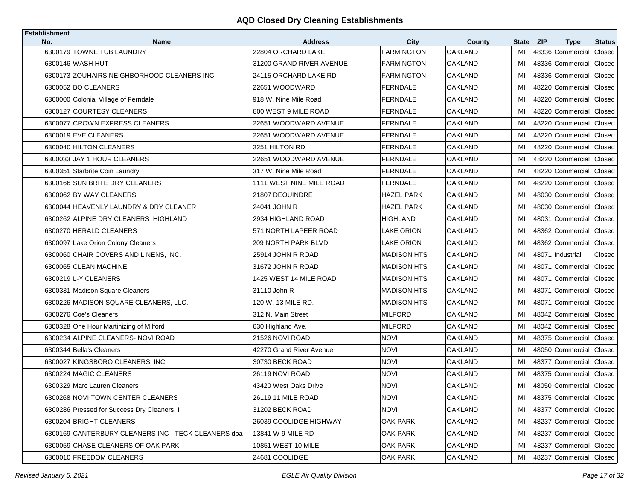| <b>Establishment</b><br>No. | <b>Name</b>                                         | <b>Address</b>           | <b>City</b>        | County         | State | <b>ZIP</b><br><b>Type</b> | <b>Status</b> |
|-----------------------------|-----------------------------------------------------|--------------------------|--------------------|----------------|-------|---------------------------|---------------|
|                             | 6300179 TOWNE TUB LAUNDRY                           | 22804 ORCHARD LAKE       | <b>FARMINGTON</b>  | <b>OAKLAND</b> | MI    | 48336 Commercial          | Closed        |
|                             | 6300146 WASH HUT                                    | 31200 GRAND RIVER AVENUE | <b>FARMINGTON</b>  | <b>OAKLAND</b> | MI    | 48336 Commercial          | Closed        |
|                             | 6300173 ZOUHAIRS NEIGHBORHOOD CLEANERS INC          | 24115 ORCHARD LAKE RD    | <b>FARMINGTON</b>  | <b>OAKLAND</b> | MI    | 48336 Commercial          | Closed        |
|                             | 6300052 BO CLEANERS                                 | 22651 WOODWARD           | <b>FERNDALE</b>    | <b>OAKLAND</b> | MI    | 48220 Commercial          | Closed        |
|                             | 6300000 Colonial Village of Ferndale                | 918 W. Nine Mile Road    | FERNDALE           | OAKLAND        | MI    | 48220 Commercial          | Closed        |
|                             | 6300127 COURTESY CLEANERS                           | 800 WEST 9 MILE ROAD     | <b>FERNDALE</b>    | <b>OAKLAND</b> | MI    | 48220 Commercial          | Closed        |
|                             | 6300077 CROWN EXPRESS CLEANERS                      | 22651 WOODWARD AVENUE    | FERNDALE           | <b>OAKLAND</b> | MI    | 48220 Commercial Closed   |               |
|                             | 6300019 EVE CLEANERS                                | 22651 WOODWARD AVENUE    | <b>FERNDALE</b>    | OAKLAND        | MI    | 48220 Commercial          | Closed        |
|                             | 6300040 HILTON CLEANERS                             | 3251 HILTON RD           | FERNDALE           | OAKLAND        | MI    | 48220 Commercial          | Closed        |
|                             | 6300033 JAY 1 HOUR CLEANERS                         | 22651 WOODWARD AVENUE    | <b>FERNDALE</b>    | OAKLAND        | MI    | 48220 Commercial          | Closed        |
|                             | 6300351 Starbrite Coin Laundry                      | 317 W. Nine Mile Road    | <b>FERNDALE</b>    | <b>OAKLAND</b> | MI    | 48220 Commercial Closed   |               |
|                             | 6300166 SUN BRITE DRY CLEANERS                      | 1111 WEST NINE MILE ROAD | <b>FERNDALE</b>    | OAKLAND        | MI    | 48220 Commercial          | Closed        |
|                             | 6300062 BY WAY CLEANERS                             | 21807 DEQUINDRE          | <b>HAZEL PARK</b>  | <b>OAKLAND</b> | MI    | 48030 Commercial          | Closed        |
|                             | 6300044 HEAVENLY LAUNDRY & DRY CLEANER              | 24041 JOHN R             | HAZEL PARK         | <b>OAKLAND</b> | MI    | 48030 Commercial          | Closed        |
|                             | 6300262 ALPINE DRY CLEANERS HIGHLAND                | 2934 HIGHLAND ROAD       | <b>HIGHLAND</b>    | <b>OAKLAND</b> | MI    | 48031 Commercial          | Closed        |
|                             | 6300270 HERALD CLEANERS                             | 571 NORTH LAPEER ROAD    | <b>LAKE ORION</b>  | OAKLAND        | МI    | 48362 Commercial          | Closed        |
|                             | 6300097 Lake Orion Colony Cleaners                  | 209 NORTH PARK BLVD      | <b>LAKE ORION</b>  | <b>OAKLAND</b> | MI    | 48362 Commercial          | Closed        |
|                             | 6300060 CHAIR COVERS AND LINENS, INC.               | 25914 JOHN R ROAD        | <b>MADISON HTS</b> | <b>OAKLAND</b> | MI    | 48071<br>Industrial       | Closed        |
|                             | 6300065 CLEAN MACHINE                               | 31672 JOHN R ROAD        | <b>MADISON HTS</b> | <b>OAKLAND</b> | MI    | Commercial<br>48071       | Closed        |
|                             | 6300219 L-Y CLEANERS                                | 1425 WEST 14 MILE ROAD   | MADISON HTS        | <b>OAKLAND</b> | MI    | 48071 Commercial Closed   |               |
|                             | 6300331 Madison Square Cleaners                     | 31110 John R             | <b>MADISON HTS</b> | OAKLAND        | MI    | 48071<br>Commercial       | Closed        |
|                             | 6300226 MADISON SQUARE CLEANERS, LLC.               | 120 W. 13 MILE RD.       | <b>MADISON HTS</b> | <b>OAKLAND</b> | MI    | 48071 Commercial          | Closed        |
|                             | 6300276 Coe's Cleaners                              | 312 N. Main Street       | <b>MILFORD</b>     | <b>OAKLAND</b> | MI    | 48042 Commercial          | Closed        |
|                             | 6300328 One Hour Martinizing of Milford             | 630 Highland Ave.        | <b>MILFORD</b>     | <b>OAKLAND</b> | MI    | 48042 Commercial          | Closed        |
|                             | 6300234 ALPINE CLEANERS- NOVI ROAD                  | 21526 NOVI ROAD          | NOVI               | <b>OAKLAND</b> | MI    | 48375 Commercial          | Closed        |
|                             | 6300344 Bella's Cleaners                            | 42270 Grand River Avenue | <b>NOVI</b>        | <b>OAKLAND</b> | MI    | 48050 Commercial          | Closed        |
|                             | 6300027 KINGSBORO CLEANERS, INC.                    | 30730 BECK ROAD          | <b>NOVI</b>        | OAKLAND        | MI    | 48377 Commercial          | Closed        |
|                             | 6300224 MAGIC CLEANERS                              | 26119 NOVI ROAD          | <b>NOVI</b>        | <b>OAKLAND</b> | MI    | 48375 Commercial          | Closed        |
|                             | 6300329 Marc Lauren Cleaners                        | 43420 West Oaks Drive    | <b>NOVI</b>        | <b>OAKLAND</b> | MI    | 48050 Commercial          | Closed        |
|                             | 6300268 NOVI TOWN CENTER CLEANERS                   | 26119 11 MILE ROAD       | <b>NOVI</b>        | <b>OAKLAND</b> | MI    | 48375 Commercial Closed   |               |
|                             | 6300286 Pressed for Success Dry Cleaners, I         | 31202 BECK ROAD          | <b>NOVI</b>        | <b>OAKLAND</b> | MI    | 48377 Commercial Closed   |               |
|                             | 6300204 BRIGHT CLEANERS                             | 26039 COOLIDGE HIGHWAY   | OAK PARK           | <b>OAKLAND</b> | MI    | 48237 Commercial Closed   |               |
|                             | 6300169 CANTERBURY CLEANERS INC - TECK CLEANERS dba | 13841 W 9 MILE RD        | OAK PARK           | <b>OAKLAND</b> | MI    | 48237 Commercial Closed   |               |
|                             | 6300059 CHASE CLEANERS OF OAK PARK                  | 10851 WEST 10 MILE       | OAK PARK           | OAKLAND        | MI    | 48237 Commercial          | Closed        |
|                             | 6300010 FREEDOM CLEANERS                            | 24681 COOLIDGE           | OAK PARK           | <b>OAKLAND</b> | MI    | 48237 Commercial Closed   |               |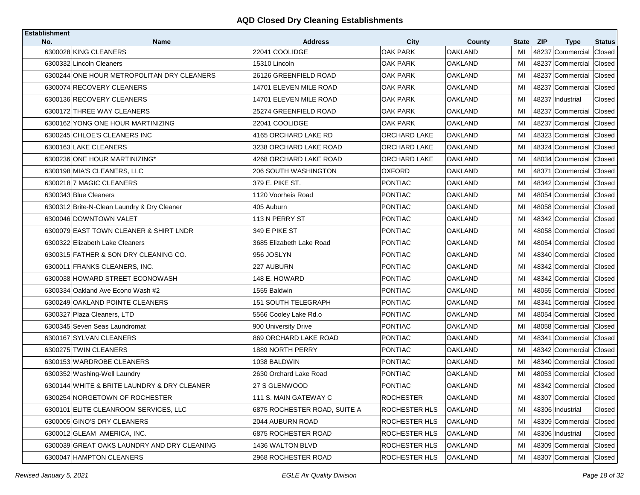| <b>Establishment</b> |                                             |                                  |                      |                          |             |                                               |                         |
|----------------------|---------------------------------------------|----------------------------------|----------------------|--------------------------|-------------|-----------------------------------------------|-------------------------|
| No.                  | <b>Name</b><br>6300028 KING CLEANERS        | <b>Address</b><br>22041 COOLIDGE | City<br>OAK PARK     | County<br><b>OAKLAND</b> | State<br>MI | <b>ZIP</b><br><b>Type</b><br>48237 Commercial | <b>Status</b><br>Closed |
|                      | 6300332 Lincoln Cleaners                    | 15310 Lincoln                    | OAK PARK             | <b>OAKLAND</b>           | MI          | 48237 Commercial                              | Closed                  |
|                      | 6300244 ONE HOUR METROPOLITAN DRY CLEANERS  | 26126 GREENFIELD ROAD            | OAK PARK             | <b>OAKLAND</b>           | MI          | 48237 Commercial                              | Closed                  |
|                      | 6300074 RECOVERY CLEANERS                   | 14701 ELEVEN MILE ROAD           | <b>OAK PARK</b>      | <b>OAKLAND</b>           |             | 48237 Commercial                              |                         |
|                      |                                             |                                  |                      |                          | MI          |                                               | Closed                  |
|                      | 6300136 RECOVERY CLEANERS                   | 14701 ELEVEN MILE ROAD           | OAK PARK             | OAKLAND                  | MI          | 48237<br>Industrial                           | Closed                  |
|                      | 6300172 THREE WAY CLEANERS                  | 25274 GREENFIELD ROAD            | OAK PARK             | OAKLAND                  | MI          | 48237 Commercial                              | Closed                  |
|                      | 6300162 YONG ONE HOUR MARTINIZING           | 22041 COOLIDGE                   | <b>OAK PARK</b>      | <b>OAKLAND</b>           | MI          | 48237 Commercial                              | Closed                  |
|                      | 6300245 CHLOE'S CLEANERS INC                | 4165 ORCHARD LAKE RD             | ORCHARD LAKE         | <b>OAKLAND</b>           | MI          | 48323 Commercial                              | Closed                  |
|                      | 6300163 LAKE CLEANERS                       | 3238 ORCHARD LAKE ROAD           | ORCHARD LAKE         | <b>OAKLAND</b>           | MI          | 48324 Commercial Closed                       |                         |
|                      | 6300236 ONE HOUR MARTINIZING*               | 4268 ORCHARD LAKE ROAD           | ORCHARD LAKE         | <b>OAKLAND</b>           | MI          | 48034 Commercial                              | Closed                  |
|                      | 6300198 MIA'S CLEANERS, LLC                 | 206 SOUTH WASHINGTON             | OXFORD               | OAKLAND                  | MI          | 48371 Commercial                              | Closed                  |
|                      | 6300218 7 MAGIC CLEANERS                    | 379 E. PIKE ST.                  | <b>PONTIAC</b>       | <b>OAKLAND</b>           | MI          | 48342 Commercial                              | Closed                  |
|                      | 6300343 Blue Cleaners                       | 1120 Voorheis Road               | <b>PONTIAC</b>       | <b>OAKLAND</b>           | MI          | 48054 Commercial                              | Closed                  |
|                      | 6300312 Brite-N-Clean Laundry & Dry Cleaner | 405 Auburn                       | PONTIAC              | OAKLAND                  | MI          | 48058 Commercial                              | Closed                  |
|                      | 6300046 DOWNTOWN VALET                      | 113 N PERRY ST                   | <b>PONTIAC</b>       | <b>OAKLAND</b>           | MI          | 48342 Commercial                              | Closed                  |
|                      | 6300079 EAST TOWN CLEANER & SHIRT LNDR      | 349 E PIKE ST                    | PONTIAC              | OAKLAND                  | MI          | 48058 Commercial                              | Closed                  |
|                      | 6300322 Elizabeth Lake Cleaners             | 3685 Elizabeth Lake Road         | <b>PONTIAC</b>       | <b>OAKLAND</b>           | MI          | 48054 Commercial                              | Closed                  |
|                      | 6300315 FATHER & SON DRY CLEANING CO.       | 956 JOSLYN                       | <b>PONTIAC</b>       | <b>OAKLAND</b>           | MI          | 48340 Commercial                              | Closed                  |
|                      | 6300011 FRANKS CLEANERS, INC.               | 227 AUBURN                       | <b>PONTIAC</b>       | <b>OAKLAND</b>           | MI          | 48342 Commercial                              | Closed                  |
|                      | 6300038 HOWARD STREET ECONOWASH             | 148 E. HOWARD                    | PONTIAC              | OAKLAND                  | MI          | 48342 Commercial                              | Closed                  |
|                      | 6300334 Oakland Ave Econo Wash #2           | 1555 Baldwin                     | <b>PONTIAC</b>       | <b>OAKLAND</b>           | MI          | 48055 Commercial                              | Closed                  |
|                      | 6300249 OAKLAND POINTE CLEANERS             | <b>151 SOUTH TELEGRAPH</b>       | <b>PONTIAC</b>       | OAKLAND                  | MI          | 48341 Commercial                              | Closed                  |
|                      | 6300327 Plaza Cleaners, LTD                 | 5566 Cooley Lake Rd.o            | <b>PONTIAC</b>       | OAKLAND                  | MI          | 48054 Commercial                              | Closed                  |
|                      | 6300345 Seven Seas Laundromat               | 900 University Drive             | <b>PONTIAC</b>       | <b>OAKLAND</b>           | MI          | 48058 Commercial                              | Closed                  |
|                      | 6300167 SYLVAN CLEANERS                     | 869 ORCHARD LAKE ROAD            | <b>PONTIAC</b>       | OAKLAND                  | MI          | 48341 Commercial                              | Closed                  |
|                      | 6300275 TWIN CLEANERS                       | 1889 NORTH PERRY                 | <b>PONTIAC</b>       | <b>OAKLAND</b>           | MI          | 48342 Commercial                              | Closed                  |
|                      | 6300153 WARDROBE CLEANERS                   | 1038 BALDWIN                     | PONTIAC              | OAKLAND                  | MI          | 48340 Commercial                              | Closed                  |
|                      | 6300352 Washing-Well Laundry                | 2630 Orchard Lake Road           | <b>PONTIAC</b>       | <b>OAKLAND</b>           | MI          | 48053 Commercial                              | Closed                  |
|                      | 6300144 WHITE & BRITE LAUNDRY & DRY CLEANER | 27 S GLENWOOD                    | PONTIAC              | OAKLAND                  | MI          | 48342 Commercial                              | Closed                  |
|                      | 6300254 NORGETOWN OF ROCHESTER              | 111 S. MAIN GATEWAY C            | <b>ROCHESTER</b>     | <b>OAKLAND</b>           | MI          | 48307 Commercial Closed                       |                         |
|                      | 6300101 ELITE CLEANROOM SERVICES, LLC       | 6875 ROCHESTER ROAD, SUITE A     | ROCHESTER HLS        | <b>OAKLAND</b>           | MI          | 48306 Industrial                              | Closed                  |
|                      | 6300005 GINO'S DRY CLEANERS                 | 2044 AUBURN ROAD                 | ROCHESTER HLS        | <b>OAKLAND</b>           | MI          | 48309 Commercial                              | Closed                  |
|                      | 6300012 GLEAM AMERICA, INC.                 | 6875 ROCHESTER ROAD              | ROCHESTER HLS        | <b>OAKLAND</b>           | MI          | 48306 Industrial                              | Closed                  |
|                      | 6300039 GREAT OAKS LAUNDRY AND DRY CLEANING | 1436 WALTON BLVD                 | <b>ROCHESTER HLS</b> | <b>OAKLAND</b>           | MI          | 48309 Commercial                              | Closed                  |
|                      | 6300047 HAMPTON CLEANERS                    | 2968 ROCHESTER ROAD              | ROCHESTER HLS        | <b>OAKLAND</b>           | MI          | 48307 Commercial Closed                       |                         |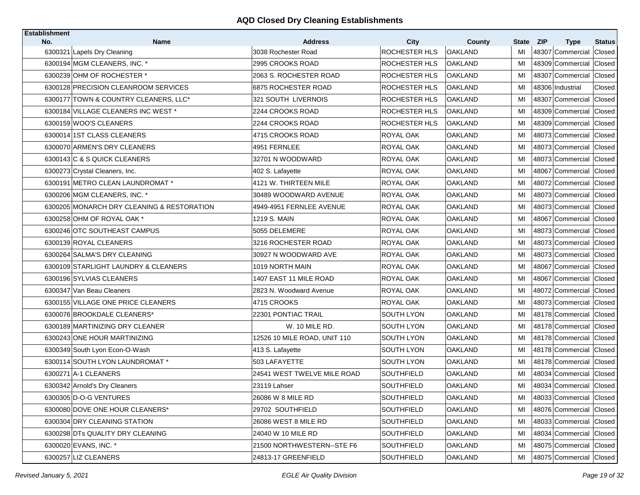| Establishment<br>No. | <b>Name</b>                                | <b>Address</b>               | <b>City</b>          |                          | State | <b>ZIP</b>                      | <b>Status</b> |
|----------------------|--------------------------------------------|------------------------------|----------------------|--------------------------|-------|---------------------------------|---------------|
|                      | 6300321 Lapels Dry Cleaning                | 3038 Rochester Road          | ROCHESTER HLS        | County<br><b>OAKLAND</b> | MI    | <b>Type</b><br>48307 Commercial | Closed        |
|                      | 6300194 MGM CLEANERS, INC. *               | 2995 CROOKS ROAD             | ROCHESTER HLS        | <b>OAKLAND</b>           | MI    | 48309 Commercial                | Closed        |
|                      | 6300239 OHM OF ROCHESTER *                 | 2063 S. ROCHESTER ROAD       | ROCHESTER HLS        | <b>OAKLAND</b>           | MI    | 48307 Commercial                | Closed        |
|                      | 6300128 PRECISION CLEANROOM SERVICES       | 6875 ROCHESTER ROAD          | <b>ROCHESTER HLS</b> | <b>OAKLAND</b>           | MI    | 48306 Industrial                | Closed        |
|                      | 6300177 TOWN & COUNTRY CLEANERS, LLC*      | 321 SOUTH LIVERNOIS          | ROCHESTER HLS        | <b>OAKLAND</b>           | MI    | 48307 Commercial                | Closed        |
|                      | 6300184 VILLAGE CLEANERS INC WEST *        | 2244 CROOKS ROAD             | <b>ROCHESTER HLS</b> | <b>OAKLAND</b>           | MI    | 48309 Commercial                | Closed        |
|                      | 6300159 WOO'S CLEANERS                     | 2244 CROOKS ROAD             | ROCHESTER HLS        | <b>OAKLAND</b>           | MI    | 48309 Commercial Closed         |               |
|                      | 6300014 1ST CLASS CLEANERS                 | 4715 CROOKS ROAD             | ROYAL OAK            | <b>OAKLAND</b>           | MI    | 48073 Commercial                | Closed        |
|                      | 6300070 ARMEN'S DRY CLEANERS               | 4951 FERNLEE                 | ROYAL OAK            | <b>OAKLAND</b>           | MI    | 48073 Commercial Closed         |               |
|                      | 6300143 C & S QUICK CLEANERS               | 32701 N WOODWARD             | ROYAL OAK            | <b>OAKLAND</b>           | MI    | 48073 Commercial                | Closed        |
|                      | 6300273 Crystal Cleaners, Inc.             | 402 S. Lafayette             | ROYAL OAK            | <b>OAKLAND</b>           | MI    | 48067 Commercial Closed         |               |
|                      | 6300191 METRO CLEAN LAUNDROMAT *           | 4121 W. THIRTEEN MILE        | ROYAL OAK            | <b>OAKLAND</b>           | MI    | 48072 Commercial                | Closed        |
|                      | 6300206 MGM CLEANERS, INC. *               | 30489 WOODWARD AVENUE        | ROYAL OAK            | <b>OAKLAND</b>           | MI    | 48073 Commercial                | Closed        |
|                      | 6300205 MONARCH DRY CLEANING & RESTORATION | 4949-4951 FERNLEE AVENUE     | ROYAL OAK            | <b>OAKLAND</b>           | MI    | 48073 Commercial                | Closed        |
|                      | 6300258 OHM OF ROYAL OAK *                 | 1219 S. MAIN                 | ROYAL OAK            | <b>OAKLAND</b>           | MI    | 48067 Commercial                | Closed        |
|                      | 6300246 OTC SOUTHEAST CAMPUS               | 5055 DELEMERE                | ROYAL OAK            | <b>OAKLAND</b>           | MI    | 48073 Commercial                | Closed        |
|                      | 6300139 ROYAL CLEANERS                     | 3216 ROCHESTER ROAD          | ROYAL OAK            | <b>OAKLAND</b>           | MI    | 48073 Commercial                | Closed        |
|                      | 6300264 SALMA'S DRY CLEANING               | 30927 N WOODWARD AVE         | ROYAL OAK            | <b>OAKLAND</b>           | MI    | 48073 Commercial                | Closed        |
|                      | 6300109 STARLIGHT LAUNDRY & CLEANERS       | 1019 NORTH MAIN              | ROYAL OAK            | <b>OAKLAND</b>           | MI    | 48067 Commercial                | Closed        |
|                      | 6300196 SYLVIAS CLEANERS                   | 1407 EAST 11 MILE ROAD       | ROYAL OAK            | <b>OAKLAND</b>           | MI    | 48067 Commercial Closed         |               |
|                      | 6300347 Van Beau Cleaners                  | 2823 N. Woodward Avenue      | ROYAL OAK            | <b>OAKLAND</b>           | MI    | 48072 Commercial                | Closed        |
|                      | 6300155 VILLAGE ONE PRICE CLEANERS         | 4715 CROOKS                  | ROYAL OAK            | <b>OAKLAND</b>           | MI    | 48073 Commercial Closed         |               |
|                      | 6300076 BROOKDALE CLEANERS*                | 22301 PONTIAC TRAIL          | <b>SOUTH LYON</b>    | <b>OAKLAND</b>           | MI    | 48178 Commercial                | Closed        |
|                      | 6300189 MARTINIZING DRY CLEANER            | W. 10 MILE RD.               | SOUTH LYON           | <b>OAKLAND</b>           | MI    | 48178 Commercial Closed         |               |
|                      | 6300243 ONE HOUR MARTINIZING               | 12526 10 MILE ROAD, UNIT 110 | SOUTH LYON           | OAKLAND                  | MI    | 48178 Commercial                | Closed        |
|                      | 6300349 South Lyon Econ-O-Wash             | 413 S. Lafayette             | <b>SOUTH LYON</b>    | <b>OAKLAND</b>           | MI    | 48178 Commercial                | Closed        |
|                      | 6300114 SOUTH LYON LAUNDROMAT *            | 503 LAFAYETTE                | SOUTH LYON           | <b>OAKLAND</b>           | MI    | 48178 Commercial                | Closed        |
|                      | 6300271 A-1 CLEANERS                       | 24541 WEST TWELVE MILE ROAD  | <b>SOUTHFIELD</b>    | <b>OAKLAND</b>           | MI    | 48034 Commercial                | Closed        |
|                      | 6300342 Arnold's Dry Cleaners              | 23119 Lahser                 | SOUTHFIELD           | <b>OAKLAND</b>           | MI    | 48034 Commercial                | <b>Closed</b> |
|                      | 6300305 D-O-G VENTURES                     | 26086 W 8 MILE RD            | <b>SOUTHFIELD</b>    | <b>OAKLAND</b>           | MI    | 48033 Commercial Closed         |               |
|                      | 6300080 DOVE ONE HOUR CLEANERS*            | 29702 SOUTHFIELD             | SOUTHFIELD           | <b>OAKLAND</b>           | MI    | 48076 Commercial Closed         |               |
|                      | 6300304 DRY CLEANING STATION               | 26086 WEST 8 MILE RD         | <b>SOUTHFIELD</b>    | <b>OAKLAND</b>           | MI    | 48033 Commercial                | Closed        |
|                      | 6300298 DTs QUALITY DRY CLEANING           | 24040 W 10 MILE RD           | SOUTHFIELD           | <b>OAKLAND</b>           | MI    | 48034 Commercial Closed         |               |
|                      | 6300020 EVANS, INC. *                      | 21500 NORTHWESTERN--STE F6   | SOUTHFIELD           | <b>OAKLAND</b>           | MI    | 48075 Commercial Closed         |               |
|                      | 6300257 LIZ CLEANERS                       | 24813-17 GREENFIELD          | SOUTHFIELD           | <b>OAKLAND</b>           | MI    | 48075 Commercial Closed         |               |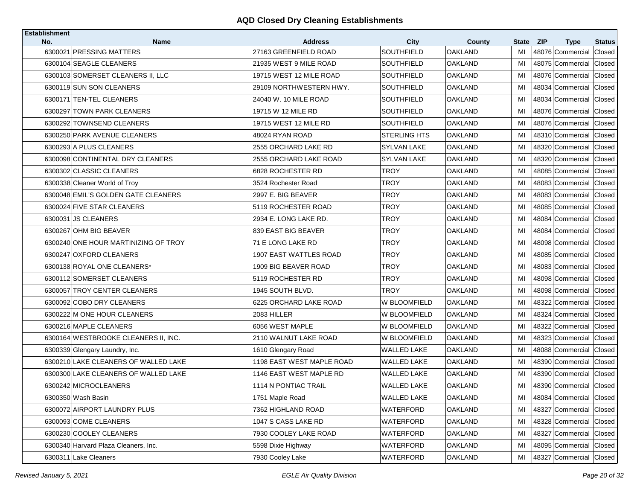| <b>Establishment</b> |                                         |                                         |                           |                          |             |                                               |                         |
|----------------------|-----------------------------------------|-----------------------------------------|---------------------------|--------------------------|-------------|-----------------------------------------------|-------------------------|
| No.                  | <b>Name</b><br>6300021 PRESSING MATTERS | <b>Address</b><br>27163 GREENFIELD ROAD | <b>City</b><br>SOUTHFIELD | County<br><b>OAKLAND</b> | State<br>MI | <b>ZIP</b><br><b>Type</b><br>48076 Commercial | <b>Status</b><br>Closed |
|                      | 6300104 SEAGLE CLEANERS                 | 21935 WEST 9 MILE ROAD                  | <b>SOUTHFIELD</b>         | <b>OAKLAND</b>           | MI          | 48075 Commercial                              | Closed                  |
|                      |                                         | 19715 WEST 12 MILE ROAD                 | <b>SOUTHFIELD</b>         | <b>OAKLAND</b>           | MI          |                                               |                         |
|                      | 6300103 SOMERSET CLEANERS II, LLC       |                                         |                           |                          |             | 48076 Commercial                              | Closed                  |
|                      | 6300119 SUN SON CLEANERS                | 29109 NORTHWESTERN HWY.                 | <b>SOUTHFIELD</b>         | <b>OAKLAND</b>           | MI          | 48034 Commercial                              | Closed                  |
|                      | 6300171 TEN-TEL CLEANERS                | 24040 W. 10 MILE ROAD                   | <b>SOUTHFIELD</b>         | OAKLAND                  | MI          | 48034 Commercial                              | Closed                  |
|                      | 6300297 TOWN PARK CLEANERS              | 19715 W 12 MILE RD                      | SOUTHFIELD                | <b>OAKLAND</b>           | MI          | 48076 Commercial                              | Closed                  |
|                      | 6300292 TOWNSEND CLEANERS               | 19715 WEST 12 MILE RD                   | SOUTHFIELD                | <b>OAKLAND</b>           | MI          | 48076 Commercial Closed                       |                         |
|                      | 6300250 PARK AVENUE CLEANERS            | 48024 RYAN ROAD                         | STERLING HTS              | OAKLAND                  | MI          | 48310 Commercial                              | Closed                  |
|                      | 6300293 A PLUS CLEANERS                 | 2555 ORCHARD LAKE RD                    | SYLVAN LAKE               | OAKLAND                  | МI          | 48320 Commercial                              | <b>Closed</b>           |
|                      | 6300098 CONTINENTAL DRY CLEANERS        | 2555 ORCHARD LAKE ROAD                  | SYLVAN LAKE               | <b>OAKLAND</b>           | MI          | 48320 Commercial                              | Closed                  |
|                      | 6300302 CLASSIC CLEANERS                | 6828 ROCHESTER RD                       | <b>TROY</b>               | <b>OAKLAND</b>           | MI          | 48085 Commercial Closed                       |                         |
|                      | 6300338 Cleaner World of Troy           | 3524 Rochester Road                     | <b>TROY</b>               | OAKLAND                  | MI          | 48083 Commercial                              | Closed                  |
|                      | 6300048 EMIL'S GOLDEN GATE CLEANERS     | 2997 E. BIG BEAVER                      | TROY                      | <b>OAKLAND</b>           | MI          | 48083 Commercial                              | Closed                  |
|                      | 6300024 FIVE STAR CLEANERS              | 5119 ROCHESTER ROAD                     | TROY                      | <b>OAKLAND</b>           | MI          | 48085 Commercial                              | Closed                  |
|                      | 6300031 JS CLEANERS                     | 2934 E. LONG LAKE RD.                   | <b>TROY</b>               | <b>OAKLAND</b>           | MI          | 48084 Commercial                              | Closed                  |
|                      | 6300267 OHM BIG BEAVER                  | 839 EAST BIG BEAVER                     | <b>TROY</b>               | <b>OAKLAND</b>           | MI          | 48084 Commercial                              | Closed                  |
|                      | 6300240 ONE HOUR MARTINIZING OF TROY    | 71 E LONG LAKE RD                       | <b>TROY</b>               | <b>OAKLAND</b>           | MI          | 48098 Commercial                              | Closed                  |
|                      | 6300247 OXFORD CLEANERS                 | 1907 EAST WATTLES ROAD                  | <b>TROY</b>               | <b>OAKLAND</b>           | MI          | 48085 Commercial                              | Closed                  |
|                      | 6300138 ROYAL ONE CLEANERS*             | 1909 BIG BEAVER ROAD                    | TROY                      | OAKLAND                  | MI          | 48083 Commercial                              | Closed                  |
|                      | 6300112 SOMERSET CLEANERS               | 5119 ROCHESTER RD                       | TROY                      | OAKLAND                  | MI          | 48098 Commercial Closed                       |                         |
|                      | 6300057 TROY CENTER CLEANERS            | 1945 SOUTH BLVD.                        | TROY                      | <b>OAKLAND</b>           | MI          | 48098 Commercial                              | Closed                  |
|                      | 6300092 COBO DRY CLEANERS               | 6225 ORCHARD LAKE ROAD                  | W BLOOMFIELD              | <b>OAKLAND</b>           | MI          | 48322 Commercial                              | Closed                  |
|                      | 6300222 M ONE HOUR CLEANERS             | 2083 HILLER                             | W BLOOMFIELD              | <b>OAKLAND</b>           | MI          | 48324 Commercial                              | Closed                  |
|                      | 6300216 MAPLE CLEANERS                  | 6056 WEST MAPLE                         | W BLOOMFIELD              | <b>OAKLAND</b>           | MI          | 48322 Commercial                              | Closed                  |
|                      | 6300164 WESTBROOKE CLEANERS II, INC.    | 2110 WALNUT LAKE ROAD                   | W BLOOMFIELD              | OAKLAND                  | MI          | 48323 Commercial                              | Closed                  |
|                      | 6300339 Glengary Laundry, Inc.          | 1610 Glengary Road                      | <b>WALLED LAKE</b>        | <b>OAKLAND</b>           | MI          | 48088 Commercial                              | Closed                  |
|                      | 6300210 LAKE CLEANERS OF WALLED LAKE    | 1198 EAST WEST MAPLE ROAD               | WALLED LAKE               | OAKLAND                  | MI          | 48390 Commercial                              | Closed                  |
|                      | 6300300 LAKE CLEANERS OF WALLED LAKE    | 1146 EAST WEST MAPLE RD                 | <b>WALLED LAKE</b>        | <b>OAKLAND</b>           | MI          | 48390 Commercial                              | Closed                  |
|                      | 6300242 MICROCLEANERS                   | 1114 N PONTIAC TRAIL                    | <b>WALLED LAKE</b>        | OAKLAND                  | MI          | 48390 Commercial                              | Closed                  |
|                      | 6300350 Wash Basin                      | 1751 Maple Road                         | <b>WALLED LAKE</b>        | <b>OAKLAND</b>           | MI          | 48084 Commercial Closed                       |                         |
|                      | 6300072 AIRPORT LAUNDRY PLUS            | 7362 HIGHLAND ROAD                      | WATERFORD                 | <b>OAKLAND</b>           | MI          | 48327 Commercial Closed                       |                         |
|                      | 6300093 COME CLEANERS                   | 1047 S CASS LAKE RD                     | WATERFORD                 | <b>OAKLAND</b>           | MI          | 48328 Commercial Closed                       |                         |
|                      | 6300230 COOLEY CLEANERS                 | 7930 COOLEY LAKE ROAD                   | WATERFORD                 | <b>OAKLAND</b>           | MI          | 48327 Commercial Closed                       |                         |
|                      | 6300340 Harvard Plaza Cleaners, Inc.    | 5598 Dixie Highway                      | WATERFORD                 | <b>OAKLAND</b>           | MI          | 48095 Commercial Closed                       |                         |
|                      | 6300311 Lake Cleaners                   | 7930 Cooley Lake                        | WATERFORD                 | <b>OAKLAND</b>           | MI          | 48327 Commercial Closed                       |                         |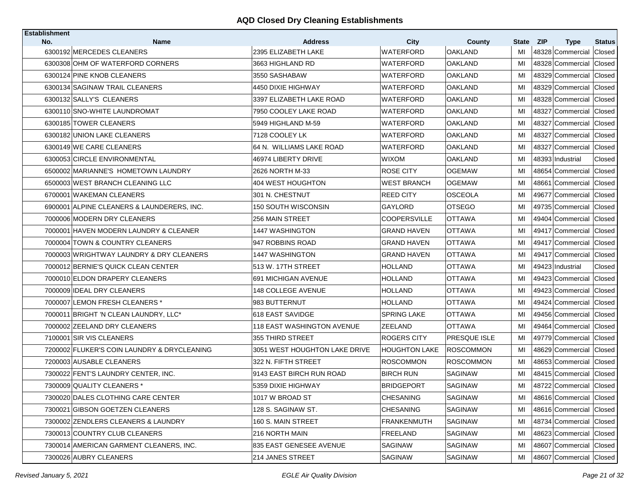| <b>Establishment</b> |                                             |                                   |                      |                     |              |                           |               |
|----------------------|---------------------------------------------|-----------------------------------|----------------------|---------------------|--------------|---------------------------|---------------|
| No.                  | <b>Name</b>                                 | <b>Address</b>                    | City                 | County              | <b>State</b> | <b>ZIP</b><br><b>Type</b> | <b>Status</b> |
|                      | 6300192 MERCEDES CLEANERS                   | 2395 ELIZABETH LAKE               | <b>WATERFORD</b>     | <b>OAKLAND</b>      | MI           | 48328 Commercial          | Closed        |
|                      | 6300308 OHM OF WATERFORD CORNERS            | 3663 HIGHLAND RD                  | WATERFORD            | <b>OAKLAND</b>      | MI           | 48328 Commercial          | Closed        |
|                      | 6300124 PINE KNOB CLEANERS                  | 3550 SASHABAW                     | WATERFORD            | OAKLAND             | MI           | 48329 Commercial          | Closed        |
|                      | 6300134 SAGINAW TRAIL CLEANERS              | 4450 DIXIE HIGHWAY                | WATERFORD            | <b>OAKLAND</b>      | MI           | 48329 Commercial          | Closed        |
|                      | 6300132 SALLY'S CLEANERS                    | 3397 ELIZABETH LAKE ROAD          | WATERFORD            | OAKLAND             | MI           | 48328 Commercial          | Closed        |
|                      | 6300110 SNO-WHITE LAUNDROMAT                | 7950 COOLEY LAKE ROAD             | <b>WATERFORD</b>     | <b>OAKLAND</b>      | MI           | 48327 Commercial          | Closed        |
|                      | 6300185 TOWER CLEANERS                      | 5949 HIGHLAND M-59                | WATERFORD            | OAKLAND             | MI           | 48327 Commercial          | Closed        |
|                      | 6300182 UNION LAKE CLEANERS                 | 7128 COOLEY LK                    | WATERFORD            | OAKLAND             | MI           | 48327 Commercial          | Closed        |
|                      | 6300149 WE CARE CLEANERS                    | 164 N. WILLIAMS LAKE ROAD         | WATERFORD            | OAKLAND             | MI           | 48327 Commercial          | Closed        |
|                      | 6300053 CIRCLE ENVIRONMENTAL                | 46974 LIBERTY DRIVE               | WIXOM                | <b>OAKLAND</b>      | MI           | 48393 Industrial          | Closed        |
|                      | 6500002 MARIANNE'S HOMETOWN LAUNDRY         | 2626 NORTH M-33                   | ROSE CITY            | <b>OGEMAW</b>       | МI           | 48654 Commercial          | Closed        |
|                      | 6500003 WEST BRANCH CLEANING LLC            | 404 WEST HOUGHTON                 | WEST BRANCH          | <b>OGEMAW</b>       | МI           | 48661 Commercial          | Closed        |
|                      | 6700001 WAKEMAN CLEANERS                    | 301 N. CHESTNUT                   | <b>REED CITY</b>     | <b>OSCEOLA</b>      | MI           | 49677 Commercial          | Closed        |
|                      | 6900001 ALPINE CLEANERS & LAUNDERERS, INC.  | 150 SOUTH WISCONSIN               | GAYLORD              | <b>OTSEGO</b>       | MI           | 49735 Commercial          | Closed        |
|                      | 7000006 MODERN DRY CLEANERS                 | 256 MAIN STREET                   | <b>COOPERSVILLE</b>  | <b>OTTAWA</b>       | MI           | 49404 Commercial          | Closed        |
|                      | 7000001 HAVEN MODERN LAUNDRY & CLEANER      | <b>1447 WASHINGTON</b>            | <b>GRAND HAVEN</b>   | OTTAWA              | MI           | 49417 Commercial          | Closed        |
|                      | 7000004 TOWN & COUNTRY CLEANERS             | 947 ROBBINS ROAD                  | <b>GRAND HAVEN</b>   | <b>OTTAWA</b>       | MI           | 49417 Commercial          | Closed        |
|                      | 7000003 WRIGHTWAY LAUNDRY & DRY CLEANERS    | 1447 WASHINGTON                   | <b>GRAND HAVEN</b>   | OTTAWA              | MI           | 49417 Commercial          | Closed        |
|                      | 7000012 BERNIE'S QUICK CLEAN CENTER         | 513 W. 17TH STREET                | <b>HOLLAND</b>       | <b>OTTAWA</b>       | МI           | 49423 Industrial          | Closed        |
|                      | 7000010 ELDON DRAPERY CLEANERS              | 691 MICHIGAN AVENUE               | HOLLAND              | <b>OTTAWA</b>       | MI           | 49423 Commercial          | Closed        |
|                      | 7000009 IDEAL DRY CLEANERS                  | <b>148 COLLEGE AVENUE</b>         | <b>HOLLAND</b>       | <b>OTTAWA</b>       | MI           | 49423 Commercial          | Closed        |
|                      | 7000007 LEMON FRESH CLEANERS *              | 983 BUTTERNUT                     | HOLLAND              | <b>OTTAWA</b>       | MI           | 49424 Commercial Closed   |               |
|                      | 7000011 BRIGHT 'N CLEAN LAUNDRY, LLC*       | 1618 EAST SAVIDGE                 | <b>SPRING LAKE</b>   | <b>OTTAWA</b>       | MI           | 49456 Commercial          | Closed        |
|                      | 7000002 ZEELAND DRY CLEANERS                | <b>118 EAST WASHINGTON AVENUE</b> | ZEELAND              | OTTAWA              | MI           | 49464 Commercial Closed   |               |
|                      | 7100001 SIR VIS CLEANERS                    | 355 THIRD STREET                  | ROGERS CITY          | <b>PRESQUE ISLE</b> | MI           | 49779 Commercial          | Closed        |
|                      | 7200002 FLUKER'S COIN LAUNDRY & DRYCLEANING | 3051 WEST HOUGHTON LAKE DRIVE     | <b>HOUGHTON LAKE</b> | <b>ROSCOMMON</b>    | MI           | 48629 Commercial          | Closed        |
|                      | 7200003 AUSABLE CLEANERS                    | 322 N. FIFTH STREET               | ROSCOMMON            | <b>ROSCOMMON</b>    | MI           | 48653 Commercial          | Closed        |
|                      | 7300022 FENT'S LAUNDRY CENTER, INC.         | 19143 EAST BIRCH RUN ROAD         | <b>BIRCH RUN</b>     | <b>SAGINAW</b>      | MI           | 48415 Commercial Closed   |               |
|                      | 7300009 QUALITY CLEANERS *                  | 5359 DIXIE HIGHWAY                | BRIDGEPORT           | SAGINAW             | MI           | 48722 Commercial Closed   |               |
|                      | 7300020 DALES CLOTHING CARE CENTER          | 1017 W BROAD ST                   | <b>CHESANING</b>     | <b>SAGINAW</b>      | MI           | 48616 Commercial Closed   |               |
|                      | 7300021 GIBSON GOETZEN CLEANERS             | 128 S. SAGINAW ST.                | <b>CHESANING</b>     | <b>SAGINAW</b>      | MI           | 48616 Commercial Closed   |               |
|                      | 7300002 ZENDLERS CLEANERS & LAUNDRY         | 160 S. MAIN STREET                | <b>FRANKENMUTH</b>   | SAGINAW             | MI           | 48734 Commercial          | Closed        |
|                      | 7300013 COUNTRY CLUB CLEANERS               | 216 NORTH MAIN                    | FREELAND             | <b>SAGINAW</b>      | MI           | 48623 Commercial Closed   |               |
|                      | 7300014 AMERICAN GARMENT CLEANERS, INC.     | 835 EAST GENESEE AVENUE           | SAGINAW              | <b>SAGINAW</b>      | MI           | 48607 Commercial          | Closed        |
|                      | 7300026 AUBRY CLEANERS                      | 214 JANES STREET                  | SAGINAW              | SAGINAW             | MI           | 48607 Commercial Closed   |               |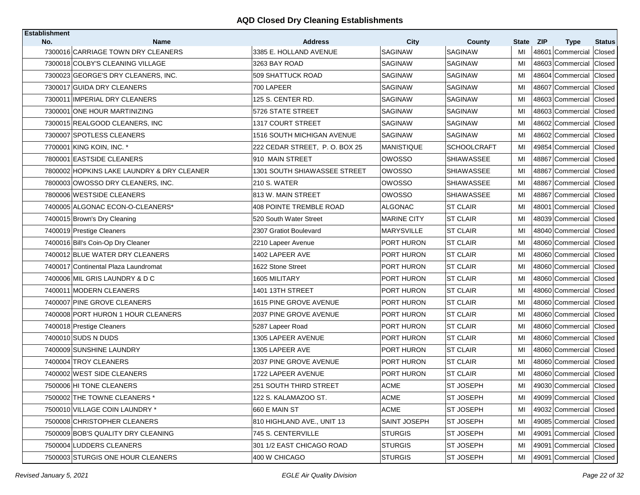| <b>Establishment</b> |                                            |                                   |                    |                    |       |                           |               |
|----------------------|--------------------------------------------|-----------------------------------|--------------------|--------------------|-------|---------------------------|---------------|
| No.                  | <b>Name</b>                                | <b>Address</b>                    | <b>City</b>        | <b>County</b>      | State | <b>ZIP</b><br><b>Type</b> | <b>Status</b> |
|                      | 7300016 CARRIAGE TOWN DRY CLEANERS         | 3385 E. HOLLAND AVENUE            | <b>SAGINAW</b>     | <b>SAGINAW</b>     | MI    | 48601 Commercial          | Closed        |
|                      | 7300018 COLBY'S CLEANING VILLAGE           | 3263 BAY ROAD                     | <b>SAGINAW</b>     | <b>SAGINAW</b>     | MI    | 48603 Commercial          | Closed        |
|                      | 7300023 GEORGE'S DRY CLEANERS. INC.        | 509 SHATTUCK ROAD                 | SAGINAW            | <b>SAGINAW</b>     | MI    | 48604 Commercial          | Closed        |
|                      | 7300017 GUIDA DRY CLEANERS                 | 700 LAPEER                        | <b>SAGINAW</b>     | <b>SAGINAW</b>     | MI    | 48607 Commercial          | Closed        |
|                      | 7300011 IMPERIAL DRY CLEANERS              | 125 S. CENTER RD.                 | SAGINAW            | SAGINAW            | MI    | 48603 Commercial          | Closed        |
|                      | 7300001 ONE HOUR MARTINIZING               | 5726 STATE STREET                 | <b>SAGINAW</b>     | <b>SAGINAW</b>     | MI    | 48603 Commercial          | Closed        |
|                      | 7300015 REALGOOD CLEANERS, INC             | 1317 COURT STREET                 | <b>SAGINAW</b>     | <b>SAGINAW</b>     | MI    | 48602 Commercial          | Closed        |
|                      | 7300007 SPOTLESS CLEANERS                  | <b>1516 SOUTH MICHIGAN AVENUE</b> | <b>SAGINAW</b>     | <b>SAGINAW</b>     | MI    | 48602 Commercial          | Closed        |
|                      | 7700001 KING KOIN, INC. *                  | 222 CEDAR STREET, P.O. BOX 25     | <b>MANISTIQUE</b>  | <b>SCHOOLCRAFT</b> | MI    | 49854 Commercial          | Closed        |
|                      | 7800001 EASTSIDE CLEANERS                  | 910 MAIN STREET                   | OWOSSO             | <b>SHIAWASSEE</b>  | MI    | 48867 Commercial          | Closed        |
|                      | 7800002 HOPKINS LAKE LAUNDRY & DRY CLEANER | 1301 SOUTH SHIAWASSEE STREET      | owosso             | <b>SHIAWASSEE</b>  | MI    | 48867 Commercial Closed   |               |
|                      | 7800003 OWOSSO DRY CLEANERS, INC.          | <b>210 S. WATER</b>               | <b>OWOSSO</b>      | <b>SHIAWASSEE</b>  | MI    | 48867 Commercial          | Closed        |
|                      | 7800006 WESTSIDE CLEANERS                  | 813 W. MAIN STREET                | OWOSSO             | <b>SHIAWASSEE</b>  | MI    | 48867 Commercial          | Closed        |
|                      | 7400005 ALGONAC ECON-O-CLEANERS*           | 408 POINTE TREMBLE ROAD           | <b>ALGONAC</b>     | <b>ST CLAIR</b>    | MI    | 48001 Commercial          | Closed        |
|                      | 7400015 Brown's Dry Cleaning               | 520 South Water Street            | <b>MARINE CITY</b> | <b>ST CLAIR</b>    | MI    | 48039 Commercial          | Closed        |
|                      | 7400019 Prestige Cleaners                  | 2307 Gratiot Boulevard            | MARYSVILLE         | <b>ST CLAIR</b>    | MI    | 48040 Commercial          | Closed        |
|                      | 7400016 Bill's Coin-Op Dry Cleaner         | 2210 Lapeer Avenue                | PORT HURON         | <b>ST CLAIR</b>    | MI    | 48060 Commercial          | Closed        |
|                      | 7400012 BLUE WATER DRY CLEANERS            | 1402 LAPEER AVE                   | PORT HURON         | <b>ST CLAIR</b>    | MI    | 48060 Commercial          | Closed        |
|                      | 7400017 Continental Plaza Laundromat       | 1622 Stone Street                 | PORT HURON         | <b>ST CLAIR</b>    | MI    | 48060 Commercial          | Closed        |
|                      | 7400006 MIL GRIS LAUNDRY & D C             | 1605 MILITARY                     | PORT HURON         | <b>ST CLAIR</b>    | MI    | 48060 Commercial          | Closed        |
|                      | 7400011 MODERN CLEANERS                    | 1401 13TH STREET                  | PORT HURON         | <b>ST CLAIR</b>    | MI    | 48060 Commercial          | Closed        |
|                      | 7400007 PINE GROVE CLEANERS                | 1615 PINE GROVE AVENUE            | PORT HURON         | <b>ST CLAIR</b>    | MI    | 48060 Commercial Closed   |               |
|                      | 7400008 PORT HURON 1 HOUR CLEANERS         | 2037 PINE GROVE AVENUE            | PORT HURON         | <b>ST CLAIR</b>    | MI    | 48060 Commercial          | Closed        |
|                      | 7400018 Prestige Cleaners                  | 5287 Lapeer Road                  | PORT HURON         | <b>ST CLAIR</b>    | MI    | 48060 Commercial Closed   |               |
|                      | 7400010 SUDS N DUDS                        | 1305 LAPEER AVENUE                | PORT HURON         | <b>ST CLAIR</b>    | MI    | 48060 Commercial          | Closed        |
|                      | 7400009 SUNSHINE LAUNDRY                   | 1305 LAPEER AVE                   | PORT HURON         | <b>ST CLAIR</b>    | MI    | 48060 Commercial          | Closed        |
|                      | 7400004 TROY CLEANERS                      | 2037 PINE GROVE AVENUE            | PORT HURON         | <b>ST CLAIR</b>    | MI    | 48060 Commercial          | Closed        |
|                      | 7400002 WEST SIDE CLEANERS                 | 1722 LAPEER AVENUE                | PORT HURON         | <b>ST CLAIR</b>    | MI    | 48060 Commercial          | Closed        |
|                      | 7500006 HI TONE CLEANERS                   | <b>251 SOUTH THIRD STREET</b>     | ACME               | <b>ST JOSEPH</b>   | MI    | 49030 Commercial Closed   |               |
|                      | 7500002 THE TOWNE CLEANERS *               | 122 S. KALAMAZOO ST.              | ACME               | <b>ST JOSEPH</b>   | MI    | 49099 Commercial Closed   |               |
|                      | 7500010 VILLAGE COIN LAUNDRY *             | 660 E MAIN ST                     | <b>ACME</b>        | ST JOSEPH          | MI    | 49032 Commercial Closed   |               |
|                      | 7500008 CHRISTOPHER CLEANERS               | 810 HIGHLAND AVE., UNIT 13        | SAINT JOSEPH       | ST JOSEPH          | MI    | 49085 Commercial Closed   |               |
|                      | 7500009 BOB'S QUALITY DRY CLEANING         | 745 S. CENTERVILLE                | <b>STURGIS</b>     | <b>ST JOSEPH</b>   | MI    | 49091 Commercial Closed   |               |
|                      | 7500004 LUDDERS CLEANERS                   | 301 1/2 EAST CHICAGO ROAD         | <b>STURGIS</b>     | ST JOSEPH          | MI    | 49091 Commercial Closed   |               |
|                      | 7500003 STURGIS ONE HOUR CLEANERS          | 400 W CHICAGO                     | STURGIS            | <b>ST JOSEPH</b>   | MI    | 49091 Commercial Closed   |               |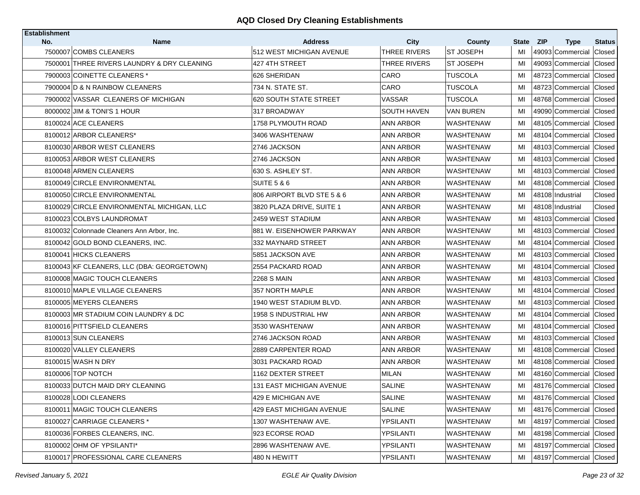| <b>Establishment</b> |                                             |                                            |                                    |                            |             |                                               |                                |
|----------------------|---------------------------------------------|--------------------------------------------|------------------------------------|----------------------------|-------------|-----------------------------------------------|--------------------------------|
| No.                  | <b>Name</b><br>7500007 COMBS CLEANERS       | <b>Address</b><br>512 WEST MICHIGAN AVENUE | <b>City</b><br><b>THREE RIVERS</b> | County<br><b>ST JOSEPH</b> | State<br>MI | <b>ZIP</b><br><b>Type</b><br>49093 Commercial | <b>Status</b><br><b>Closed</b> |
|                      | 7500001 THREE RIVERS LAUNDRY & DRY CLEANING | 427 4TH STREET                             | THREE RIVERS                       | <b>ST JOSEPH</b>           | MI          | 49093 Commercial                              | Closed                         |
|                      | 7900003 COINETTE CLEANERS *                 | 626 SHERIDAN                               | CARO                               | TUSCOLA                    | MI          | 48723 Commercial                              | Closed                         |
|                      | 7900004 D & N RAINBOW CLEANERS              | 734 N. STATE ST.                           | CARO                               | <b>TUSCOLA</b>             | MI          | 48723 Commercial                              | Closed                         |
|                      | 7900002 VASSAR CLEANERS OF MICHIGAN         | <b>620 SOUTH STATE STREET</b>              | VASSAR                             | TUSCOLA                    | MI          | 48768 Commercial Closed                       |                                |
|                      | 8000002 JIM & TONI'S 1 HOUR                 | 317 BROADWAY                               | <b>SOUTH HAVEN</b>                 | VAN BUREN                  | MI          | 49090 Commercial                              | Closed                         |
|                      | 8100024 ACE CLEANERS                        | 1758 PLYMOUTH ROAD                         | ANN ARBOR                          | WASHTENAW                  | MI          | 48105 Commercial Closed                       |                                |
|                      |                                             | 3406 WASHTENAW                             |                                    |                            |             |                                               |                                |
|                      | 8100012 ARBOR CLEANERS*                     |                                            | ANN ARBOR                          | WASHTENAW                  | MI          | 48104 Commercial                              | Closed                         |
|                      | 8100030 ARBOR WEST CLEANERS                 | 2746 JACKSON                               | ANN ARBOR                          | WASHTENAW                  | MI          | 48103 Commercial Closed                       |                                |
|                      | 8100053 ARBOR WEST CLEANERS                 | 2746 JACKSON                               | ANN ARBOR                          | WASHTENAW                  | MI          | 48103 Commercial                              | Closed                         |
|                      | 8100048 ARMEN CLEANERS                      | 630 S. ASHLEY ST.                          | ANN ARBOR                          | WASHTENAW                  | MI          | 48103 Commercial Closed                       |                                |
|                      | 8100049 CIRCLE ENVIRONMENTAL                | <b>SUITE 5 &amp; 6</b>                     | ANN ARBOR                          | WASHTENAW                  | MI          | 48108 Commercial                              | Closed                         |
|                      | 8100050 CIRCLE ENVIRONMENTAL                | 806 AIRPORT BLVD STE 5 & 6                 | ANN ARBOR                          | WASHTENAW                  | MI          | 48108 Industrial                              | Closed                         |
|                      | 8100029 CIRCLE ENVIRONMENTAL MICHIGAN, LLC  | 3820 PLAZA DRIVE, SUITE 1                  | ANN ARBOR                          | WASHTENAW                  | MI          | 48108 Industrial                              | Closed                         |
|                      | 8100023 COLBYS LAUNDROMAT                   | 2459 WEST STADIUM                          | ANN ARBOR                          | WASHTENAW                  | MI          | 48103 Commercial                              | Closed                         |
|                      | 8100032 Colonnade Cleaners Ann Arbor, Inc.  | 881 W. EISENHOWER PARKWAY                  | ANN ARBOR                          | WASHTENAW                  | MI          | 48103 Commercial                              | Closed                         |
|                      | 8100042 GOLD BOND CLEANERS, INC.            | 332 MAYNARD STREET                         | ANN ARBOR                          | WASHTENAW                  | MI          | 48104 Commercial                              | Closed                         |
|                      | 8100041 HICKS CLEANERS                      | 5851 JACKSON AVE                           | ANN ARBOR                          | WASHTENAW                  | MI          | 48103 Commercial                              | Closed                         |
|                      | 8100043 KF CLEANERS, LLC (DBA: GEORGETOWN)  | 2554 PACKARD ROAD                          | ANN ARBOR                          | WASHTENAW                  | MI          | 48104 Commercial                              | Closed                         |
|                      | 8100008 MAGIC TOUCH CLEANERS                | <b>2268 S MAIN</b>                         | ANN ARBOR                          | WASHTENAW                  | MI          | 48103 Commercial Closed                       |                                |
|                      | 8100010 MAPLE VILLAGE CLEANERS              | 357 NORTH MAPLE                            | ANN ARBOR                          | WASHTENAW                  | MI          | 48104 Commercial                              | Closed                         |
|                      | 8100005 MEYERS CLEANERS                     | 1940 WEST STADIUM BLVD.                    | ANN ARBOR                          | WASHTENAW                  | MI          | 48103 Commercial                              | Closed                         |
|                      | 8100003 MR STADIUM COIN LAUNDRY & DC        | 1958 S INDUSTRIAL HW                       | ANN ARBOR                          | WASHTENAW                  | MI          | 48104 Commercial                              | Closed                         |
|                      | 8100016 PITTSFIELD CLEANERS                 | 3530 WASHTENAW                             | ANN ARBOR                          | WASHTENAW                  | MI          | 48104 Commercial Closed                       |                                |
|                      | 8100013 SUN CLEANERS                        | 2746 JACKSON ROAD                          | ANN ARBOR                          | WASHTENAW                  | MI          | 48103 Commercial                              | Closed                         |
|                      | 8100020 VALLEY CLEANERS                     | 2889 CARPENTER ROAD                        | <b>ANN ARBOR</b>                   | <b>WASHTENAW</b>           | MI          | 48108 Commercial                              | Closed                         |
|                      | 8100015 WASH N DRY                          | 3031 PACKARD ROAD                          | ANN ARBOR                          | WASHTENAW                  | MI          | 48108 Commercial                              | Closed                         |
|                      | 8100006 TOP NOTCH                           | 1162 DEXTER STREET                         | <b>MILAN</b>                       | WASHTENAW                  | MI          | 48160 Commercial                              | Closed                         |
|                      | 8100033 DUTCH MAID DRY CLEANING             | 131 EAST MICHIGAN AVENUE                   | SALINE                             | WASHTENAW                  | MI          | 48176 Commercial Closed                       |                                |
|                      | 8100028 LODI CLEANERS                       | 429 E MICHIGAN AVE                         | SALINE                             | <b>WASHTENAW</b>           | MI          | 48176 Commercial Closed                       |                                |
|                      | 8100011 MAGIC TOUCH CLEANERS                | 429 EAST MICHIGAN AVENUE                   | SALINE                             | WASHTENAW                  | MI          | 48176 Commercial Closed                       |                                |
|                      | 8100027 CARRIAGE CLEANERS *                 | 1307 WASHTENAW AVE.                        | YPSILANTI                          | WASHTENAW                  | MI          | 48197 Commercial Closed                       |                                |
|                      | 8100036 FORBES CLEANERS, INC.               | 923 ECORSE ROAD                            | YPSILANTI                          | WASHTENAW                  | MI          | 48198 Commercial Closed                       |                                |
|                      | 8100002 OHM OF YPSILANTI*                   | 2896 WASHTENAW AVE.                        | <b>YPSILANTI</b>                   | WASHTENAW                  | MI          | 48197 Commercial Closed                       |                                |
|                      | 8100017 PROFESSIONAL CARE CLEANERS          | 480 N HEWITT                               | YPSILANTI                          | <b>WASHTENAW</b>           | MI          | 48197 Commercial Closed                       |                                |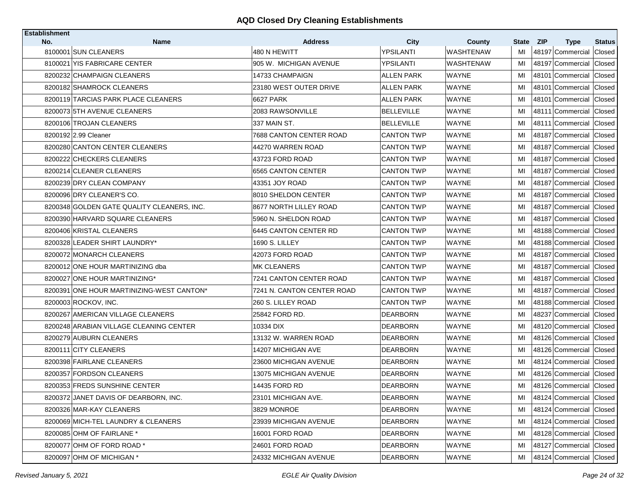| <b>Establishment</b> |                                            |                                |                   |                            |                    |            |                                 |                         |
|----------------------|--------------------------------------------|--------------------------------|-------------------|----------------------------|--------------------|------------|---------------------------------|-------------------------|
| No.                  | <b>Name</b><br>8100001 SUN CLEANERS        | <b>Address</b><br>480 N HEWITT | City<br>YPSILANTI | County<br><b>WASHTENAW</b> | <b>State</b><br>MI | <b>ZIP</b> | <b>Type</b><br>48197 Commercial | <b>Status</b><br>Closed |
|                      | 8100021 YIS FABRICARE CENTER               | 905 W. MICHIGAN AVENUE         | YPSILANTI         | <b>WASHTENAW</b>           | MI                 |            | 48197 Commercial Closed         |                         |
|                      | 8200232 CHAMPAIGN CLEANERS                 | 14733 CHAMPAIGN                | <b>ALLEN PARK</b> | <b>WAYNE</b>               | MI                 |            | 48101 Commercial                | Closed                  |
|                      | 8200182 SHAMROCK CLEANERS                  | 23180 WEST OUTER DRIVE         | <b>ALLEN PARK</b> | <b>WAYNE</b>               | MI                 |            | 48101 Commercial                | Closed                  |
|                      | 8200119 TARCIAS PARK PLACE CLEANERS        | <b>6627 PARK</b>               | <b>ALLEN PARK</b> | <b>WAYNE</b>               | MI                 | 48101      | Commercial                      | Closed                  |
|                      | 820007315TH AVENUE CLEANERS                | 2083 RAWSONVILLE               | BELLEVILLE        | <b>WAYNE</b>               | MI                 |            | 48111 Commercial                | Closed                  |
|                      | 8200106 TROJAN CLEANERS                    | 337 MAIN ST.                   | <b>BELLEVILLE</b> | <b>WAYNE</b>               | MI                 |            | 48111 Commercial                | Closed                  |
|                      | 8200192 2.99 Cleaner                       | 7688 CANTON CENTER ROAD        | <b>CANTON TWP</b> | <b>WAYNE</b>               | MI                 |            | 48187 Commercial                | Closed                  |
|                      | 8200280 CANTON CENTER CLEANERS             |                                | <b>CANTON TWP</b> |                            |                    |            |                                 |                         |
|                      |                                            | 44270 WARREN ROAD              |                   | <b>WAYNE</b>               | MI                 |            | 48187 Commercial Closed         |                         |
|                      | 8200222 CHECKERS CLEANERS                  | 43723 FORD ROAD                | CANTON TWP        | <b>WAYNE</b>               | MI                 |            | 48187 Commercial                | Closed                  |
|                      | 8200214 CLEANER CLEANERS                   | 6565 CANTON CENTER             | CANTON TWP        | <b>WAYNE</b>               | MI                 |            | 48187 Commercial Closed         |                         |
|                      | 8200239 DRY CLEAN COMPANY                  | 43351 JOY ROAD                 | CANTON TWP        | WAYNE                      | MI                 |            | 48187 Commercial                | Closed                  |
|                      | 8200096 DRY CLEANER'S CO.                  | 8010 SHELDON CENTER            | CANTON TWP        | <b>WAYNE</b>               | MI                 |            | 48187 Commercial                | Closed                  |
|                      | 8200348 GOLDEN GATE QUALITY CLEANERS, INC. | 8677 NORTH LILLEY ROAD         | CANTON TWP        | WAYNE                      | MI                 |            | 48187 Commercial                | Closed                  |
|                      | 8200390 HARVARD SQUARE CLEANERS            | 5960 N. SHELDON ROAD           | CANTON TWP        | <b>WAYNE</b>               | MI                 |            | 48187 Commercial                | Closed                  |
|                      | 8200406 KRISTAL CLEANERS                   | 6445 CANTON CENTER RD          | CANTON TWP        | WAYNE                      | MI                 |            | 48188 Commercial                | Closed                  |
|                      | 8200328 LEADER SHIRT LAUNDRY*              | 1690 S. LILLEY                 | <b>CANTON TWP</b> | <b>WAYNE</b>               | MI                 |            | 48188 Commercial                | Closed                  |
|                      | 8200072 MONARCH CLEANERS                   | 42073 FORD ROAD                | CANTON TWP        | WAYNE                      | MI                 |            | 48187 Commercial                | Closed                  |
|                      | 8200012 ONE HOUR MARTINIZING dba           | IMK CLEANERS                   | CANTON TWP        | WAYNE                      | MI                 |            | 48187 Commercial                | Closed                  |
|                      | 8200027 ONE HOUR MARTINIZING*              | 7241 CANTON CENTER ROAD        | CANTON TWP        | WAYNE                      | MI                 |            | 48187 Commercial                | Closed                  |
|                      | 8200391 ONE HOUR MARTINIZING WEST CANTON*  | 7241 N. CANTON CENTER ROAD     | CANTON TWP        | WAYNE                      | MI                 |            | 48187 Commercial                | Closed                  |
|                      | 8200003 ROCKOV, INC.                       | 260 S. LILLEY ROAD             | CANTON TWP        | <b>WAYNE</b>               | MI                 |            | 48188 Commercial                | Closed                  |
|                      | 8200267 AMERICAN VILLAGE CLEANERS          | 25842 FORD RD.                 | DEARBORN          | <b>WAYNE</b>               | MI                 |            | 48237 Commercial                | Closed                  |
|                      | 8200248 ARABIAN VILLAGE CLEANING CENTER    | 10334 DIX                      | <b>DEARBORN</b>   | <b>WAYNE</b>               | MI                 |            | 48120 Commercial                | Closed                  |
|                      | 8200279 AUBURN CLEANERS                    | 13132 W. WARREN ROAD           | DEARBORN          | WAYNE                      | MI                 |            | 48126 Commercial                | Closed                  |
|                      | 8200111 CITY CLEANERS                      | 14207 MICHIGAN AVE             | <b>DEARBORN</b>   | <b>WAYNE</b>               | MI                 |            | 48126 Commercial                | Closed                  |
|                      | 8200398 FAIRLANE CLEANERS                  | 23600 MICHIGAN AVENUE          | <b>DEARBORN</b>   | WAYNE                      | MI                 |            | 48124 Commercial                | Closed                  |
|                      | 8200357 FORDSON CLEANERS                   | 13075 MICHIGAN AVENUE          | <b>DEARBORN</b>   | <b>WAYNE</b>               | MI                 |            | 48126 Commercial                | Closed                  |
|                      | 8200353 FREDS SUNSHINE CENTER              | 14435 FORD RD                  | DEARBORN          | WAYNE                      | MI                 |            | 48126 Commercial                | Closed                  |
|                      | 8200372 JANET DAVIS OF DEARBORN, INC.      | 23101 MICHIGAN AVE.            | <b>DEARBORN</b>   | <b>WAYNE</b>               | MI                 |            | 48124 Commercial Closed         |                         |
|                      | 8200326 MAR-KAY CLEANERS                   | 3829 MONROE                    | <b>DEARBORN</b>   | WAYNE                      | MI                 |            | 48124 Commercial Closed         |                         |
|                      | 8200069 MICH-TEL LAUNDRY & CLEANERS        | 23939 MICHIGAN AVENUE          | <b>DEARBORN</b>   | WAYNE                      | MI                 |            | 48124 Commercial Closed         |                         |
|                      | 8200085 OHM OF FAIRLANE *                  | 16001 FORD ROAD                | <b>DEARBORN</b>   | <b>WAYNE</b>               | MI                 |            | 48128 Commercial Closed         |                         |
|                      | 8200077 OHM OF FORD ROAD *                 | 24601 FORD ROAD                | <b>DEARBORN</b>   | WAYNE                      | MI                 |            | 48127 Commercial Closed         |                         |
|                      | 8200097 OHM OF MICHIGAN *                  | 24332 MICHIGAN AVENUE          | <b>DEARBORN</b>   | WAYNE                      | MI                 |            | 48124 Commercial Closed         |                         |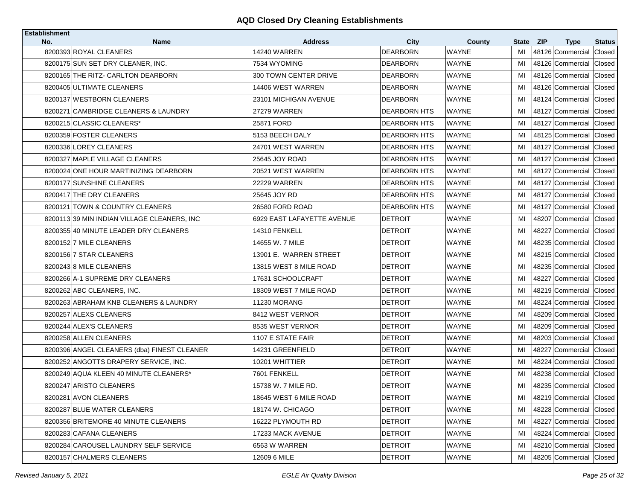| <b>Establishment</b> |                                             |                                |                                |                        |                 |                                 |                         |
|----------------------|---------------------------------------------|--------------------------------|--------------------------------|------------------------|-----------------|---------------------------------|-------------------------|
| No.                  | <b>Name</b><br>8200393 ROYAL CLEANERS       | <b>Address</b><br>14240 WARREN | <b>City</b><br><b>DEARBORN</b> | County<br><b>WAYNE</b> | State ZIP<br>MI | <b>Type</b><br>48126 Commercial | <b>Status</b><br>Closed |
|                      | 8200175 SUN SET DRY CLEANER, INC.           | 7534 WYOMING                   | <b>DEARBORN</b>                | <b>WAYNE</b>           | MI              | 48126 Commercial Closed         |                         |
|                      | 8200165 THE RITZ- CARLTON DEARBORN          | 300 TOWN CENTER DRIVE          | DEARBORN                       | <b>WAYNE</b>           | MI              | 48126 Commercial Closed         |                         |
|                      | 8200405 ULTIMATE CLEANERS                   | 14406 WEST WARREN              | <b>DEARBORN</b>                | <b>WAYNE</b>           | MI              | 48126 Commercial                | Closed                  |
|                      | 8200137 WESTBORN CLEANERS                   | 23101 MICHIGAN AVENUE          | DEARBORN                       | WAYNE                  | MI              | 48124 Commercial Closed         |                         |
|                      | 8200271 CAMBRIDGE CLEANERS & LAUNDRY        | <b>27279 WARREN</b>            | <b>DEARBORN HTS</b>            | <b>WAYNE</b>           | MI              | 48127 Commercial                | Closed                  |
|                      | 8200215 CLASSIC CLEANERS*                   | 25871 FORD                     | DEARBORN HTS                   | WAYNE                  | MI              | 48127 Commercial Closed         |                         |
|                      | 8200359 FOSTER CLEANERS                     | 5153 BEECH DALY                | <b>DEARBORN HTS</b>            | <b>WAYNE</b>           | MI              | 48125 Commercial                | Closed                  |
|                      | 8200336 LOREY CLEANERS                      | 24701 WEST WARREN              | <b>DEARBORN HTS</b>            | <b>WAYNE</b>           | MI              | 48127 Commercial Closed         |                         |
|                      | 8200327 MAPLE VILLAGE CLEANERS              | 25645 JOY ROAD                 | <b>DEARBORN HTS</b>            | <b>WAYNE</b>           | MI              | 48127 Commercial Closed         |                         |
|                      | 8200024 ONE HOUR MARTINIZING DEARBORN       | 20521 WEST WARREN              | <b>DEARBORN HTS</b>            | <b>WAYNE</b>           | MI              | 48127 Commercial Closed         |                         |
|                      | 8200177 SUNSHINE CLEANERS                   | <b>22229 WARREN</b>            | <b>DEARBORN HTS</b>            | WAYNE                  | MI              | 48127 Commercial Closed         |                         |
|                      | 8200417 THE DRY CLEANERS                    | 25645 JOY RD                   | <b>DEARBORN HTS</b>            | <b>WAYNE</b>           | MI              | 48127 Commercial Closed         |                         |
|                      | 8200121 TOWN & COUNTRY CLEANERS             | 26580 FORD ROAD                | <b>DEARBORN HTS</b>            | <b>WAYNE</b>           | MI              | 48127 Commercial Closed         |                         |
|                      | 8200113 39 MIN INDIAN VILLAGE CLEANERS. INC | 6929 EAST LAFAYETTE AVENUE     | <b>DETROIT</b>                 | <b>WAYNE</b>           | MI              | 48207 Commercial                | Closed                  |
|                      | 8200355 40 MINUTE LEADER DRY CLEANERS       | 14310 FENKELL                  | <b>DETROIT</b>                 | WAYNE                  | MI              | 48227 Commercial Closed         |                         |
|                      | 8200152 7 MILE CLEANERS                     | 14655 W. 7 MILE                | <b>DETROIT</b>                 | <b>WAYNE</b>           | MI              | 48235 Commercial                | Closed                  |
|                      | 820015617 STAR CLEANERS                     | 13901 E.  WARREN STREET        | DETROIT                        | <b>WAYNE</b>           | MI              | 48215 Commercial Closed         |                         |
|                      | 8200243 8 MILE CLEANERS                     | 13815 WEST 8 MILE ROAD         | <b>DETROIT</b>                 | <b>WAYNE</b>           | MI              | 48235 Commercial                | Closed                  |
|                      | 8200266 A-1 SUPREME DRY CLEANERS            | 17631 SCHOOLCRAFT              | DETROIT                        | <b>WAYNE</b>           | MI              | 48227 Commercial Closed         |                         |
|                      | 8200262 ABC CLEANERS, INC.                  | 18309 WEST 7 MILE ROAD         | <b>DETROIT</b>                 | <b>WAYNE</b>           | MI              | 48219 Commercial Closed         |                         |
|                      | 8200263 ABRAHAM KNB CLEANERS & LAUNDRY      | 11230 MORANG                   | DETROIT                        | WAYNE                  | MI              | 48224 Commercial Closed         |                         |
|                      | 8200257 ALEXS CLEANERS                      | 8412 WEST VERNOR               | <b>DETROIT</b>                 | <b>WAYNE</b>           | MI              | 48209 Commercial                | Closed                  |
|                      | 8200244 ALEX'S CLEANERS                     | 8535 WEST VERNOR               | <b>DETROIT</b>                 | WAYNE                  | MI              | 48209 Commercial Closed         |                         |
|                      | 8200258 ALLEN CLEANERS                      | 1107 E STATE FAIR              | <b>DETROIT</b>                 | WAYNE                  | MI              | 48203 Commercial Closed         |                         |
|                      | 8200396 ANGEL CLEANERS (dba) FINEST CLEANER | 14231 GREENFIELD               | <b>DETROIT</b>                 | <b>WAYNE</b>           | MI              | 48227 Commercial Closed         |                         |
|                      | 8200252 ANGOTTS DRAPERY SERVICE, INC.       | 10201 WHITTIER                 | <b>DETROIT</b>                 | <b>WAYNE</b>           | MI              | 48224 Commercial Closed         |                         |
|                      | 8200249 AQUA KLEEN 40 MINUTE CLEANERS*      | 7601 FENKELL                   | <b>DETROIT</b>                 | <b>WAYNE</b>           | MI              | 48238 Commercial Closed         |                         |
|                      | 8200247 ARISTO CLEANERS                     | 15738 W. 7 MILE RD.            | <b>DETROIT</b>                 | <b>WAYNE</b>           | MI              | 48235 Commercial Closed         |                         |
|                      | 8200281 AVON CLEANERS                       | 18645 WEST 6 MILE ROAD         | <b>DETROIT</b>                 | <b>WAYNE</b>           | MI              | 48219 Commercial Closed         |                         |
|                      | 8200287 BLUE WATER CLEANERS                 | 18174 W. CHICAGO               | <b>DETROIT</b>                 | <b>WAYNE</b>           | MI              | 48228 Commercial Closed         |                         |
|                      | 8200356 BRITEMORE 40 MINUTE CLEANERS        | 16222 PLYMOUTH RD              | <b>DETROIT</b>                 | WAYNE                  | MI              | 48227 Commercial Closed         |                         |
|                      | 8200283 CAFANA CLEANERS                     | 17233 MACK AVENUE              | <b>DETROIT</b>                 | <b>WAYNE</b>           | MI              | 48224 Commercial Closed         |                         |
|                      | 8200284 CAROUSEL LAUNDRY SELF SERVICE       | 6563 W WARREN                  | <b>DETROIT</b>                 | WAYNE                  | MI              | 48210 Commercial Closed         |                         |
|                      | 8200157 CHALMERS CLEANERS                   | 12609 6 MILE                   | <b>DETROIT</b>                 | <b>WAYNE</b>           | MI              | 48205 Commercial Closed         |                         |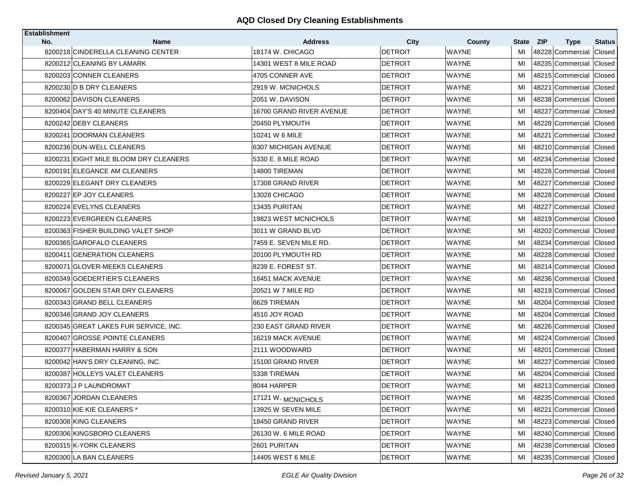| <b>Establishment</b><br>No. | <b>Name</b>                           | <b>Address</b>           | City           | County       | State ZIP | <b>Type</b>             | <b>Status</b> |
|-----------------------------|---------------------------------------|--------------------------|----------------|--------------|-----------|-------------------------|---------------|
|                             | 8200218 CINDERELLA CLEANING CENTER    | 18174 W. CHICAGO         | <b>DETROIT</b> | <b>WAYNE</b> | MI        | 48228 Commercial        | Closed        |
|                             | 8200212 CLEANING BY LAMARK            | 14301 WEST 8 MILE ROAD   | <b>DETROIT</b> | <b>WAYNE</b> | MI        | 48235 Commercial        | Closed        |
|                             | 8200203 CONNER CLEANERS               | 4705 CONNER AVE          | DETROIT        | <b>WAYNE</b> | MI        | 48215 Commercial        | Closed        |
|                             | 8200230 D B DRY CLEANERS              | 2919 W. MCNICHOLS        | <b>DETROIT</b> | <b>WAYNE</b> | MI        | 48221 Commercial        | Closed        |
|                             | 8200062 DAVISON CLEANERS              | 2051 W. DAVISON          | DETROIT        | <b>WAYNE</b> | MI        | 48238 Commercial Closed |               |
|                             | 8200404 DAY'S 40 MINUTE CLEANERS      | 16700 GRAND RIVER AVENUE | <b>DETROIT</b> | <b>WAYNE</b> | MI        | 48227 Commercial        | Closed        |
|                             | 8200242 DEBY CLEANERS                 | 20450 PLYMOUTH           | <b>DETROIT</b> | <b>WAYNE</b> | MI        | 48228 Commercial Closed |               |
|                             | 8200241 DOORMAN CLEANERS              | 10241 W 6 MILE           | <b>DETROIT</b> | <b>WAYNE</b> | MI        | 48221 Commercial Closed |               |
|                             | 8200236 DUN-WELL CLEANERS             | 6307 MICHIGAN AVENUE     | DETROIT        | <b>WAYNE</b> | MI        | 48210 Commercial Closed |               |
|                             | 8200231 EIGHT MILE BLOOM DRY CLEANERS | 5330 E. 8 MILE ROAD      | DETROIT        | <b>WAYNE</b> | MI        | 48234 Commercial Closed |               |
|                             |                                       |                          |                |              |           | 48228 Commercial Closed |               |
|                             | 8200191 ELEGANCE AM CLEANERS          | 14800 TIREMAN            | DETROIT        | <b>WAYNE</b> | MI        |                         |               |
|                             | 8200229 ELEGANT DRY CLEANERS          | 17308 GRAND RIVER        | DETROIT        | WAYNE        | MI        | 48227 Commercial Closed |               |
|                             | 8200227 EP JOY CLEANERS               | 13028 CHICAGO            | <b>DETROIT</b> | <b>WAYNE</b> | MI        | 48228 Commercial Closed |               |
|                             | 8200224 EVELYNS CLEANERS              | 13435 PURITAN            | <b>DETROIT</b> | WAYNE        | MI        | 48227 Commercial        | Closed        |
|                             | 8200223 EVERGREEN CLEANERS            | 19823 WEST MCNICHOLS     | <b>DETROIT</b> | <b>WAYNE</b> | MI        | 48219 Commercial        | Closed        |
|                             | 8200363 FISHER BUILDING VALET SHOP    | 3011 W GRAND BLVD        | DETROIT        | WAYNE        | MI        | 48202 Commercial Closed |               |
|                             | 8200365 GAROFALO CLEANERS             | 7459 E. SEVEN MILE RD.   | <b>DETROIT</b> | <b>WAYNE</b> | MI        | 48234 Commercial        | Closed        |
|                             | 8200411 GENERATION CLEANERS           | 20100 PLYMOUTH RD        | DETROIT        | <b>WAYNE</b> | MI        | 48228 Commercial Closed |               |
|                             | 8200071 GLOVER-MEEKS CLEANERS         | 8239 E. FOREST ST.       | DETROIT        | <b>WAYNE</b> | MI        | 48214 Commercial        | Closed        |
|                             | 8200349 GOEDERTIER'S CLEANERS         | 18451 MACK AVENUE        | DETROIT        | <b>WAYNE</b> | MI        | 48236 Commercial Closed |               |
|                             | 8200067 GOLDEN STAR DRY CLEANERS      | 20521 W 7 MILE RD        | DETROIT        | <b>WAYNE</b> | MI        | 48219 Commercial Closed |               |
|                             | 8200343 GRAND BELL CLEANERS           | 6629 TIREMAN             | DETROIT        | <b>WAYNE</b> | MI        | 48204 Commercial Closed |               |
|                             | 8200346 GRAND JOY CLEANERS            | 4510 JOY ROAD            | <b>DETROIT</b> | <b>WAYNE</b> | MI        | 48204 Commercial        | Closed        |
|                             | 8200345 GREAT LAKES FUR SERVICE, INC. | 230 EAST GRAND RIVER     | <b>DETROIT</b> | <b>WAYNE</b> | MI        | 48226 Commercial        | Closed        |
|                             | 8200407 GROSSE POINTE CLEANERS        | 16219 MACK AVENUE        | <b>DETROIT</b> | <b>WAYNE</b> | MI        | 48224 Commercial Closed |               |
|                             | 8200377 HABERMAN HARRY & SON          | 2111 WOODWARD            | <b>DETROIT</b> | <b>WAYNE</b> | MI        | 48201 Commercial        | Closed        |
|                             | 8200042 HAN'S DRY CLEANING, INC.      | 15100 GRAND RIVER        | <b>DETROIT</b> | WAYNE        | MI        | 48227 Commercial        | Closed        |
|                             | 8200387 HOLLEYS VALET CLEANERS        | 5338 TIREMAN             | <b>DETROIT</b> | <b>WAYNE</b> | MI        | 48204 Commercial        | Closed        |
|                             | 8200373 J P LAUNDROMAT                | 8044 HARPER              | DETROIT        | WAYNE        | MI        | 48213 Commercial        | Closed        |
|                             | 8200367 JORDAN CLEANERS               | 17121 W. MCNICHOLS       | <b>DETROIT</b> | <b>WAYNE</b> | MI        | 48235 Commercial Closed |               |
|                             | 8200310 KIE KIE CLEANERS *            | 13925 W SEVEN MILE       | <b>DETROIT</b> | WAYNE        | MI        | 48221 Commercial Closed |               |
|                             | 8200308 KING CLEANERS                 | 18450 GRAND RIVER        | <b>DETROIT</b> | WAYNE        | MI        | 48223 Commercial Closed |               |
|                             | 8200306 KINGSBORO CLEANERS            | 26130 W. 6 MILE ROAD     | <b>DETROIT</b> | WAYNE        | MI        | 48240 Commercial Closed |               |
|                             | 8200315 K-YORK CLEANERS               | 2601 PURITAN             | <b>DETROIT</b> | <b>WAYNE</b> | MI        | 48238 Commercial Closed |               |
|                             | 8200300 LA BAN CLEANERS               | 14405 WEST 6 MILE        | <b>DETROIT</b> | WAYNE        | MI        | 48235 Commercial Closed |               |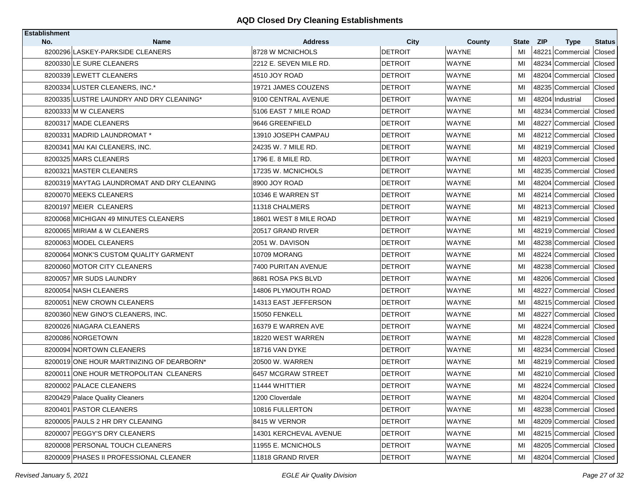| <b>Establishment</b> |                                                 |                                    |                        |                        |             |            |                                 |                         |
|----------------------|-------------------------------------------------|------------------------------------|------------------------|------------------------|-------------|------------|---------------------------------|-------------------------|
| No.                  | <b>Name</b><br>8200296 LASKEY-PARKSIDE CLEANERS | <b>Address</b><br>8728 W MCNICHOLS | City<br><b>DETROIT</b> | County<br><b>WAYNE</b> | State<br>MI | <b>ZIP</b> | <b>Type</b><br>48221 Commercial | <b>Status</b><br>Closed |
|                      | 8200330 LE SURE CLEANERS                        | 2212 E. SEVEN MILE RD.             | <b>DETROIT</b>         | <b>WAYNE</b>           | MI          |            | 48234 Commercial                | Closed                  |
|                      | 8200339 LEWETT CLEANERS                         | 4510 JOY ROAD                      | <b>DETROIT</b>         | <b>WAYNE</b>           | MI          |            | 48204 Commercial                | Closed                  |
|                      |                                                 |                                    |                        | <b>WAYNE</b>           |             |            |                                 |                         |
|                      | 8200334 LUSTER CLEANERS, INC.*                  | 19721 JAMES COUZENS                | <b>DETROIT</b>         |                        | MI          |            | 48235 Commercial                | Closed                  |
|                      | 8200335 LUSTRE LAUNDRY AND DRY CLEANING*        | 9100 CENTRAL AVENUE                | <b>DETROIT</b>         | <b>WAYNE</b>           | MI          |            | 48204 Industrial                | Closed                  |
|                      | 8200333 M W CLEANERS                            | 5106 EAST 7 MILE ROAD              | <b>DETROIT</b>         | <b>WAYNE</b>           | MI          |            | 48234 Commercial                | Closed                  |
|                      | 8200317 MADE CLEANERS                           | 9646 GREENFIELD                    | <b>DETROIT</b>         | <b>WAYNE</b>           | MI          |            | 48227 Commercial                | Closed                  |
|                      | 8200331 MADRID LAUNDROMAT *                     | 13910 JOSEPH CAMPAU                | <b>DETROIT</b>         | <b>WAYNE</b>           | MI          |            | 48212 Commercial                | Closed                  |
|                      | 8200341 MAI KAI CLEANERS. INC.                  | 24235 W. 7 MILE RD.                | <b>DETROIT</b>         | <b>WAYNE</b>           | MI          |            | 48219 Commercial Closed         |                         |
|                      | 8200325 MARS CLEANERS                           | 1796 E. 8 MILE RD.                 | <b>DETROIT</b>         | <b>WAYNE</b>           | MI          |            | 48203 Commercial                | Closed                  |
|                      | 8200321 MASTER CLEANERS                         | 17235 W. MCNICHOLS                 | <b>DETROIT</b>         | <b>WAYNE</b>           | MI          |            | 48235 Commercial Closed         |                         |
|                      | 8200319 MAYTAG LAUNDROMAT AND DRY CLEANING      | 8900 JOY ROAD                      | <b>DETROIT</b>         | <b>WAYNE</b>           | MI          |            | 48204 Commercial                | Closed                  |
|                      | 8200070 MEEKS CLEANERS                          | 10346 E WARREN ST                  | <b>DETROIT</b>         | <b>WAYNE</b>           | MI          |            | 48214 Commercial                | Closed                  |
|                      | 8200197 MEIER CLEANERS                          | 11318 CHALMERS                     | <b>DETROIT</b>         | <b>WAYNE</b>           | MI          |            | 48213 Commercial                | Closed                  |
|                      | 8200068 MICHIGAN 49 MINUTES CLEANERS            | 18601 WEST 8 MILE ROAD             | <b>DETROIT</b>         | <b>WAYNE</b>           | MI          |            | 48219 Commercial                | Closed                  |
|                      | 8200065 MIRIAM & W CLEANERS                     | 20517 GRAND RIVER                  | <b>DETROIT</b>         | <b>WAYNE</b>           | MI          |            | 48219 Commercial                | Closed                  |
|                      | 8200063 MODEL CLEANERS                          | 2051 W. DAVISON                    | <b>DETROIT</b>         | <b>WAYNE</b>           | MI          |            | 48238 Commercial                | Closed                  |
|                      | 8200064 MONK'S CUSTOM QUALITY GARMENT           | 10709 MORANG                       | <b>DETROIT</b>         | <b>WAYNE</b>           | MI          |            | 48224 Commercial                | Closed                  |
|                      | 8200060 MOTOR CITY CLEANERS                     | 7400 PURITAN AVENUE                | <b>DETROIT</b>         | <b>WAYNE</b>           | MI          |            | 48238 Commercial                | Closed                  |
|                      | 8200057 MR SUDS LAUNDRY                         | 8681 ROSA PKS BLVD                 | <b>DETROIT</b>         | <b>WAYNE</b>           | MI          |            | 48206 Commercial                | Closed                  |
|                      | 8200054 NASH CLEANERS                           | 14806 PLYMOUTH ROAD                | <b>DETROIT</b>         | <b>WAYNE</b>           | MI          |            | 48227 Commercial                | Closed                  |
|                      | 8200051 NEW CROWN CLEANERS                      | 14313 EAST JEFFERSON               | <b>DETROIT</b>         | <b>WAYNE</b>           | MI          |            | 48215 Commercial                | Closed                  |
|                      | 8200360 NEW GINO'S CLEANERS, INC.               | 15050 FENKELL                      | <b>DETROIT</b>         | <b>WAYNE</b>           | MI          |            | 48227 Commercial                | Closed                  |
|                      | 8200026 NIAGARA CLEANERS                        | 16379 E WARREN AVE                 | <b>DETROIT</b>         | <b>WAYNE</b>           | MI          |            | 48224 Commercial                | Closed                  |
|                      | 8200086 NORGETOWN                               | 18220 WEST WARREN                  | <b>DETROIT</b>         | <b>WAYNE</b>           | MI          |            | 48228 Commercial                | Closed                  |
|                      | 8200094 NORTOWN CLEANERS                        | 18716 VAN DYKE                     | <b>DETROIT</b>         | <b>WAYNE</b>           | MI          |            | 48234 Commercial                | Closed                  |
|                      | 8200019 ONE HOUR MARTINIZING OF DEARBORN*       | 20500 W. WARREN                    | <b>DETROIT</b>         | WAYNE                  | MI          |            | 48219 Commercial                | Closed                  |
|                      | 8200011 ONE HOUR METROPOLITAN CLEANERS          | 6457 MCGRAW STREET                 | <b>DETROIT</b>         | <b>WAYNE</b>           | MI          |            | 48210 Commercial                | Closed                  |
|                      | 8200002 PALACE CLEANERS                         | <b>11444 WHITTIER</b>              | <b>DETROIT</b>         | <b>WAYNE</b>           | MI          |            | 48224 Commercial                | Closed                  |
|                      | 8200429 Palace Quality Cleaners                 | 1200 Cloverdale                    | <b>DETROIT</b>         | <b>WAYNE</b>           | MI          |            | 48204 Commercial Closed         |                         |
|                      | 8200401 PASTOR CLEANERS                         | 10816 FULLERTON                    | <b>DETROIT</b>         | WAYNE                  | MI          |            | 48238 Commercial Closed         |                         |
|                      | 8200005 PAULS 2 HR DRY CLEANING                 | 8415 W VERNOR                      | <b>DETROIT</b>         | <b>WAYNE</b>           | MI          |            | 48209 Commercial Closed         |                         |
|                      | 8200007 PEGGY'S DRY CLEANERS                    | 14301 KERCHEVAL AVENUE             | <b>DETROIT</b>         | <b>WAYNE</b>           | MI          |            | 48215 Commercial Closed         |                         |
|                      | 8200008 PERSONAL TOUCH CLEANERS                 | 11955 E. MCNICHOLS                 | <b>DETROIT</b>         | WAYNE                  | MI          |            | 48205 Commercial Closed         |                         |
|                      | 8200009 PHASES II PROFESSIONAL CLEANER          | 11818 GRAND RIVER                  | <b>DETROIT</b>         | <b>WAYNE</b>           | MI          |            | 48204 Commercial Closed         |                         |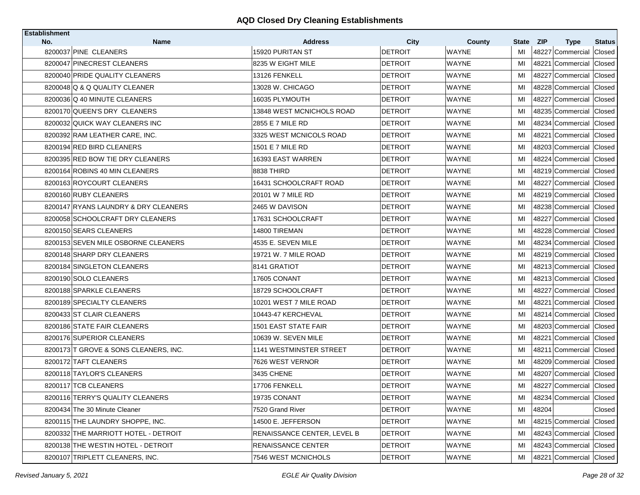| <b>Establishment</b> |                                       |                                               |                        |                        |                    |            |                                 |                         |
|----------------------|---------------------------------------|-----------------------------------------------|------------------------|------------------------|--------------------|------------|---------------------------------|-------------------------|
| No.                  | <b>Name</b><br>8200037 PINE CLEANERS  | <b>Address</b><br>15920 PURITAN ST            | City<br><b>DETROIT</b> | County<br><b>WAYNE</b> | <b>State</b><br>MI | <b>ZIP</b> | <b>Type</b><br>48227 Commercial | <b>Status</b><br>Closed |
|                      | 8200047 PINECREST CLEANERS            | 8235 W EIGHT MILE                             | <b>DETROIT</b>         | <b>WAYNE</b>           | MI                 |            | 48221 Commercial                | Closed                  |
|                      | 8200040 PRIDE QUALITY CLEANERS        | 13126 FENKELL                                 | <b>DETROIT</b>         | <b>WAYNE</b>           | MI                 |            | 48227 Commercial                | Closed                  |
|                      | 8200048 Q & Q QUALITY CLEANER         | 13028 W. CHICAGO                              | <b>DETROIT</b>         | <b>WAYNE</b>           | MI                 |            | 48228 Commercial                | Closed                  |
|                      | 8200036 Q 40 MINUTE CLEANERS          | 16035 PLYMOUTH                                | <b>DETROIT</b>         | WAYNE                  | MI                 |            | 48227 Commercial Closed         |                         |
|                      |                                       |                                               |                        |                        |                    |            |                                 |                         |
|                      | 8200170 QUEEN'S DRY CLEANERS          | 13848 WEST MCNICHOLS ROAD<br>2855 E 7 MILE RD | <b>DETROIT</b>         | <b>WAYNE</b>           | MI                 |            | 48235 Commercial                | Closed                  |
|                      | 8200032 QUICK WAY CLEANERS INC        |                                               | <b>DETROIT</b>         | <b>WAYNE</b>           | MI                 |            | 48234 Commercial Closed         |                         |
|                      | 8200392 RAM LEATHER CARE, INC.        | 3325 WEST MCNICOLS ROAD                       | <b>DETROIT</b>         | <b>WAYNE</b>           | MI                 |            | 48221 Commercial Closed         |                         |
|                      | 8200194 RED BIRD CLEANERS             | 1501 E 7 MILE RD                              | <b>DETROIT</b>         | <b>WAYNE</b>           | MI                 |            | 48203 Commercial Closed         |                         |
|                      | 8200395 RED BOW TIE DRY CLEANERS      | 16393 EAST WARREN                             | DETROIT                | WAYNE                  | MI                 |            | 48224 Commercial                | Closed                  |
|                      | 8200164 ROBINS 40 MIN CLEANERS        | 8838 THIRD                                    | <b>DETROIT</b>         | <b>WAYNE</b>           | MI                 |            | 48219 Commercial Closed         |                         |
|                      | 8200163 ROYCOURT CLEANERS             | 16431 SCHOOLCRAFT ROAD                        | <b>DETROIT</b>         | WAYNE                  | MI                 |            | 48227 Commercial Closed         |                         |
|                      | 8200160 RUBY CLEANERS                 | 20101 W 7 MILE RD                             | <b>DETROIT</b>         | <b>WAYNE</b>           | MI                 |            | 48219 Commercial Closed         |                         |
|                      | 8200147 RYANS LAUNDRY & DRY CLEANERS  | 2465 W DAVISON                                | <b>DETROIT</b>         | <b>WAYNE</b>           | MI                 |            | 48238 Commercial Closed         |                         |
|                      | 8200058 SCHOOLCRAFT DRY CLEANERS      | 17631 SCHOOLCRAFT                             | <b>DETROIT</b>         | <b>WAYNE</b>           | MI                 |            | 48227 Commercial                | Closed                  |
|                      | 8200150 SEARS CLEANERS                | 14800 TIREMAN                                 | DETROIT                | WAYNE                  | MI                 |            | 48228 Commercial                | Closed                  |
|                      | 8200153 SEVEN MILE OSBORNE CLEANERS   | 4535 E. SEVEN MILE                            | <b>DETROIT</b>         | <b>WAYNE</b>           | MI                 |            | 48234 Commercial                | Closed                  |
|                      | 8200148 SHARP DRY CLEANERS            | 19721 W. 7 MILE ROAD                          | DETROIT                | <b>WAYNE</b>           | MI                 |            | 48219 Commercial Closed         |                         |
|                      | 8200184 SINGLETON CLEANERS            | 8141 GRATIOT                                  | <b>DETROIT</b>         | <b>WAYNE</b>           | MI                 |            | 48213 Commercial                | Closed                  |
|                      | 8200190 SOLO CLEANERS                 | 17605 CONANT                                  | DETROIT                | <b>WAYNE</b>           | MI                 |            | 48213 Commercial Closed         |                         |
|                      | 8200188 SPARKLE CLEANERS              | 18729 SCHOOLCRAFT                             | <b>DETROIT</b>         | <b>WAYNE</b>           | MI                 |            | 48227 Commercial                | Closed                  |
|                      | 8200189 SPECIALTY CLEANERS            | 10201 WEST 7 MILE ROAD                        | <b>DETROIT</b>         | WAYNE                  | MI                 |            | 48221 Commercial Closed         |                         |
|                      | 8200433 ST CLAIR CLEANERS             | 10443-47 KERCHEVAL                            | <b>DETROIT</b>         | <b>WAYNE</b>           | MI                 |            | 48214 Commercial                | Closed                  |
|                      | 8200186 STATE FAIR CLEANERS           | 1501 EAST STATE FAIR                          | <b>DETROIT</b>         | <b>WAYNE</b>           | MI                 |            | 48203 Commercial                | Closed                  |
|                      | 8200176 SUPERIOR CLEANERS             | 10639 W. SEVEN MILE                           | <b>DETROIT</b>         | <b>WAYNE</b>           | MI                 |            | 48221 Commercial                | Closed                  |
|                      | 8200173 T GROVE & SONS CLEANERS, INC. | <b>1141 WESTMINSTER STREET</b>                | <b>DETROIT</b>         | <b>WAYNE</b>           | MI                 |            | 48211 Commercial                | Closed                  |
|                      | 8200172 TAFT CLEANERS                 | 7626 WEST VERNOR                              | <b>DETROIT</b>         | WAYNE                  | MI                 |            | 48209 Commercial                | Closed                  |
|                      | 8200118 TAYLOR'S CLEANERS             | 3435 CHENE                                    | <b>DETROIT</b>         | <b>WAYNE</b>           | MI                 |            | 48207 Commercial                | Closed                  |
|                      | 8200117 TCB CLEANERS                  | 17706 FENKELL                                 | DETROIT                | WAYNE                  | MI                 |            | 48227 Commercial                | <b>Closed</b>           |
|                      | 8200116 TERRY'S QUALITY CLEANERS      | 19735 CONANT                                  | <b>DETROIT</b>         | WAYNE                  | MI                 |            | 48234 Commercial Closed         |                         |
|                      | 8200434 The 30 Minute Cleaner         | 7520 Grand River                              | <b>DETROIT</b>         | WAYNE                  | MI                 | 48204      |                                 | Closed                  |
|                      | 8200115 THE LAUNDRY SHOPPE, INC.      | 14500 E. JEFFERSON                            | <b>DETROIT</b>         | WAYNE                  | MI                 |            | 48215 Commercial                | Closed                  |
|                      | 8200332 THE MARRIOTT HOTEL - DETROIT  | RENAISSANCE CENTER, LEVEL B                   | <b>DETROIT</b>         | <b>WAYNE</b>           | MI                 |            | 48243 Commercial Closed         |                         |
|                      | 8200138 THE WESTIN HOTEL - DETROIT    | <b>RENAISSANCE CENTER</b>                     | <b>DETROIT</b>         | <b>WAYNE</b>           | MI                 |            | 48243 Commercial Closed         |                         |
|                      | 8200107 TRIPLETT CLEANERS, INC.       | 7546 WEST MCNICHOLS                           | <b>DETROIT</b>         | WAYNE                  | MI                 |            | 48221 Commercial Closed         |                         |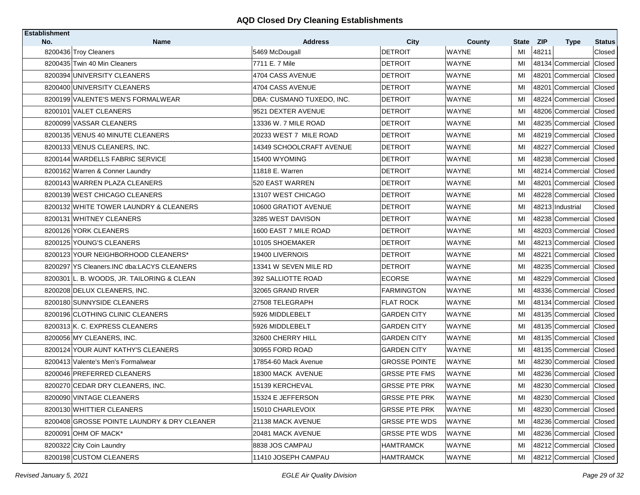| Establishment |                                             |                                  |                        |                               |             |                                    |                         |
|---------------|---------------------------------------------|----------------------------------|------------------------|-------------------------------|-------------|------------------------------------|-------------------------|
| No.           | <b>Name</b><br>8200436 Troy Cleaners        | <b>Address</b><br>5469 McDougall | City<br><b>DETROIT</b> | <b>County</b><br><b>WAYNE</b> | State<br>MI | <b>ZIP</b><br><b>Type</b><br>48211 | <b>Status</b><br>Closed |
|               | 8200435 Twin 40 Min Cleaners                | 7711 E. 7 Mile                   | <b>DETROIT</b>         | <b>WAYNE</b>                  | MI          | 48134 Commercial                   | Closed                  |
|               | 8200394 UNIVERSITY CLEANERS                 | 4704 CASS AVENUE                 | <b>DETROIT</b>         | <b>WAYNE</b>                  | MI          | 48201 Commercial                   | Closed                  |
|               | 8200400 UNIVERSITY CLEANERS                 | 4704 CASS AVENUE                 | <b>DETROIT</b>         | <b>WAYNE</b>                  | MI          | 48201<br>Commercial                | Closed                  |
|               | 8200199 VALENTE'S MEN'S FORMALWEAR          | DBA: CUSMANO TUXEDO, INC.        | <b>DETROIT</b>         | <b>WAYNE</b>                  | MI          | 48224 Commercial                   | Closed                  |
|               | 8200101 VALET CLEANERS                      | 9521 DEXTER AVENUE               | <b>DETROIT</b>         | <b>WAYNE</b>                  | MI          | 48206 Commercial                   | Closed                  |
|               | 8200099 VASSAR CLEANERS                     | 13336 W. 7 MILE ROAD             | <b>DETROIT</b>         | <b>WAYNE</b>                  | MI          | 48235 Commercial Closed            |                         |
|               | 8200135 VENUS 40 MINUTE CLEANERS            | 20233 WEST 7 MILE ROAD           | <b>DETROIT</b>         | <b>WAYNE</b>                  | MI          | 48219 Commercial                   | Closed                  |
|               | 8200133 VENUS CLEANERS, INC.                | 14349 SCHOOLCRAFT AVENUE         | <b>DETROIT</b>         | <b>WAYNE</b>                  | MI          | 48227 Commercial Closed            |                         |
|               | 8200144 WARDELLS FABRIC SERVICE             | 15400 WYOMING                    | <b>DETROIT</b>         | <b>WAYNE</b>                  | MI          | 48238 Commercial                   | Closed                  |
|               | 8200162 Warren & Conner Laundry             | 11818 E. Warren                  | <b>DETROIT</b>         | <b>WAYNE</b>                  | MI          | 48214 Commercial                   | Closed                  |
|               | 8200143 WARREN PLAZA CLEANERS               | 520 EAST WARREN                  | <b>DETROIT</b>         | <b>WAYNE</b>                  | MI          | 48201 Commercial                   | Closed                  |
|               | 8200139 WEST CHICAGO CLEANERS               | 13107 WEST CHICAGO               | <b>DETROIT</b>         | <b>WAYNE</b>                  | MI          | 48228 Commercial                   | Closed                  |
|               | 8200132 WHITE TOWER LAUNDRY & CLEANERS      | 10600 GRATIOT AVENUE             | <b>DETROIT</b>         | <b>WAYNE</b>                  | MI          | 48213 Industrial                   | Closed                  |
|               | 8200131 WHITNEY CLEANERS                    | 3285 WEST DAVISON                | <b>DETROIT</b>         | <b>WAYNE</b>                  | MI          | 48238 Commercial                   | Closed                  |
|               | 8200126 YORK CLEANERS                       | 1600 EAST 7 MILE ROAD            | <b>DETROIT</b>         | WAYNE                         | MI          | 48203 Commercial                   | Closed                  |
|               | 8200125 YOUNG'S CLEANERS                    | 10105 SHOEMAKER                  | <b>DETROIT</b>         | <b>WAYNE</b>                  | МI          | 48213 Commercial                   | Closed                  |
|               | 8200123 YOUR NEIGHBORHOOD CLEANERS*         | 19400 LIVERNOIS                  | DETROIT                | WAYNE                         | MI          | 48221 Commercial                   | Closed                  |
|               | 8200297 YS Cleaners.INC dba:LACYS CLEANERS  | 13341 W SEVEN MILE RD            | <b>DETROIT</b>         | <b>WAYNE</b>                  | MI          | 48235 Commercial                   | Closed                  |
|               | 8200301 L. B. WOODS, JR. TAILORING & CLEAN  | <b>392 SALLIOTTE ROAD</b>        | <b>ECORSE</b>          | <b>WAYNE</b>                  | MI          | 48229 Commercial Closed            |                         |
|               | 8200208 DELUX CLEANERS, INC.                | 32065 GRAND RIVER                | <b>FARMINGTON</b>      | <b>WAYNE</b>                  | MI          | 48336 Commercial                   | Closed                  |
|               | 8200180 SUNNYSIDE CLEANERS                  | 27508 TELEGRAPH                  | <b>FLAT ROCK</b>       | WAYNE                         | MI          | 48134 Commercial                   | Closed                  |
|               | 8200196 CLOTHING CLINIC CLEANERS            | 5926 MIDDLEBELT                  | <b>GARDEN CITY</b>     | <b>WAYNE</b>                  | MI          | 48135 Commercial                   | Closed                  |
|               | 8200313 K. C. EXPRESS CLEANERS              | 5926 MIDDLEBELT                  | <b>GARDEN CITY</b>     | <b>WAYNE</b>                  | MI          | 48135 Commercial Closed            |                         |
|               | 8200056 MY CLEANERS, INC.                   | 32600 CHERRY HILL                | <b>GARDEN CITY</b>     | <b>WAYNE</b>                  | MI          | 48135 Commercial                   | Closed                  |
|               | 8200124 YOUR AUNT KATHY'S CLEANERS          | 30955 FORD ROAD                  | <b>GARDEN CITY</b>     | <b>WAYNE</b>                  | MI          | 48135 Commercial                   | Closed                  |
|               | 8200413 Valente's Men's Formalwear          | 17854-60 Mack Avenue             | <b>GROSSE POINTE</b>   | <b>WAYNE</b>                  | MI          | 48230 Commercial                   | Closed                  |
|               | 8200046 PREFERRED CLEANERS                  | 18300 MACK AVENUE                | <b>GRSSE PTE FMS</b>   | <b>WAYNE</b>                  | MI          | 48236 Commercial                   | Closed                  |
|               | 8200270 CEDAR DRY CLEANERS, INC.            | 15139 KERCHEVAL                  | <b>GRSSE PTE PRK</b>   | <b>WAYNE</b>                  | MI          | 48230 Commercial                   | Closed                  |
|               | 8200090 VINTAGE CLEANERS                    | 15324 E JEFFERSON                | <b>GRSSE PTE PRK</b>   | <b>WAYNE</b>                  | MI          | 48230 Commercial Closed            |                         |
|               | 8200130 WHITTIER CLEANERS                   | 15010 CHARLEVOIX                 | <b>GRSSE PTE PRK</b>   | WAYNE                         | MI          | 48230 Commercial Closed            |                         |
|               | 8200408 GROSSE POINTE LAUNDRY & DRY CLEANER | 21138 MACK AVENUE                | <b>GRSSE PTE WDS</b>   | WAYNE                         | MI          | 48236 Commercial                   | Closed                  |
|               | 8200091 OHM OF MACK*                        | 20481 MACK AVENUE                | <b>GRSSE PTE WDS</b>   | WAYNE                         | MI          | 48236 Commercial Closed            |                         |
|               | 8200322 City Coin Laundry                   | 8838 JOS CAMPAU                  | <b>HAMTRAMCK</b>       | <b>WAYNE</b>                  | MI          | 48212 Commercial                   | Closed                  |
|               | 8200198 CUSTOM CLEANERS                     | 11410 JOSEPH CAMPAU              | <b>HAMTRAMCK</b>       | <b>WAYNE</b>                  | MI          | 48212 Commercial Closed            |                         |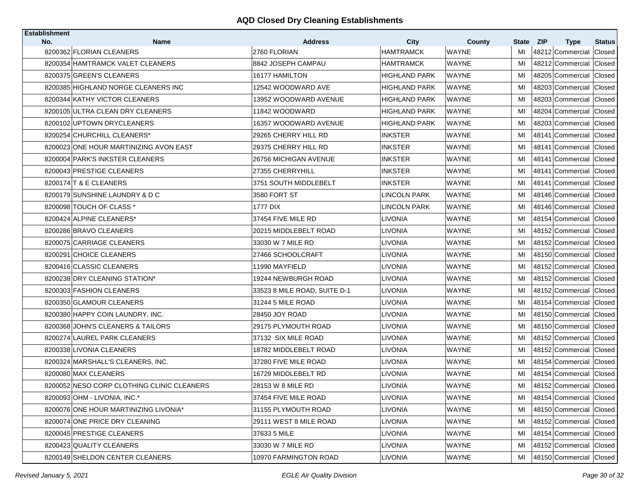| <b>Establishment</b> |                                            |                              |                      |              |       |                           |               |
|----------------------|--------------------------------------------|------------------------------|----------------------|--------------|-------|---------------------------|---------------|
| No.                  | <b>Name</b>                                | <b>Address</b>               | City                 | County       | State | <b>ZIP</b><br><b>Type</b> | <b>Status</b> |
|                      | 8200362 FLORIAN CLEANERS                   | 2760 FLORIAN                 | <b>HAMTRAMCK</b>     | <b>WAYNE</b> | MI    | 48212 Commercial          | Closed        |
|                      | 8200354 HAMTRAMCK VALET CLEANERS           | 8842 JOSEPH CAMPAU           | <b>HAMTRAMCK</b>     | <b>WAYNE</b> | MI    | 48212 Commercial Closed   |               |
|                      | 8200375 GREEN'S CLEANERS                   | 16177 HAMILTON               | <b>HIGHLAND PARK</b> | <b>WAYNE</b> | MI    | 48205 Commercial          | Closed        |
|                      | 8200385 HIGHLAND NORGE CLEANERS INC        | 12542 WOODWARD AVE           | <b>HIGHLAND PARK</b> | <b>WAYNE</b> | MI    | 48203 Commercial          | Closed        |
|                      | 8200344 KATHY VICTOR CLEANERS              | 13952 WOODWARD AVENUE        | HIGHLAND PARK        | <b>WAYNE</b> | MI    | 48203 Commercial          | Closed        |
|                      | 8200105 ULTRA CLEAN DRY CLEANERS           | 11842 WOODWARD               | HIGHLAND PARK        | <b>WAYNE</b> | MI    | 48204 Commercial          | Closed        |
|                      | 8200102 UPTOWN DRYCLEANERS                 | 16357 WOODWARD AVENUE        | HIGHLAND PARK        | <b>WAYNE</b> | MI    | 48203 Commercial          | Closed        |
|                      | 8200254 CHURCHILL CLEANERS*                | 29265 CHERRY HILL RD         | <b>INKSTER</b>       | <b>WAYNE</b> | MI    | 48141 Commercial          | Closed        |
|                      | 8200023 ONE HOUR MARTINIZING AVON EAST     | 29375 CHERRY HILL RD         | INKSTER              | <b>WAYNE</b> | MI    | 48141 Commercial          | <b>Closed</b> |
|                      | 8200004 PARK'S INKSTER CLEANERS            | 26756 MICHIGAN AVENUE        | <b>INKSTER</b>       | WAYNE        | MI    | 48141 Commercial          | Closed        |
|                      | 8200043 PRESTIGE CLEANERS                  | 27355 CHERRYHILL             | INKSTER              | WAYNE        | MI    | 48141 Commercial Closed   |               |
|                      | 8200174 T & E CLEANERS                     | 3751 SOUTH MIDDLEBELT        | INKSTER              | <b>WAYNE</b> | MI    | 48141 Commercial          | Closed        |
|                      | 8200179 SUNSHINE LAUNDRY & D C             | 3580 FORT ST                 | <b>LINCOLN PARK</b>  | <b>WAYNE</b> | MI    | 48146 Commercial Closed   |               |
|                      | 8200098 TOUCH OF CLASS *                   | <b>1777 DIX</b>              | <b>LINCOLN PARK</b>  | <b>WAYNE</b> | MI    | 48146 Commercial          | Closed        |
|                      | 8200424 ALPINE CLEANERS*                   | 37454 FIVE MILE RD           | LIVONIA              | <b>WAYNE</b> | MI    | 48154 Commercial Closed   |               |
|                      | 8200286 BRAVO CLEANERS                     | 20215 MIDDLEBELT ROAD        | LIVONIA              | <b>WAYNE</b> | MI    | 48152 Commercial Closed   |               |
|                      | 8200075 CARRIAGE CLEANERS                  | 33030 W 7 MILE RD            | LIVONIA              | <b>WAYNE</b> | MI    | 48152 Commercial          | Closed        |
|                      | 8200291 CHOICE CLEANERS                    | 27466 SCHOOLCRAFT            | LIVONIA              | <b>WAYNE</b> | MI    | 48150 Commercial          | Closed        |
|                      | 8200416 CLASSIC CLEANERS                   | 11990 MAYFIELD               | <b>LIVONIA</b>       | <b>WAYNE</b> | MI    | 48152 Commercial          | Closed        |
|                      | 8200238 DRY CLEANING STATION*              | 19244 NEWBURGH ROAD          | LIVONIA              | <b>WAYNE</b> | MI    | 48152 Commercial          | Closed        |
|                      | 8200303 FASHION CLEANERS                   | 33523 8 MILE ROAD, SUITE D-1 | LIVONIA              | <b>WAYNE</b> | MI    | 48152 Commercial          | Closed        |
|                      | 8200350 GLAMOUR CLEANERS                   | 31244 5 MILE ROAD            | LIVONIA              | <b>WAYNE</b> | MI    | 48154 Commercial Closed   |               |
|                      | 8200380 HAPPY COIN LAUNDRY, INC.           | 28450 JOY ROAD               | LIVONIA              | <b>WAYNE</b> | MI    | 48150 Commercial          | Closed        |
|                      | 8200368 JOHN'S CLEANERS & TAILORS          | 29175 PLYMOUTH ROAD          | LIVONIA              | WAYNE        | MI    | 48150 Commercial Closed   |               |
|                      | 8200274 LAUREL PARK CLEANERS               | 37132 SIX MILE ROAD          | LIVONIA              | WAYNE        | MI    | 48152 Commercial          | Closed        |
|                      | 8200338 LIVONIA CLEANERS                   | 18782 MIDDLEBELT ROAD        | LIVONIA              | <b>WAYNE</b> | MI    | 48152 Commercial Closed   |               |
|                      | 8200324 MARSHALL'S CLEANERS, INC.          | 37280 FIVE MILE ROAD         | LIVONIA              | WAYNE        | MI    | 48154 Commercial          | Closed        |
|                      | 8200080 MAX CLEANERS                       | 16729 MIDDLEBELT RD          | LIVONIA              | <b>WAYNE</b> | MI    | 48154 Commercial Closed   |               |
|                      | 8200052 NESO CORP CLOTHING CLINIC CLEANERS | 28153 W 8 MILE RD            | LIVONIA              | WAYNE        | MI    | 48152 Commercial Closed   |               |
|                      | 8200093 OHM - LIVONIA, INC.*               | 37454 FIVE MILE ROAD         | <b>LIVONIA</b>       | <b>WAYNE</b> | MI    | 48154 Commercial Closed   |               |
|                      | 8200076 ONE HOUR MARTINIZING LIVONIA*      | 31155 PLYMOUTH ROAD          | LIVONIA              | WAYNE        | MI    | 48150 Commercial Closed   |               |
|                      | 8200074 ONE PRICE DRY CLEANING             | 29111 WEST 8 MILE ROAD       | <b>LIVONIA</b>       | WAYNE        | MI    | 48152 Commercial Closed   |               |
|                      | 8200045 PRESTIGE CLEANERS                  | 37633 5 MILE                 | <b>LIVONIA</b>       | <b>WAYNE</b> | МI    | 48154 Commercial Closed   |               |
|                      | 8200423 QUALITY CLEANERS                   | 33030 W 7 MILE RD            | <b>LIVONIA</b>       | WAYNE        | MI    | 48152 Commercial          | Closed        |
|                      | 8200149 SHELDON CENTER CLEANERS            | 10970 FARMINGTON ROAD        | <b>LIVONIA</b>       | <b>WAYNE</b> | MI    | 48150 Commercial Closed   |               |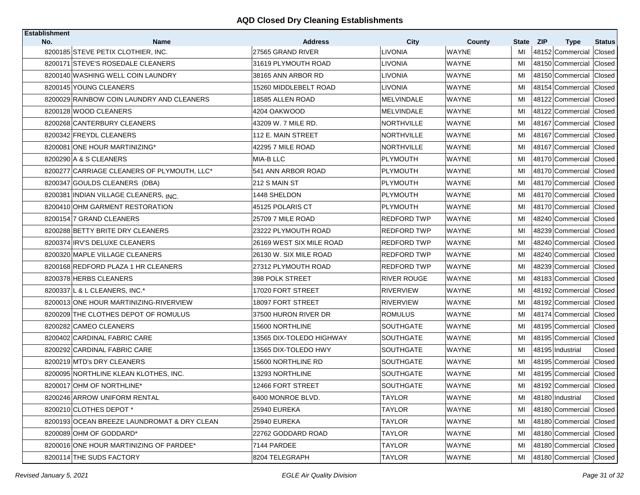| <b>Establishment</b> |                                                   |                                     |                        |                        |             |                                               |                                |
|----------------------|---------------------------------------------------|-------------------------------------|------------------------|------------------------|-------------|-----------------------------------------------|--------------------------------|
| No.                  | <b>Name</b><br>8200185 STEVE PETIX CLOTHIER, INC. | <b>Address</b><br>27565 GRAND RIVER | <b>City</b><br>LIVONIA | County<br><b>WAYNE</b> | State<br>MI | <b>ZIP</b><br><b>Type</b><br>48152 Commercial | <b>Status</b><br><b>Closed</b> |
|                      | 8200171 STEVE'S ROSEDALE CLEANERS                 | 31619 PLYMOUTH ROAD                 | LIVONIA                | <b>WAYNE</b>           | MI          | 48150 Commercial Closed                       |                                |
|                      | 8200140 WASHING WELL COIN LAUNDRY                 | 38165 ANN ARBOR RD                  | LIVONIA                | WAYNE                  | MI          | 48150 Commercial                              | <b>Closed</b>                  |
|                      | 8200145 YOUNG CLEANERS                            | 15260 MIDDLEBELT ROAD               | LIVONIA                | <b>WAYNE</b>           |             | 48154 Commercial                              | <b>Closed</b>                  |
|                      |                                                   |                                     |                        |                        | MI          |                                               |                                |
|                      | 8200029 RAINBOW COIN LAUNDRY AND CLEANERS         | 18585 ALLEN ROAD                    | MELVINDALE             | WAYNE                  | MI          | 48122 Commercial                              | Closed                         |
|                      | 8200128 WOOD CLEANERS                             | 4204 OAKWOOD                        | <b>MELVINDALE</b>      | <b>WAYNE</b>           | MI          | 48122 Commercial                              | Closed                         |
|                      | 8200268 CANTERBURY CLEANERS                       | 43209 W. 7 MILE RD.                 | <b>NORTHVILLE</b>      | WAYNE                  | MI          | 48167 Commercial                              | Closed                         |
|                      | 8200342 FREYDL CLEANERS                           | 112 E. MAIN STREET                  | <b>NORTHVILLE</b>      | <b>WAYNE</b>           | MI          | 48167 Commercial                              | Closed                         |
|                      | 8200081 ONE HOUR MARTINIZING*                     | 42295 7 MILE ROAD                   | NORTHVILLE             | <b>WAYNE</b>           | MI          | 48167 Commercial                              | Closed                         |
|                      | 8200290 A & S CLEANERS                            | MIA-B LLC                           | <b>PLYMOUTH</b>        | <b>WAYNE</b>           | MI          | 48170 Commercial                              | Closed                         |
|                      | 8200277 CARRIAGE CLEANERS OF PLYMOUTH, LLC*       | 541 ANN ARBOR ROAD                  | PLYMOUTH               | <b>WAYNE</b>           | MI          | 48170 Commercial Closed                       |                                |
|                      | 8200347 GOULDS CLEANERS (DBA)                     | 212 S MAIN ST                       | PLYMOUTH               | <b>WAYNE</b>           | MI          | 48170 Commercial                              | Closed                         |
|                      | 8200381 INDIAN VILLAGE CLEANERS, INC.             | 1448 SHELDON                        | PLYMOUTH               | <b>WAYNE</b>           | MI          | 48170 Commercial Closed                       |                                |
|                      | 8200410 OHM GARMENT RESTORATION                   | 45125 POLARIS CT                    | PLYMOUTH               | <b>WAYNE</b>           | MI          | 48170 Commercial                              | Closed                         |
|                      | 8200154 7 GRAND CLEANERS                          | 25709 7 MILE ROAD                   | <b>REDFORD TWP</b>     | <b>WAYNE</b>           | MI          | 48240 Commercial Closed                       |                                |
|                      | 8200288 BETTY BRITE DRY CLEANERS                  | 23222 PLYMOUTH ROAD                 | REDFORD TWP            | WAYNE                  | MI          | 48239 Commercial                              | Closed                         |
|                      | 8200374 IRV'S DELUXE CLEANERS                     | 26169 WEST SIX MILE ROAD            | <b>REDFORD TWP</b>     | <b>WAYNE</b>           | MI          | 48240 Commercial                              | Closed                         |
|                      | 8200320 MAPLE VILLAGE CLEANERS                    | 26130 W. SIX MILE ROAD              | REDFORD TWP            | WAYNE                  | MI          | 48240 Commercial                              | Closed                         |
|                      | 8200168 REDFORD PLAZA 1 HR CLEANERS               | 27312 PLYMOUTH ROAD                 | <b>REDFORD TWP</b>     | <b>WAYNE</b>           | MI          | 48239 Commercial                              | Closed                         |
|                      | 8200378 HERBS CLEANERS                            | 398 POLK STREET                     | RIVER ROUGE            | WAYNE                  | MI          | 48183 Commercial                              | Closed                         |
|                      | 8200337 L & L CLEANERS, INC.*                     | 17020 FORT STREET                   | <b>RIVERVIEW</b>       | <b>WAYNE</b>           | MI          | 48192 Commercial                              | Closed                         |
|                      | 8200013 ONE HOUR MARTINIZING-RIVERVIEW            | 18097 FORT STREET                   | <b>RIVERVIEW</b>       | <b>WAYNE</b>           | MI          | 48192 Commercial                              | Closed                         |
|                      | 8200209 THE CLOTHES DEPOT OF ROMULUS              | 37500 HURON RIVER DR                | <b>ROMULUS</b>         | <b>WAYNE</b>           | MI          | 48174 Commercial                              | Closed                         |
|                      | 8200282 CAMEO CLEANERS                            | 15600 NORTHLINE                     | SOUTHGATE              | WAYNE                  | MI          | 48195 Commercial Closed                       |                                |
|                      | 8200402 CARDINAL FABRIC CARE                      | 13565 DIX-TOLEDO HIGHWAY            | SOUTHGATE              | WAYNE                  | MI          | 48195 Commercial                              | Closed                         |
|                      | 8200292 CARDINAL FABRIC CARE                      | 13565 DIX-TOLEDO HWY                | SOUTHGATE              | WAYNE                  | MI          | 48195 Industrial                              | Closed                         |
|                      | 8200219 MTD's DRY CLEANERS                        | 15600 NORTHLINE RD                  | SOUTHGATE              | WAYNE                  | MI          | 48195 Commercial                              | Closed                         |
|                      | 8200095 NORTHLINE KLEAN KLOTHES, INC.             | 13293 NORTHLINE                     | SOUTHGATE              | WAYNE                  | MI          | 48195 Commercial Closed                       |                                |
|                      | 8200017 OHM OF NORTHLINE*                         | 12466 FORT STREET                   | SOUTHGATE              | WAYNE                  | MI          | 48192 Commercial Closed                       |                                |
|                      | 8200246 ARROW UNIFORM RENTAL                      | 6400 MONROE BLVD.                   | <b>TAYLOR</b>          | <b>WAYNE</b>           | MI          | 48180 Industrial                              | Closed                         |
|                      | 8200210 CLOTHES DEPOT *                           | 25940 EUREKA                        | <b>TAYLOR</b>          | WAYNE                  | MI          | 48180 Commercial                              | Closed                         |
|                      | 8200193 OCEAN BREEZE LAUNDROMAT & DRY CLEAN       | <b>25940 EUREKA</b>                 | <b>TAYLOR</b>          | WAYNE                  | MI          | 48180 Commercial                              | Closed                         |
|                      | 8200089 OHM OF GODDARD*                           | 22762 GODDARD ROAD                  | <b>TAYLOR</b>          | WAYNE                  | MI          | 48180 Commercial                              | Closed                         |
|                      | 8200016 ONE HOUR MARTINIZING OF PARDEE*           | 7144 PARDEE                         | <b>TAYLOR</b>          | <b>WAYNE</b>           | MI          | 48180 Commercial                              | Closed                         |
|                      | 8200114 THE SUDS FACTORY                          | 8204 TELEGRAPH                      | TAYLOR                 | WAYNE                  | MI          | 48180 Commercial Closed                       |                                |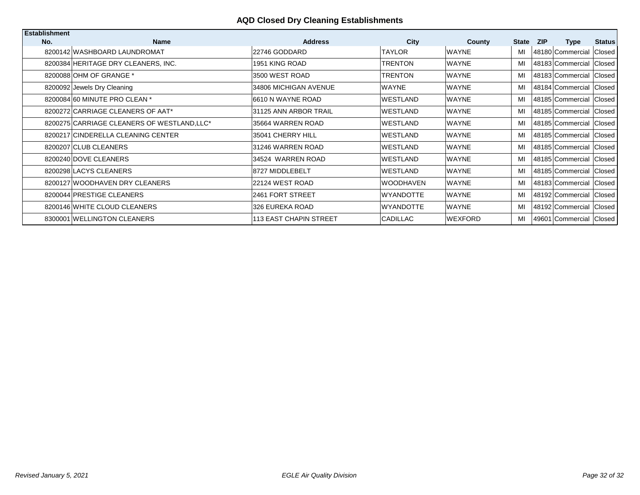| <b>Establishment</b> |                                             |                               |                  |                |              |            |                         |               |
|----------------------|---------------------------------------------|-------------------------------|------------------|----------------|--------------|------------|-------------------------|---------------|
| No.                  | <b>Name</b>                                 | <b>Address</b>                | City             | County         | <b>State</b> | <b>ZIP</b> | <b>Type</b>             | <b>Status</b> |
|                      | 8200142 WASHBOARD LAUNDROMAT                | 22746 GODDARD                 | <b>TAYLOR</b>    | <b>WAYNE</b>   | MI           |            | 48180 Commercial        | Closed        |
|                      | 8200384 HERITAGE DRY CLEANERS, INC.         | 1951 KING ROAD                | TRENTON          | <b>WAYNE</b>   | MI           |            | 48183 Commercial Closed |               |
|                      | 8200088 OHM OF GRANGE *                     | 3500 WEST ROAD                | TRENTON          | <b>WAYNE</b>   | MI           |            | 48183 Commercial Closed |               |
|                      | 8200092 Jewels Dry Cleaning                 | 34806 MICHIGAN AVENUE         | WAYNE            | <b>WAYNE</b>   | MI           |            | 48184 Commercial Closed |               |
|                      | 8200084 60 MINUTE PRO CLEAN *               | 6610 N WAYNE ROAD             | <b>WESTLAND</b>  | <b>WAYNE</b>   | MI           |            | 48185 Commercial Closed |               |
|                      | 8200272 CARRIAGE CLEANERS OF AAT*           | 31125 ANN ARBOR TRAIL         | WESTLAND         | <b>WAYNE</b>   | MI           |            | 48185 Commercial Closed |               |
|                      | 8200275 CARRIAGE CLEANERS OF WESTLAND, LLC* | 35664 WARREN ROAD             | <b>WESTLAND</b>  | <b>WAYNE</b>   | MI           |            | 48185 Commercial Closed |               |
|                      | 8200217 CINDERELLA CLEANING CENTER          | 35041 CHERRY HILL             | WESTLAND         | <b>WAYNE</b>   | MI           |            | 48185 Commercial Closed |               |
|                      | 8200207 CLUB CLEANERS                       | 31246 WARREN ROAD             | <b>WESTLAND</b>  | <b>WAYNE</b>   | MI           |            | 48185 Commercial Closed |               |
|                      | 8200240 DOVE CLEANERS                       | 34524 WARREN ROAD             | <b>WESTLAND</b>  | <b>WAYNE</b>   | MI           |            | 48185 Commercial Closed |               |
|                      | 8200298 LACYS CLEANERS                      | 8727 MIDDLEBELT               | <b>WESTLAND</b>  | <b>WAYNE</b>   | MI           |            | 48185 Commercial Closed |               |
|                      | 8200127 WOODHAVEN DRY CLEANERS              | 22124 WEST ROAD               | <b>WOODHAVEN</b> | <b>WAYNE</b>   | MI           |            | 48183 Commercial Closed |               |
|                      | 8200044 PRESTIGE CLEANERS                   | 2461 FORT STREET              | <b>WYANDOTTE</b> | <b>WAYNE</b>   | MI           |            | 48192 Commercial Closed |               |
|                      | 8200146 WHITE CLOUD CLEANERS                | 326 EUREKA ROAD               | <b>WYANDOTTE</b> | <b>WAYNE</b>   | MI           |            | 48192 Commercial Closed |               |
|                      | 8300001 WELLINGTON CLEANERS                 | <b>113 EAST CHAPIN STREET</b> | CADILLAC         | <b>WEXFORD</b> | MI           |            | 49601 Commercial Closed |               |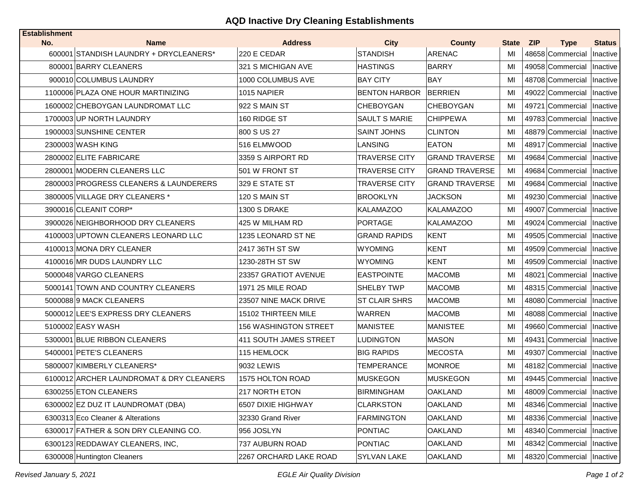# **AQD Inactive Dry Cleaning Establishments**

| <b>Establishment</b><br>No. | <b>Name</b>                              | <b>Address</b>               | <b>City</b>          | <b>County</b>         | State ZIP | <b>Type</b>                 | <b>Status</b> |
|-----------------------------|------------------------------------------|------------------------------|----------------------|-----------------------|-----------|-----------------------------|---------------|
|                             | 600001 STANDISH LAUNDRY + DRYCLEANERS*   | 220 E CEDAR                  | <b>STANDISH</b>      | <b>ARENAC</b>         | МI        | 48658 Commercial            | Inactive      |
|                             | 800001 BARRY CLEANERS                    | 321 S MICHIGAN AVE           | <b>HASTINGS</b>      | <b>BARRY</b>          | MI        | 49058 Commercial            | Inactive      |
|                             | 900010 COLUMBUS LAUNDRY                  | 1000 COLUMBUS AVE            | <b>BAY CITY</b>      | <b>BAY</b>            | MI        | 48708 Commercial            | Inactive      |
|                             | 1100006 PLAZA ONE HOUR MARTINIZING       | 1015 NAPIER                  | <b>BENTON HARBOR</b> | <b>BERRIEN</b>        | MI        | 49022 Commercial            | Inactive      |
|                             | 1600002 CHEBOYGAN LAUNDROMAT LLC         | 922 S MAIN ST                | <b>CHEBOYGAN</b>     | <b>CHEBOYGAN</b>      | MI        | 49721 Commercial            | Inactive      |
|                             | 1700003 UP NORTH LAUNDRY                 | 160 RIDGE ST                 | <b>SAULT S MARIE</b> | <b>CHIPPEWA</b>       | MI        | 49783 Commercial            | Inactive      |
|                             | 1900003 SUNSHINE CENTER                  | 800 S US 27                  | <b>SAINT JOHNS</b>   | <b>CLINTON</b>        | MI        | 48879 Commercial            | Inactive      |
|                             | 2300003 WASH KING                        | 516 ELMWOOD                  | LANSING              | <b>EATON</b>          | MI        | 48917 Commercial            | Inactive      |
|                             | 2800002 ELITE FABRICARE                  | 3359 S AIRPORT RD            | <b>TRAVERSE CITY</b> | <b>GRAND TRAVERSE</b> | MI        | 49684 Commercial            | Inactive      |
|                             | 2800001 MODERN CLEANERS LLC              | 501 W FRONT ST               | <b>TRAVERSE CITY</b> | <b>GRAND TRAVERSE</b> | MI        | 49684 Commercial            | Inactive      |
|                             | 2800003 PROGRESS CLEANERS & LAUNDERERS   | 329 E STATE ST               | <b>TRAVERSE CITY</b> | <b>GRAND TRAVERSE</b> | MI        | 49684 Commercial            | Inactive      |
|                             | 3800005 VILLAGE DRY CLEANERS *           | 120 S MAIN ST                | <b>BROOKLYN</b>      | JACKSON               | MI        | 49230 Commercial            | Inactive      |
|                             | 3900016 CLEANIT CORP*                    | 1300 S DRAKE                 | KALAMAZOO            | KALAMAZOO             | MI        | 49007 Commercial            | Inactive      |
|                             | 3900026 NEIGHBORHOOD DRY CLEANERS        | 425 W MILHAM RD              | PORTAGE              | KALAMAZOO             | MI        | 49024 Commercial            | Inactive      |
|                             | 4100003 UPTOWN CLEANERS LEONARD LLC      | 1235 LEONARD ST NE           | GRAND RAPIDS         | <b>KENT</b>           | MI        | 49505 Commercial            | Inactive      |
|                             | 4100013 MONA DRY CLEANER                 | 2417 36TH ST SW              | WYOMING              | <b>KENT</b>           | MI        | 49509 Commercial            | Inactive      |
|                             | 4100016 MR DUDS LAUNDRY LLC              | 1230-28TH ST SW              | WYOMING              | KENT                  | MI        | 49509 Commercial            | Inactive      |
|                             | 5000048 VARGO CLEANERS                   | 23357 GRATIOT AVENUE         | <b>EASTPOINTE</b>    | <b>MACOMB</b>         | MI        | 48021 Commercial            | Inactive      |
|                             | 5000141 TOWN AND COUNTRY CLEANERS        | 1971 25 MILE ROAD            | <b>SHELBY TWP</b>    | <b>MACOMB</b>         | MI        | 48315 Commercial            | Inactive      |
|                             | 5000088 9 MACK CLEANERS                  | 23507 NINE MACK DRIVE        | <b>ST CLAIR SHRS</b> | <b>MACOMB</b>         | MI        | 48080 Commercial            | Inactive      |
|                             | 5000012 LEE'S EXPRESS DRY CLEANERS       | 15102 THIRTEEN MILE          | WARREN               | MACOMB                | MI        | 48088 Commercial            | Inactive      |
|                             | 5100002 EASY WASH                        | <b>156 WASHINGTON STREET</b> | <b>MANISTEE</b>      | <b>MANISTEE</b>       | MI        | 49660 Commercial   Inactive |               |
|                             | 5300001 BLUE RIBBON CLEANERS             | 411 SOUTH JAMES STREET       | LUDINGTON            | <b>MASON</b>          | MI        | 49431 Commercial            | Inactive      |
|                             | 5400001 PETE'S CLEANERS                  | 115 HEMLOCK                  | <b>BIG RAPIDS</b>    | MECOSTA               | MI        | 49307 Commercial            | Inactive      |
|                             | 5800007 KIMBERLY CLEANERS*               | 9032 LEWIS                   | <b>TEMPERANCE</b>    | <b>MONROE</b>         | MI        | 48182 Commercial   Inactive |               |
|                             | 6100012 ARCHER LAUNDROMAT & DRY CLEANERS | 1575 HOLTON ROAD             | <b>MUSKEGON</b>      | <b>MUSKEGON</b>       | MI        | 49445 Commercial            | Inactive      |
|                             | 6300255 ETON CLEANERS                    | 217 NORTH ETON               | <b>BIRMINGHAM</b>    | <b>OAKLAND</b>        | MI        | 48009 Commercial   Inactive |               |
|                             | 6300002 EZ DUZ IT LAUNDROMAT (DBA)       | 6507 DIXIE HIGHWAY           | <b>CLARKSTON</b>     | <b>OAKLAND</b>        | MI        | 48346 Commercial            | Inactive      |
|                             | 6300313 Eco Cleaner & Alterations        | 32330 Grand River            | <b>FARMINGTON</b>    | <b>OAKLAND</b>        | MI        | 48336 Commercial            | Inactive      |
|                             | 6300017 FATHER & SON DRY CLEANING CO.    | 956 JOSLYN                   | <b>PONTIAC</b>       | OAKLAND               | MI        | 48340 Commercial            | Inactive      |
|                             | 6300123 REDDAWAY CLEANERS, INC,          | 737 AUBURN ROAD              | <b>PONTIAC</b>       | <b>OAKLAND</b>        | MI        | 48342 Commercial            | Inactive      |
|                             | 6300008 Huntington Cleaners              | 2267 ORCHARD LAKE ROAD       | <b>SYLVAN LAKE</b>   | <b>OAKLAND</b>        | MI        | 48320 Commercial            | Inactive      |